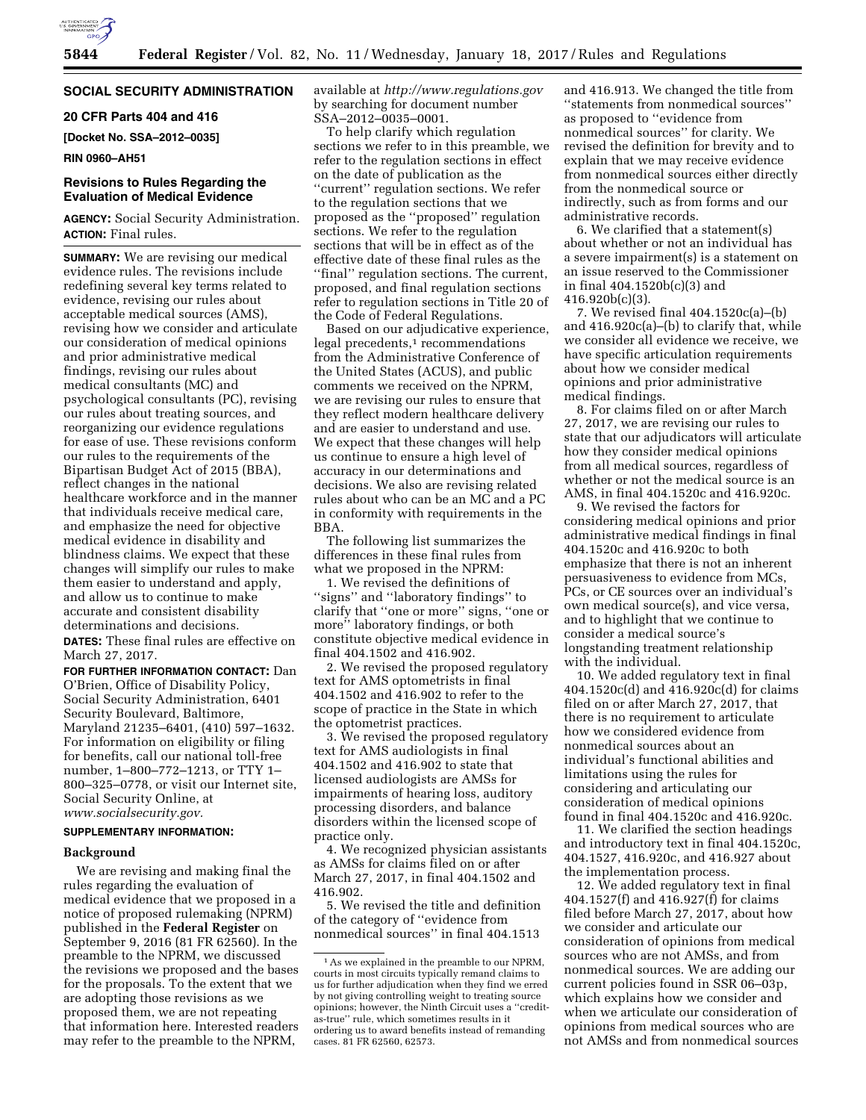

# **SOCIAL SECURITY ADMINISTRATION**

# **20 CFR Parts 404 and 416**

**[Docket No. SSA–2012–0035]** 

#### **RIN 0960–AH51**

### **Revisions to Rules Regarding the Evaluation of Medical Evidence**

**AGENCY:** Social Security Administration. **ACTION:** Final rules.

**SUMMARY:** We are revising our medical evidence rules. The revisions include redefining several key terms related to evidence, revising our rules about acceptable medical sources (AMS), revising how we consider and articulate our consideration of medical opinions and prior administrative medical findings, revising our rules about medical consultants (MC) and psychological consultants (PC), revising our rules about treating sources, and reorganizing our evidence regulations for ease of use. These revisions conform our rules to the requirements of the Bipartisan Budget Act of 2015 (BBA), reflect changes in the national healthcare workforce and in the manner that individuals receive medical care, and emphasize the need for objective medical evidence in disability and blindness claims. We expect that these changes will simplify our rules to make them easier to understand and apply, and allow us to continue to make accurate and consistent disability determinations and decisions.

**DATES:** These final rules are effective on March 27, 2017.

**FOR FURTHER INFORMATION CONTACT:** Dan O'Brien, Office of Disability Policy, Social Security Administration, 6401 Security Boulevard, Baltimore, Maryland 21235–6401, (410) 597–1632. For information on eligibility or filing for benefits, call our national toll-free number, 1–800–772–1213, or TTY 1– 800–325–0778, or visit our Internet site, Social Security Online, at *[www.socialsecurity.gov.](http://www.socialsecurity.gov)* 

## **SUPPLEMENTARY INFORMATION:**

### **Background**

We are revising and making final the rules regarding the evaluation of medical evidence that we proposed in a notice of proposed rulemaking (NPRM) published in the **Federal Register** on September 9, 2016 (81 FR 62560). In the preamble to the NPRM, we discussed the revisions we proposed and the bases for the proposals. To the extent that we are adopting those revisions as we proposed them, we are not repeating that information here. Interested readers may refer to the preamble to the NPRM,

available at *<http://www.regulations.gov>* by searching for document number SSA–2012–0035–0001.

To help clarify which regulation sections we refer to in this preamble, we refer to the regulation sections in effect on the date of publication as the ''current'' regulation sections. We refer to the regulation sections that we proposed as the ''proposed'' regulation sections. We refer to the regulation sections that will be in effect as of the effective date of these final rules as the "final" regulation sections. The current, proposed, and final regulation sections refer to regulation sections in Title 20 of the Code of Federal Regulations.

Based on our adjudicative experience, legal precedents,<sup>1</sup> recommendations from the Administrative Conference of the United States (ACUS), and public comments we received on the NPRM, we are revising our rules to ensure that they reflect modern healthcare delivery and are easier to understand and use. We expect that these changes will help us continue to ensure a high level of accuracy in our determinations and decisions. We also are revising related rules about who can be an MC and a PC in conformity with requirements in the BBA.

The following list summarizes the differences in these final rules from what we proposed in the NPRM:

1. We revised the definitions of ''signs'' and ''laboratory findings'' to clarify that ''one or more'' signs, ''one or more'' laboratory findings, or both constitute objective medical evidence in final 404.1502 and 416.902.

2. We revised the proposed regulatory text for AMS optometrists in final 404.1502 and 416.902 to refer to the scope of practice in the State in which the optometrist practices.

3. We revised the proposed regulatory text for AMS audiologists in final 404.1502 and 416.902 to state that licensed audiologists are AMSs for impairments of hearing loss, auditory processing disorders, and balance disorders within the licensed scope of practice only.

4. We recognized physician assistants as AMSs for claims filed on or after March 27, 2017, in final 404.1502 and 416.902.

5. We revised the title and definition of the category of ''evidence from nonmedical sources'' in final 404.1513

and 416.913. We changed the title from ''statements from nonmedical sources'' as proposed to ''evidence from nonmedical sources'' for clarity. We revised the definition for brevity and to explain that we may receive evidence from nonmedical sources either directly from the nonmedical source or indirectly, such as from forms and our administrative records.

6. We clarified that a statement(s) about whether or not an individual has a severe impairment(s) is a statement on an issue reserved to the Commissioner in final 404.1520b(c)(3) and 416.920b(c)(3).

7. We revised final 404.1520c(a)–(b) and 416.920c(a)–(b) to clarify that, while we consider all evidence we receive, we have specific articulation requirements about how we consider medical opinions and prior administrative medical findings.

8. For claims filed on or after March 27, 2017, we are revising our rules to state that our adjudicators will articulate how they consider medical opinions from all medical sources, regardless of whether or not the medical source is an AMS, in final 404.1520c and 416.920c.

9. We revised the factors for considering medical opinions and prior administrative medical findings in final 404.1520c and 416.920c to both emphasize that there is not an inherent persuasiveness to evidence from MCs, PCs, or CE sources over an individual's own medical source(s), and vice versa, and to highlight that we continue to consider a medical source's longstanding treatment relationship with the individual.

10. We added regulatory text in final 404.1520c(d) and 416.920c(d) for claims filed on or after March 27, 2017, that there is no requirement to articulate how we considered evidence from nonmedical sources about an individual's functional abilities and limitations using the rules for considering and articulating our consideration of medical opinions found in final 404.1520c and 416.920c.

11. We clarified the section headings and introductory text in final 404.1520c, 404.1527, 416.920c, and 416.927 about the implementation process.

12. We added regulatory text in final 404.1527(f) and 416.927(f) for claims filed before March 27, 2017, about how we consider and articulate our consideration of opinions from medical sources who are not AMSs, and from nonmedical sources. We are adding our current policies found in SSR 06–03p, which explains how we consider and when we articulate our consideration of opinions from medical sources who are not AMSs and from nonmedical sources

<sup>1</sup>As we explained in the preamble to our NPRM, courts in most circuits typically remand claims to us for further adjudication when they find we erred by not giving controlling weight to treating source opinions; however, the Ninth Circuit uses a ''creditas-true'' rule, which sometimes results in it ordering us to award benefits instead of remanding cases. 81 FR 62560, 62573.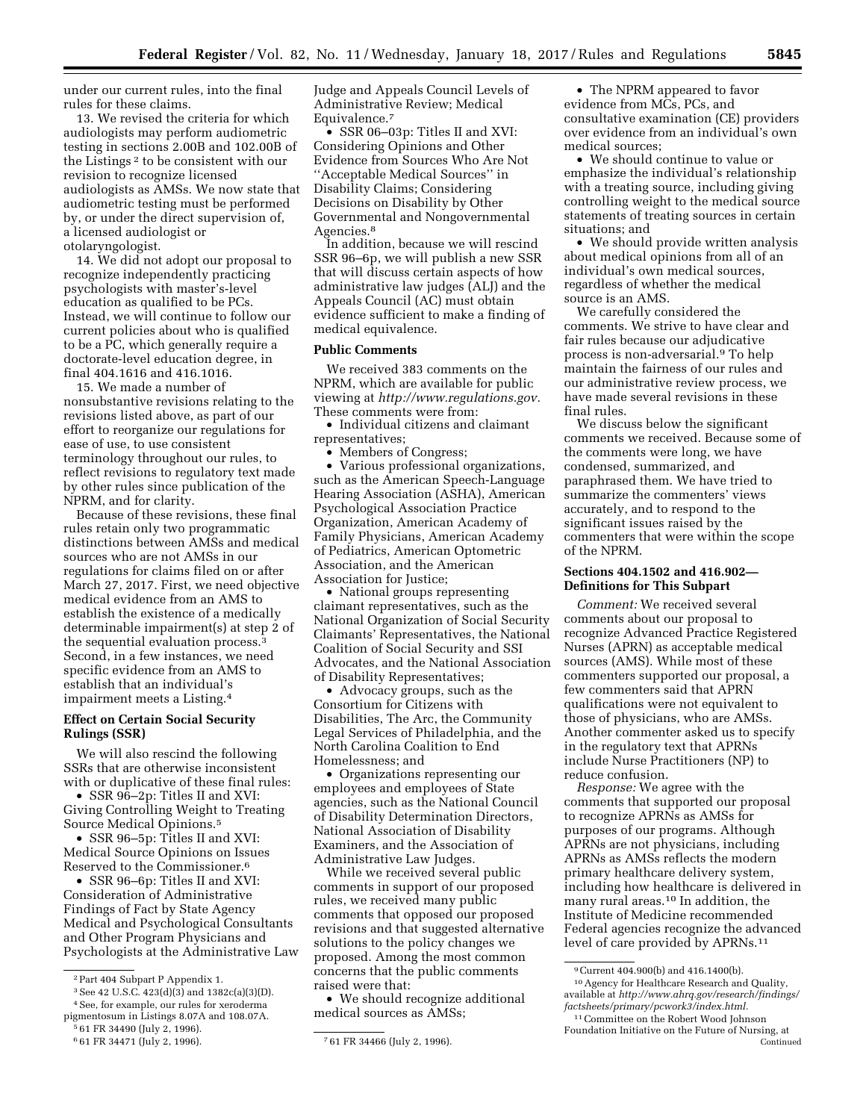under our current rules, into the final rules for these claims.

13. We revised the criteria for which audiologists may perform audiometric testing in sections 2.00B and 102.00B of the Listings 2 to be consistent with our revision to recognize licensed audiologists as AMSs. We now state that audiometric testing must be performed by, or under the direct supervision of, a licensed audiologist or otolaryngologist.

14. We did not adopt our proposal to recognize independently practicing psychologists with master's-level education as qualified to be PCs. Instead, we will continue to follow our current policies about who is qualified to be a PC, which generally require a doctorate-level education degree, in final 404.1616 and 416.1016.

15. We made a number of nonsubstantive revisions relating to the revisions listed above, as part of our effort to reorganize our regulations for ease of use, to use consistent terminology throughout our rules, to reflect revisions to regulatory text made by other rules since publication of the NPRM, and for clarity.

Because of these revisions, these final rules retain only two programmatic distinctions between AMSs and medical sources who are not AMSs in our regulations for claims filed on or after March 27, 2017. First, we need objective medical evidence from an AMS to establish the existence of a medically determinable impairment(s) at step 2 of the sequential evaluation process. Second, in a few instances, we need specific evidence from an AMS to establish that an individual's impairment meets a Listing.4

### **Effect on Certain Social Security Rulings (SSR)**

We will also rescind the following SSRs that are otherwise inconsistent with or duplicative of these final rules:

• SSR 96–2p: Titles II and XVI: Giving Controlling Weight to Treating Source Medical Opinions.5

• SSR 96–5p: Titles II and XVI: Medical Source Opinions on Issues Reserved to the Commissioner.6

• SSR 96–6p: Titles II and XVI: Consideration of Administrative Findings of Fact by State Agency Medical and Psychological Consultants and Other Program Physicians and Psychologists at the Administrative Law

5 61 FR 34490 (July 2, 1996).

Judge and Appeals Council Levels of Administrative Review; Medical Equivalence.7

• SSR 06–03p: Titles II and XVI: Considering Opinions and Other Evidence from Sources Who Are Not ''Acceptable Medical Sources'' in Disability Claims; Considering Decisions on Disability by Other Governmental and Nongovernmental Agencies.8

In addition, because we will rescind SSR 96–6p, we will publish a new SSR that will discuss certain aspects of how administrative law judges (ALJ) and the Appeals Council (AC) must obtain evidence sufficient to make a finding of medical equivalence.

## **Public Comments**

We received 383 comments on the NPRM, which are available for public viewing at *[http://www.regulations.gov.](http://www.regulations.gov)*  These comments were from:

• Individual citizens and claimant representatives;

• Members of Congress;

• Various professional organizations, such as the American Speech-Language Hearing Association (ASHA), American Psychological Association Practice Organization, American Academy of Family Physicians, American Academy of Pediatrics, American Optometric Association, and the American Association for Justice;

• National groups representing claimant representatives, such as the National Organization of Social Security Claimants' Representatives, the National Coalition of Social Security and SSI Advocates, and the National Association of Disability Representatives;

• Advocacy groups, such as the Consortium for Citizens with Disabilities, The Arc, the Community Legal Services of Philadelphia, and the North Carolina Coalition to End Homelessness; and

• Organizations representing our employees and employees of State agencies, such as the National Council of Disability Determination Directors, National Association of Disability Examiners, and the Association of Administrative Law Judges.

While we received several public comments in support of our proposed rules, we received many public comments that opposed our proposed revisions and that suggested alternative solutions to the policy changes we proposed. Among the most common concerns that the public comments raised were that:

• We should recognize additional medical sources as AMSs;

• The NPRM appeared to favor evidence from MCs, PCs, and consultative examination (CE) providers over evidence from an individual's own medical sources;

• We should continue to value or emphasize the individual's relationship with a treating source, including giving controlling weight to the medical source statements of treating sources in certain situations; and

• We should provide written analysis about medical opinions from all of an individual's own medical sources, regardless of whether the medical source is an AMS.

We carefully considered the comments. We strive to have clear and fair rules because our adjudicative process is non-adversarial.9 To help maintain the fairness of our rules and our administrative review process, we have made several revisions in these final rules.

We discuss below the significant comments we received. Because some of the comments were long, we have condensed, summarized, and paraphrased them. We have tried to summarize the commenters' views accurately, and to respond to the significant issues raised by the commenters that were within the scope of the NPRM.

## **Sections 404.1502 and 416.902— Definitions for This Subpart**

*Comment:* We received several comments about our proposal to recognize Advanced Practice Registered Nurses (APRN) as acceptable medical sources (AMS). While most of these commenters supported our proposal, a few commenters said that APRN qualifications were not equivalent to those of physicians, who are AMSs. Another commenter asked us to specify in the regulatory text that APRNs include Nurse Practitioners (NP) to reduce confusion.

*Response:* We agree with the comments that supported our proposal to recognize APRNs as AMSs for purposes of our programs. Although APRNs are not physicians, including APRNs as AMSs reflects the modern primary healthcare delivery system, including how healthcare is delivered in many rural areas.10 In addition, the Institute of Medicine recommended Federal agencies recognize the advanced level of care provided by APRNs.<sup>11</sup>

<sup>2</sup>Part 404 Subpart P Appendix 1.

<sup>3</sup>See 42 U.S.C. 423(d)(3) and 1382c(a)(3)(D). 4See, for example, our rules for xeroderma pigmentosum in Listings 8.07A and 108.07A.

<sup>&</sup>lt;sup>7</sup> 61 FR 34466 (July 2, 1996).

<sup>9</sup>Current 404.900(b) and 416.1400(b).

<sup>10</sup>Agency for Healthcare Research and Quality, available at *[http://www.ahrq.gov/research/findings/](http://www.ahrq.gov/research/findings/factsheets/primary/pcwork3/index.html) [factsheets/primary/pcwork3/index.html.](http://www.ahrq.gov/research/findings/factsheets/primary/pcwork3/index.html)* 

<sup>11</sup>Committee on the Robert Wood Johnson Foundation Initiative on the Future of Nursing, at Continued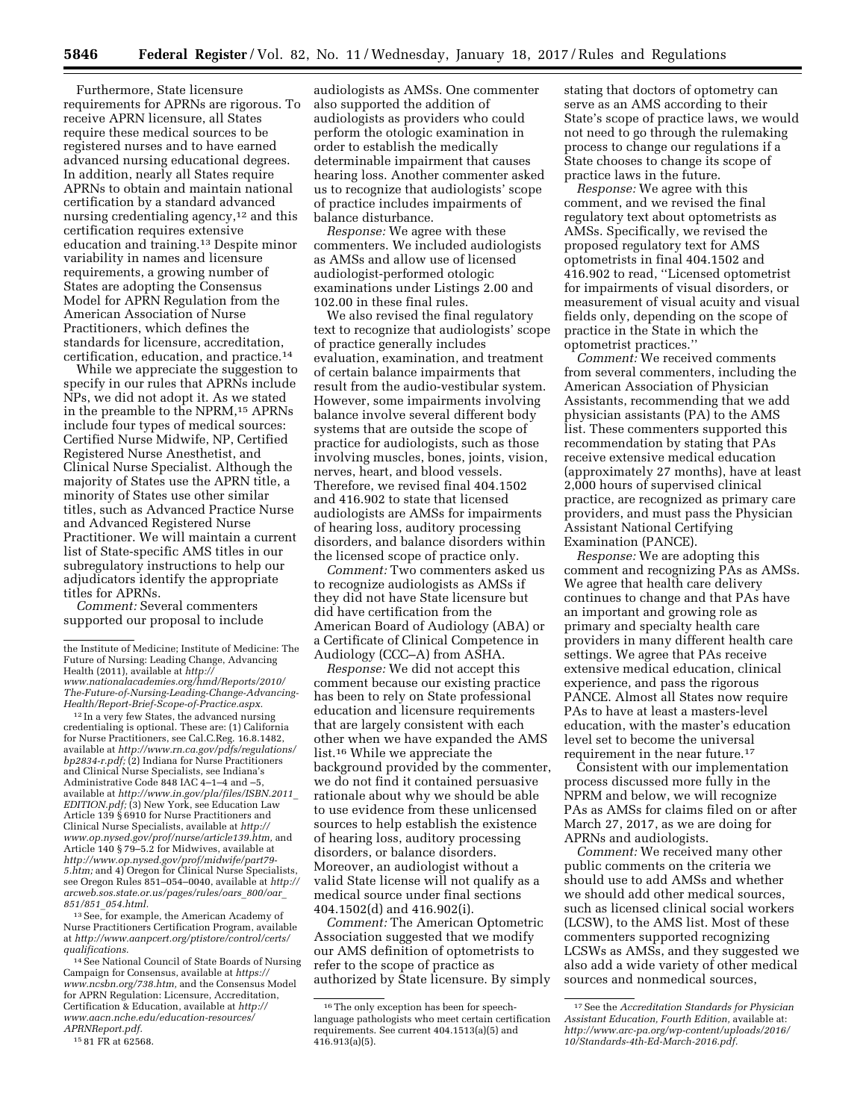Furthermore, State licensure requirements for APRNs are rigorous. To receive APRN licensure, all States require these medical sources to be registered nurses and to have earned advanced nursing educational degrees. In addition, nearly all States require APRNs to obtain and maintain national certification by a standard advanced nursing credentialing agency,<sup>12</sup> and this certification requires extensive education and training.13 Despite minor variability in names and licensure requirements, a growing number of States are adopting the Consensus Model for APRN Regulation from the American Association of Nurse Practitioners, which defines the standards for licensure, accreditation, certification, education, and practice.14

While we appreciate the suggestion to specify in our rules that APRNs include NPs, we did not adopt it. As we stated in the preamble to the NPRM,15 APRNs include four types of medical sources: Certified Nurse Midwife, NP, Certified Registered Nurse Anesthetist, and Clinical Nurse Specialist. Although the majority of States use the APRN title, a minority of States use other similar titles, such as Advanced Practice Nurse and Advanced Registered Nurse Practitioner. We will maintain a current list of State-specific AMS titles in our subregulatory instructions to help our adjudicators identify the appropriate titles for APRNs.

*Comment:* Several commenters supported our proposal to include

12 In a very few States, the advanced nursing credentialing is optional. These are: (1) California for Nurse Practitioners, see Cal.C.Reg. 16.8.1482, available at *[http://www.rn.ca.gov/pdfs/regulations/](http://www.rn.ca.gov/pdfs/regulations/bp2834-r.pdf) [bp2834-r.pdf;](http://www.rn.ca.gov/pdfs/regulations/bp2834-r.pdf)* (2) Indiana for Nurse Practitioners and Clinical Nurse Specialists, see Indiana's Administrative Code 848 IAC 4–1–4 and –5, available at *[http://www.in.gov/pla/files/ISBN.2011](http://www.in.gov/pla/files/ISBN.2011_EDITION.pdf)*\_ *[EDITION.pdf;](http://www.in.gov/pla/files/ISBN.2011_EDITION.pdf)* (3) New York, see Education Law Article 139 § 6910 for Nurse Practitioners and Clinical Nurse Specialists, available at *[http://](http://www.op.nysed.gov/prof/nurse/article139.htm) [www.op.nysed.gov/prof/nurse/article139.htm,](http://www.op.nysed.gov/prof/nurse/article139.htm)* and Article 140 § 79–5.2 for Midwives, available at *[http://www.op.nysed.gov/prof/midwife/part79-](http://www.op.nysed.gov/prof/midwife/part79-5.htm) [5.htm;](http://www.op.nysed.gov/prof/midwife/part79-5.htm)* and 4) Oregon for Clinical Nurse Specialists, see Oregon Rules 851–054–0040, available at *[http://](http://arcweb.sos.state.or.us/pages/rules/oars_800/oar_851/851_054.html)  [arcweb.sos.state.or.us/pages/rules/oars](http://arcweb.sos.state.or.us/pages/rules/oars_800/oar_851/851_054.html)*\_*800/oar*\_ *851/851*\_*[054.html.](http://arcweb.sos.state.or.us/pages/rules/oars_800/oar_851/851_054.html)* 

13See, for example, the American Academy of Nurse Practitioners Certification Program, available at *[http://www.aanpcert.org/ptistore/control/certs/](http://www.aanpcert.org/ptistore/control/certs/qualifications)  [qualifications.](http://www.aanpcert.org/ptistore/control/certs/qualifications)* 

14See National Council of State Boards of Nursing Campaign for Consensus, available at *[https://](https://www.ncsbn.org/738.htm) [www.ncsbn.org/738.htm,](https://www.ncsbn.org/738.htm)* and the Consensus Model for APRN Regulation: Licensure, Accreditation, Certification & Education, available at *[http://](http://www.aacn.nche.edu/education-resources/APRNReport.pdf) [www.aacn.nche.edu/education-resources/](http://www.aacn.nche.edu/education-resources/APRNReport.pdf) [APRNReport.pdf.](http://www.aacn.nche.edu/education-resources/APRNReport.pdf)* 

audiologists as AMSs. One commenter also supported the addition of audiologists as providers who could perform the otologic examination in order to establish the medically determinable impairment that causes hearing loss. Another commenter asked us to recognize that audiologists' scope of practice includes impairments of balance disturbance.

*Response:* We agree with these commenters. We included audiologists as AMSs and allow use of licensed audiologist-performed otologic examinations under Listings 2.00 and 102.00 in these final rules.

We also revised the final regulatory text to recognize that audiologists' scope of practice generally includes evaluation, examination, and treatment of certain balance impairments that result from the audio-vestibular system. However, some impairments involving balance involve several different body systems that are outside the scope of practice for audiologists, such as those involving muscles, bones, joints, vision, nerves, heart, and blood vessels. Therefore, we revised final 404.1502 and 416.902 to state that licensed audiologists are AMSs for impairments of hearing loss, auditory processing disorders, and balance disorders within the licensed scope of practice only.

*Comment:* Two commenters asked us to recognize audiologists as AMSs if they did not have State licensure but did have certification from the American Board of Audiology (ABA) or a Certificate of Clinical Competence in Audiology (CCC–A) from ASHA.

*Response:* We did not accept this comment because our existing practice has been to rely on State professional education and licensure requirements that are largely consistent with each other when we have expanded the AMS list.16 While we appreciate the background provided by the commenter, we do not find it contained persuasive rationale about why we should be able to use evidence from these unlicensed sources to help establish the existence of hearing loss, auditory processing disorders, or balance disorders. Moreover, an audiologist without a valid State license will not qualify as a medical source under final sections 404.1502(d) and 416.902(i).

*Comment:* The American Optometric Association suggested that we modify our AMS definition of optometrists to refer to the scope of practice as authorized by State licensure. By simply

stating that doctors of optometry can serve as an AMS according to their State's scope of practice laws, we would not need to go through the rulemaking process to change our regulations if a State chooses to change its scope of practice laws in the future.

*Response:* We agree with this comment, and we revised the final regulatory text about optometrists as AMSs. Specifically, we revised the proposed regulatory text for AMS optometrists in final 404.1502 and 416.902 to read, ''Licensed optometrist for impairments of visual disorders, or measurement of visual acuity and visual fields only, depending on the scope of practice in the State in which the optometrist practices.''

*Comment:* We received comments from several commenters, including the American Association of Physician Assistants, recommending that we add physician assistants (PA) to the AMS list. These commenters supported this recommendation by stating that PAs receive extensive medical education (approximately 27 months), have at least 2,000 hours of supervised clinical practice, are recognized as primary care providers, and must pass the Physician Assistant National Certifying Examination (PANCE).

*Response:* We are adopting this comment and recognizing PAs as AMSs. We agree that health care delivery continues to change and that PAs have an important and growing role as primary and specialty health care providers in many different health care settings. We agree that PAs receive extensive medical education, clinical experience, and pass the rigorous PANCE. Almost all States now require PAs to have at least a masters-level education, with the master's education level set to become the universal requirement in the near future.<sup>17</sup>

Consistent with our implementation process discussed more fully in the NPRM and below, we will recognize PAs as AMSs for claims filed on or after March 27, 2017, as we are doing for APRNs and audiologists.

*Comment:* We received many other public comments on the criteria we should use to add AMSs and whether we should add other medical sources, such as licensed clinical social workers (LCSW), to the AMS list. Most of these commenters supported recognizing LCSWs as AMSs, and they suggested we also add a wide variety of other medical sources and nonmedical sources,

the Institute of Medicine; Institute of Medicine: The Future of Nursing: Leading Change, Advancing Health (2011), available at *[http://](http://www.nationalacademies.org/hmd/Reports/2010/The-Future-of-Nursing-Leading-Change-Advancing-Health/Report-Brief-Scope-of-Practice.aspx) [www.nationalacademies.org/hmd/Reports/2010/](http://www.nationalacademies.org/hmd/Reports/2010/The-Future-of-Nursing-Leading-Change-Advancing-Health/Report-Brief-Scope-of-Practice.aspx)  [The-Future-of-Nursing-Leading-Change-Advancing-](http://www.nationalacademies.org/hmd/Reports/2010/The-Future-of-Nursing-Leading-Change-Advancing-Health/Report-Brief-Scope-of-Practice.aspx)[Health/Report-Brief-Scope-of-Practice.aspx.](http://www.nationalacademies.org/hmd/Reports/2010/The-Future-of-Nursing-Leading-Change-Advancing-Health/Report-Brief-Scope-of-Practice.aspx)* 

<sup>15</sup> 81 FR at 62568.

<sup>16</sup>The only exception has been for speechlanguage pathologists who meet certain certification requirements. See current 404.1513(a)(5) and  $416.913(a)(5)$ .

<sup>17</sup>See the *Accreditation Standards for Physician Assistant Education, Fourth Edition,* available at: *[http://www.arc-pa.org/wp-content/uploads/2016/](http://www.arc-pa.org/wp-content/uploads/2016/10/Standards-4th-Ed-March-2016.pdf)  [10/Standards-4th-Ed-March-2016.pdf.](http://www.arc-pa.org/wp-content/uploads/2016/10/Standards-4th-Ed-March-2016.pdf)*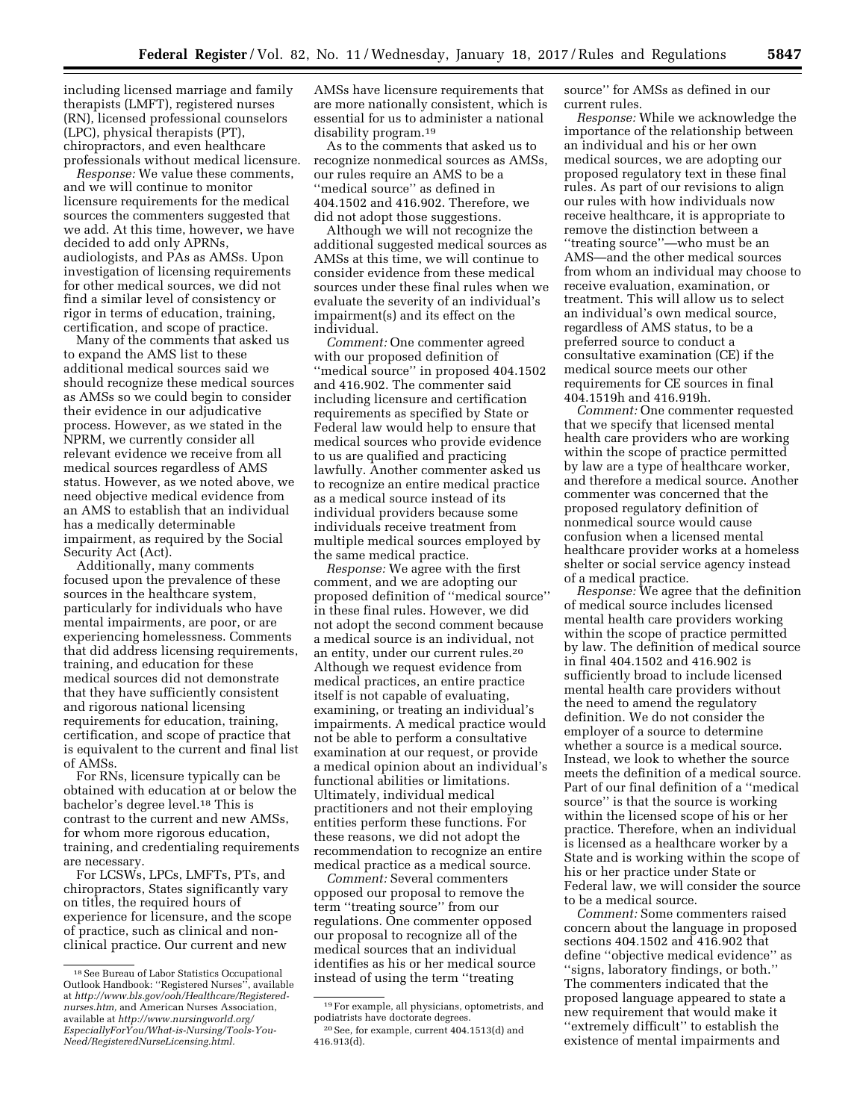including licensed marriage and family therapists (LMFT), registered nurses (RN), licensed professional counselors (LPC), physical therapists (PT), chiropractors, and even healthcare professionals without medical licensure.

*Response:* We value these comments, and we will continue to monitor licensure requirements for the medical sources the commenters suggested that we add. At this time, however, we have decided to add only APRNs, audiologists, and PAs as AMSs. Upon investigation of licensing requirements for other medical sources, we did not find a similar level of consistency or rigor in terms of education, training, certification, and scope of practice.

Many of the comments that asked us to expand the AMS list to these additional medical sources said we should recognize these medical sources as AMSs so we could begin to consider their evidence in our adjudicative process. However, as we stated in the NPRM, we currently consider all relevant evidence we receive from all medical sources regardless of AMS status. However, as we noted above, we need objective medical evidence from an AMS to establish that an individual has a medically determinable impairment, as required by the Social Security Act (Act).

Additionally, many comments focused upon the prevalence of these sources in the healthcare system, particularly for individuals who have mental impairments, are poor, or are experiencing homelessness. Comments that did address licensing requirements, training, and education for these medical sources did not demonstrate that they have sufficiently consistent and rigorous national licensing requirements for education, training, certification, and scope of practice that is equivalent to the current and final list of AMSs.

For RNs, licensure typically can be obtained with education at or below the bachelor's degree level.18 This is contrast to the current and new AMSs, for whom more rigorous education, training, and credentialing requirements are necessary.

For LCSWs, LPCs, LMFTs, PTs, and chiropractors, States significantly vary on titles, the required hours of experience for licensure, and the scope of practice, such as clinical and nonclinical practice. Our current and new

AMSs have licensure requirements that are more nationally consistent, which is essential for us to administer a national disability program.19

As to the comments that asked us to recognize nonmedical sources as AMSs, our rules require an AMS to be a ''medical source'' as defined in 404.1502 and 416.902. Therefore, we did not adopt those suggestions.

Although we will not recognize the additional suggested medical sources as AMSs at this time, we will continue to consider evidence from these medical sources under these final rules when we evaluate the severity of an individual's impairment(s) and its effect on the individual.

*Comment:* One commenter agreed with our proposed definition of ''medical source'' in proposed 404.1502 and 416.902. The commenter said including licensure and certification requirements as specified by State or Federal law would help to ensure that medical sources who provide evidence to us are qualified and practicing lawfully. Another commenter asked us to recognize an entire medical practice as a medical source instead of its individual providers because some individuals receive treatment from multiple medical sources employed by the same medical practice.

*Response:* We agree with the first comment, and we are adopting our proposed definition of ''medical source'' in these final rules. However, we did not adopt the second comment because a medical source is an individual, not an entity, under our current rules.20 Although we request evidence from medical practices, an entire practice itself is not capable of evaluating, examining, or treating an individual's impairments. A medical practice would not be able to perform a consultative examination at our request, or provide a medical opinion about an individual's functional abilities or limitations. Ultimately, individual medical practitioners and not their employing entities perform these functions. For these reasons, we did not adopt the recommendation to recognize an entire medical practice as a medical source.

*Comment:* Several commenters opposed our proposal to remove the term ''treating source'' from our regulations. One commenter opposed our proposal to recognize all of the medical sources that an individual identifies as his or her medical source instead of using the term ''treating

source'' for AMSs as defined in our current rules.

*Response:* While we acknowledge the importance of the relationship between an individual and his or her own medical sources, we are adopting our proposed regulatory text in these final rules. As part of our revisions to align our rules with how individuals now receive healthcare, it is appropriate to remove the distinction between a ''treating source''—who must be an AMS—and the other medical sources from whom an individual may choose to receive evaluation, examination, or treatment. This will allow us to select an individual's own medical source, regardless of AMS status, to be a preferred source to conduct a consultative examination (CE) if the medical source meets our other requirements for CE sources in final 404.1519h and 416.919h.

*Comment:* One commenter requested that we specify that licensed mental health care providers who are working within the scope of practice permitted by law are a type of healthcare worker, and therefore a medical source. Another commenter was concerned that the proposed regulatory definition of nonmedical source would cause confusion when a licensed mental healthcare provider works at a homeless shelter or social service agency instead of a medical practice.

*Response:* We agree that the definition of medical source includes licensed mental health care providers working within the scope of practice permitted by law. The definition of medical source in final 404.1502 and 416.902 is sufficiently broad to include licensed mental health care providers without the need to amend the regulatory definition. We do not consider the employer of a source to determine whether a source is a medical source. Instead, we look to whether the source meets the definition of a medical source. Part of our final definition of a ''medical source'' is that the source is working within the licensed scope of his or her practice. Therefore, when an individual is licensed as a healthcare worker by a State and is working within the scope of his or her practice under State or Federal law, we will consider the source to be a medical source.

*Comment:* Some commenters raised concern about the language in proposed sections 404.1502 and 416.902 that define ''objective medical evidence'' as ''signs, laboratory findings, or both.'' The commenters indicated that the proposed language appeared to state a new requirement that would make it ''extremely difficult'' to establish the existence of mental impairments and

<sup>18</sup>See Bureau of Labor Statistics Occupational Outlook Handbook: ''Registered Nurses'', available at *[http://www.bls.gov/ooh/Healthcare/Registered](http://www.bls.gov/ooh/Healthcare/Registered-nurses.htm)[nurses.htm,](http://www.bls.gov/ooh/Healthcare/Registered-nurses.htm)* and American Nurses Association, available at *[http://www.nursingworld.org/](http://www.nursingworld.org/EspeciallyForYou/What-is-Nursing/Tools-You-Need/RegisteredNurseLicensing.html)  [EspeciallyForYou/What-is-Nursing/Tools-You-](http://www.nursingworld.org/EspeciallyForYou/What-is-Nursing/Tools-You-Need/RegisteredNurseLicensing.html)[Need/RegisteredNurseLicensing.html.](http://www.nursingworld.org/EspeciallyForYou/What-is-Nursing/Tools-You-Need/RegisteredNurseLicensing.html)* 

<sup>19</sup>For example, all physicians, optometrists, and podiatrists have doctorate degrees. 20See, for example, current 404.1513(d) and

<sup>416.913(</sup>d).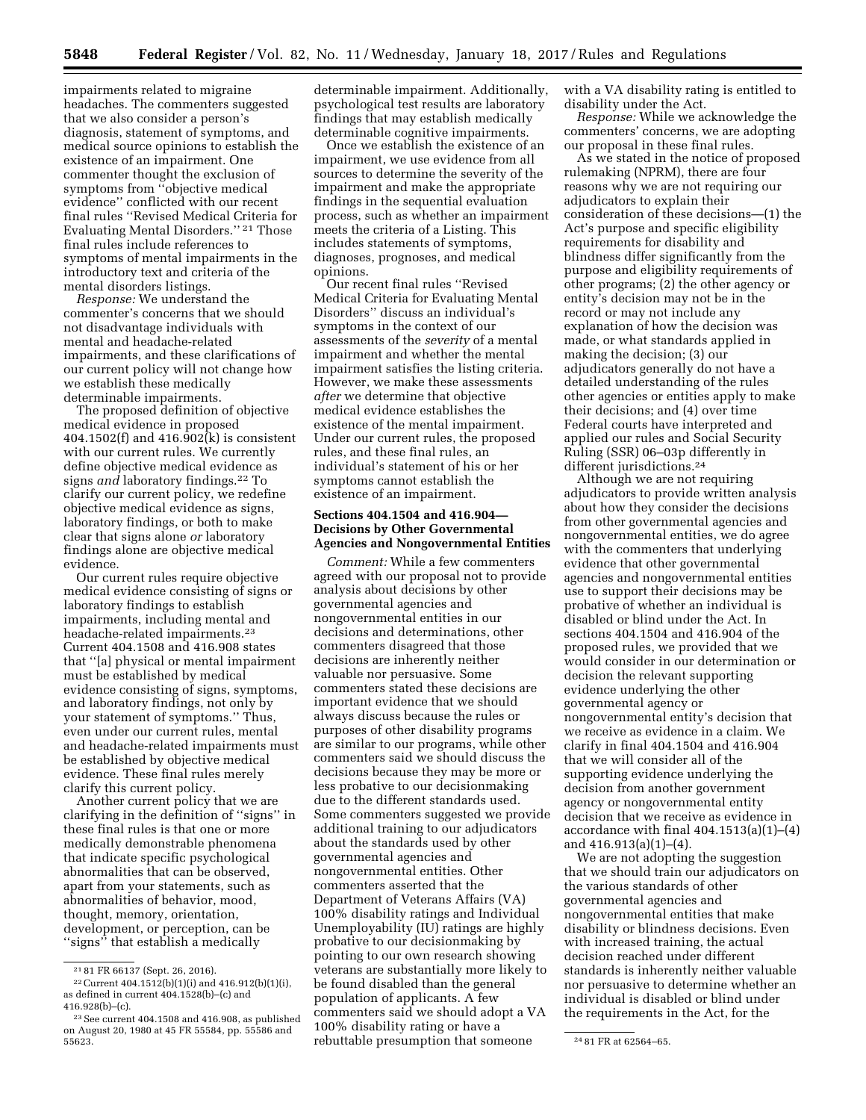impairments related to migraine headaches. The commenters suggested that we also consider a person's diagnosis, statement of symptoms, and medical source opinions to establish the existence of an impairment. One commenter thought the exclusion of symptoms from ''objective medical evidence'' conflicted with our recent final rules ''Revised Medical Criteria for Evaluating Mental Disorders.'' 21 Those final rules include references to symptoms of mental impairments in the introductory text and criteria of the mental disorders listings.

*Response:* We understand the commenter's concerns that we should not disadvantage individuals with mental and headache-related impairments, and these clarifications of our current policy will not change how we establish these medically determinable impairments.

The proposed definition of objective medical evidence in proposed 404.1502(f) and 416.902(k) is consistent with our current rules. We currently define objective medical evidence as signs *and* laboratory findings.22 To clarify our current policy, we redefine objective medical evidence as signs, laboratory findings, or both to make clear that signs alone *or* laboratory findings alone are objective medical evidence.

Our current rules require objective medical evidence consisting of signs or laboratory findings to establish impairments, including mental and headache-related impairments.<sup>23</sup> Current 404.1508 and 416.908 states that ''[a] physical or mental impairment must be established by medical evidence consisting of signs, symptoms, and laboratory findings, not only by your statement of symptoms.'' Thus, even under our current rules, mental and headache-related impairments must be established by objective medical evidence. These final rules merely clarify this current policy.

Another current policy that we are clarifying in the definition of ''signs'' in these final rules is that one or more medically demonstrable phenomena that indicate specific psychological abnormalities that can be observed, apart from your statements, such as abnormalities of behavior, mood, thought, memory, orientation, development, or perception, can be ''signs'' that establish a medically

determinable impairment. Additionally, psychological test results are laboratory findings that may establish medically determinable cognitive impairments.

Once we establish the existence of an impairment, we use evidence from all sources to determine the severity of the impairment and make the appropriate findings in the sequential evaluation process, such as whether an impairment meets the criteria of a Listing. This includes statements of symptoms, diagnoses, prognoses, and medical opinions.

Our recent final rules ''Revised Medical Criteria for Evaluating Mental Disorders'' discuss an individual's symptoms in the context of our assessments of the *severity* of a mental impairment and whether the mental impairment satisfies the listing criteria. However, we make these assessments *after* we determine that objective medical evidence establishes the existence of the mental impairment. Under our current rules, the proposed rules, and these final rules, an individual's statement of his or her symptoms cannot establish the existence of an impairment.

## **Sections 404.1504 and 416.904— Decisions by Other Governmental Agencies and Nongovernmental Entities**

*Comment:* While a few commenters agreed with our proposal not to provide analysis about decisions by other governmental agencies and nongovernmental entities in our decisions and determinations, other commenters disagreed that those decisions are inherently neither valuable nor persuasive. Some commenters stated these decisions are important evidence that we should always discuss because the rules or purposes of other disability programs are similar to our programs, while other commenters said we should discuss the decisions because they may be more or less probative to our decisionmaking due to the different standards used. Some commenters suggested we provide additional training to our adjudicators about the standards used by other governmental agencies and nongovernmental entities. Other commenters asserted that the Department of Veterans Affairs (VA) 100% disability ratings and Individual Unemployability (IU) ratings are highly probative to our decisionmaking by pointing to our own research showing veterans are substantially more likely to be found disabled than the general population of applicants. A few commenters said we should adopt a VA 100% disability rating or have a

with a VA disability rating is entitled to disability under the Act.

*Response:* While we acknowledge the commenters' concerns, we are adopting our proposal in these final rules.

As we stated in the notice of proposed rulemaking (NPRM), there are four reasons why we are not requiring our adjudicators to explain their consideration of these decisions—(1) the Act's purpose and specific eligibility requirements for disability and blindness differ significantly from the purpose and eligibility requirements of other programs; (2) the other agency or entity's decision may not be in the record or may not include any explanation of how the decision was made, or what standards applied in making the decision; (3) our adjudicators generally do not have a detailed understanding of the rules other agencies or entities apply to make their decisions; and (4) over time Federal courts have interpreted and applied our rules and Social Security Ruling (SSR) 06–03p differently in different jurisdictions.<sup>24</sup>

Although we are not requiring adjudicators to provide written analysis about how they consider the decisions from other governmental agencies and nongovernmental entities, we do agree with the commenters that underlying evidence that other governmental agencies and nongovernmental entities use to support their decisions may be probative of whether an individual is disabled or blind under the Act. In sections 404.1504 and 416.904 of the proposed rules, we provided that we would consider in our determination or decision the relevant supporting evidence underlying the other governmental agency or nongovernmental entity's decision that we receive as evidence in a claim. We clarify in final 404.1504 and 416.904 that we will consider all of the supporting evidence underlying the decision from another government agency or nongovernmental entity decision that we receive as evidence in accordance with final  $404.1513(a)(1)–(4)$ and 416.913(a)(1)–(4).

We are not adopting the suggestion that we should train our adjudicators on the various standards of other governmental agencies and nongovernmental entities that make disability or blindness decisions. Even with increased training, the actual decision reached under different standards is inherently neither valuable nor persuasive to determine whether an individual is disabled or blind under the requirements in the Act, for the

<sup>21</sup> 81 FR 66137 (Sept. 26, 2016).

<sup>22</sup>Current 404.1512(b)(1)(i) and 416.912(b)(1)(i), as defined in current 404.1528(b)–(c) and 416.928(b)–(c).

<sup>23</sup>See current 404.1508 and 416.908, as published on August 20, 1980 at 45 FR 55584, pp. 55586 and 55623. 24 81 FR at 62564–65. rebuttable presumption that someone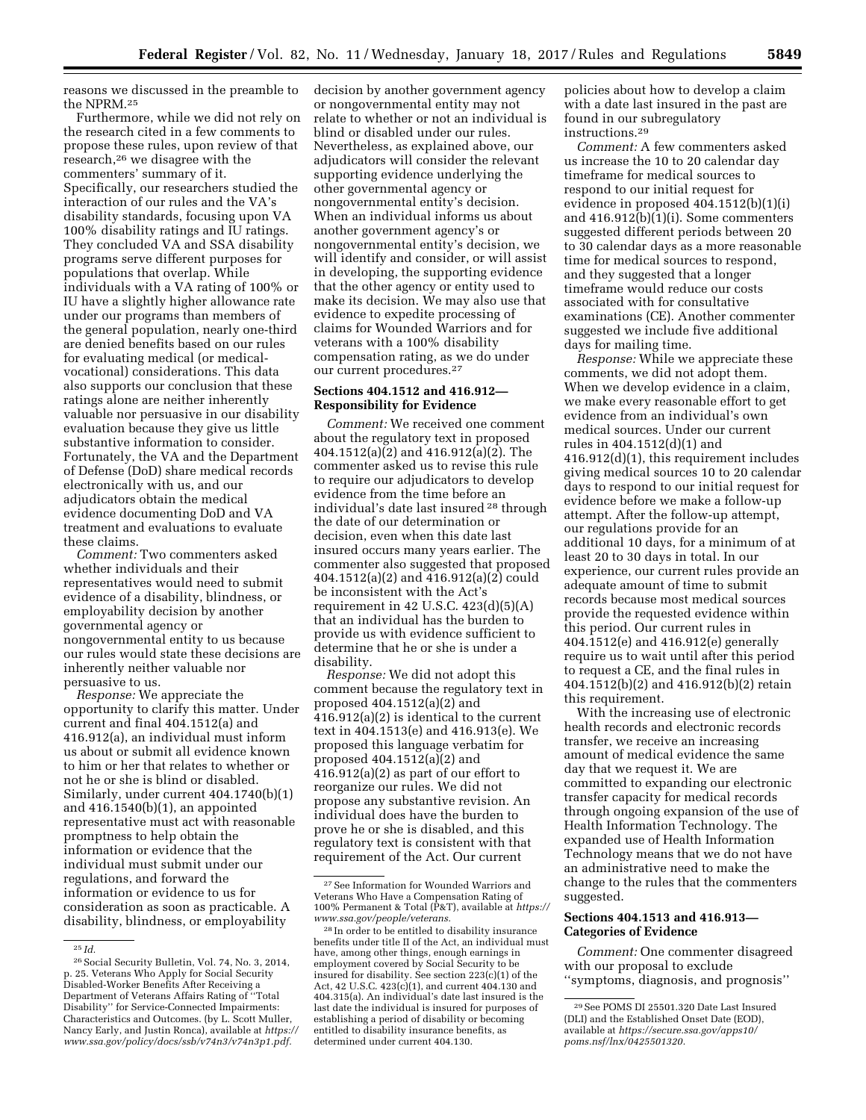reasons we discussed in the preamble to the NPRM.25

Furthermore, while we did not rely on the research cited in a few comments to propose these rules, upon review of that research,26 we disagree with the commenters' summary of it. Specifically, our researchers studied the interaction of our rules and the VA's disability standards, focusing upon VA 100% disability ratings and IU ratings. They concluded VA and SSA disability programs serve different purposes for populations that overlap. While individuals with a VA rating of 100% or IU have a slightly higher allowance rate under our programs than members of the general population, nearly one-third are denied benefits based on our rules for evaluating medical (or medicalvocational) considerations. This data also supports our conclusion that these ratings alone are neither inherently valuable nor persuasive in our disability evaluation because they give us little substantive information to consider. Fortunately, the VA and the Department of Defense (DoD) share medical records electronically with us, and our adjudicators obtain the medical evidence documenting DoD and VA treatment and evaluations to evaluate these claims.

*Comment:* Two commenters asked whether individuals and their representatives would need to submit evidence of a disability, blindness, or employability decision by another governmental agency or nongovernmental entity to us because our rules would state these decisions are inherently neither valuable nor persuasive to us.

*Response:* We appreciate the opportunity to clarify this matter. Under current and final 404.1512(a) and 416.912(a), an individual must inform us about or submit all evidence known to him or her that relates to whether or not he or she is blind or disabled. Similarly, under current 404.1740(b)(1) and 416.1540(b)(1), an appointed representative must act with reasonable promptness to help obtain the information or evidence that the individual must submit under our regulations, and forward the information or evidence to us for consideration as soon as practicable. A disability, blindness, or employability

decision by another government agency or nongovernmental entity may not relate to whether or not an individual is blind or disabled under our rules. Nevertheless, as explained above, our adjudicators will consider the relevant supporting evidence underlying the other governmental agency or nongovernmental entity's decision. When an individual informs us about another government agency's or nongovernmental entity's decision, we will identify and consider, or will assist in developing, the supporting evidence that the other agency or entity used to make its decision. We may also use that evidence to expedite processing of claims for Wounded Warriors and for veterans with a 100% disability compensation rating, as we do under our current procedures.<sup>27</sup>

### **Sections 404.1512 and 416.912— Responsibility for Evidence**

*Comment:* We received one comment about the regulatory text in proposed 404.1512(a)(2) and 416.912(a)(2). The commenter asked us to revise this rule to require our adjudicators to develop evidence from the time before an individual's date last insured 28 through the date of our determination or decision, even when this date last insured occurs many years earlier. The commenter also suggested that proposed 404.1512(a)(2) and 416.912(a)(2) could be inconsistent with the Act's requirement in 42 U.S.C.  $423(d)(5)(A)$ that an individual has the burden to provide us with evidence sufficient to determine that he or she is under a disability.

*Response:* We did not adopt this comment because the regulatory text in proposed 404.1512(a)(2) and 416.912(a)(2) is identical to the current text in 404.1513(e) and 416.913(e). We proposed this language verbatim for proposed 404.1512(a)(2) and 416.912(a)(2) as part of our effort to reorganize our rules. We did not propose any substantive revision. An individual does have the burden to prove he or she is disabled, and this regulatory text is consistent with that requirement of the Act. Our current

policies about how to develop a claim with a date last insured in the past are found in our subregulatory instructions.29

*Comment:* A few commenters asked us increase the 10 to 20 calendar day timeframe for medical sources to respond to our initial request for evidence in proposed 404.1512(b)(1)(i) and 416.912(b)(1)(i). Some commenters suggested different periods between 20 to 30 calendar days as a more reasonable time for medical sources to respond, and they suggested that a longer timeframe would reduce our costs associated with for consultative examinations (CE). Another commenter suggested we include five additional days for mailing time.

*Response:* While we appreciate these comments, we did not adopt them. When we develop evidence in a claim, we make every reasonable effort to get evidence from an individual's own medical sources. Under our current rules in 404.1512(d)(1) and 416.912(d)(1), this requirement includes giving medical sources 10 to 20 calendar days to respond to our initial request for evidence before we make a follow-up attempt. After the follow-up attempt, our regulations provide for an additional 10 days, for a minimum of at least 20 to 30 days in total. In our experience, our current rules provide an adequate amount of time to submit records because most medical sources provide the requested evidence within this period. Our current rules in 404.1512(e) and 416.912(e) generally require us to wait until after this period to request a CE, and the final rules in 404.1512(b)(2) and 416.912(b)(2) retain this requirement.

With the increasing use of electronic health records and electronic records transfer, we receive an increasing amount of medical evidence the same day that we request it. We are committed to expanding our electronic transfer capacity for medical records through ongoing expansion of the use of Health Information Technology. The expanded use of Health Information Technology means that we do not have an administrative need to make the change to the rules that the commenters suggested.

## **Sections 404.1513 and 416.913— Categories of Evidence**

*Comment:* One commenter disagreed with our proposal to exclude ''symptoms, diagnosis, and prognosis''

<sup>25</sup> *Id.* 

<sup>26</sup>Social Security Bulletin, Vol. 74, No. 3, 2014, p. 25. Veterans Who Apply for Social Security Disabled-Worker Benefits After Receiving a Department of Veterans Affairs Rating of ''Total Disability'' for Service-Connected Impairments: Characteristics and Outcomes. (by L. Scott Muller, Nancy Early, and Justin Ronca), available at *[https://](https://www.ssa.gov/policy/docs/ssb/v74n3/v74n3p1.pdf)  [www.ssa.gov/policy/docs/ssb/v74n3/v74n3p1.pdf.](https://www.ssa.gov/policy/docs/ssb/v74n3/v74n3p1.pdf)* 

<sup>27</sup>See Information for Wounded Warriors and Veterans Who Have a Compensation Rating of 100% Permanent & Total (P&T), available at *[https://](https://www.ssa.gov/people/veterans)  [www.ssa.gov/people/veterans.](https://www.ssa.gov/people/veterans)* 

<sup>28</sup> In order to be entitled to disability insurance benefits under title II of the Act, an individual must have, among other things, enough earnings in employment covered by Social Security to be insured for disability. See section 223(c)(1) of the Act, 42 U.S.C. 423(c)(1), and current 404.130 and 404.315(a). An individual's date last insured is the last date the individual is insured for purposes of establishing a period of disability or becoming entitled to disability insurance benefits, as determined under current 404.130.

<sup>29</sup>See POMS DI 25501.320 Date Last Insured (DLI) and the Established Onset Date (EOD), available at *[https://secure.ssa.gov/apps10/](https://secure.ssa.gov/apps10/poms.nsf/lnx/0425501320)  [poms.nsf/lnx/0425501320.](https://secure.ssa.gov/apps10/poms.nsf/lnx/0425501320)*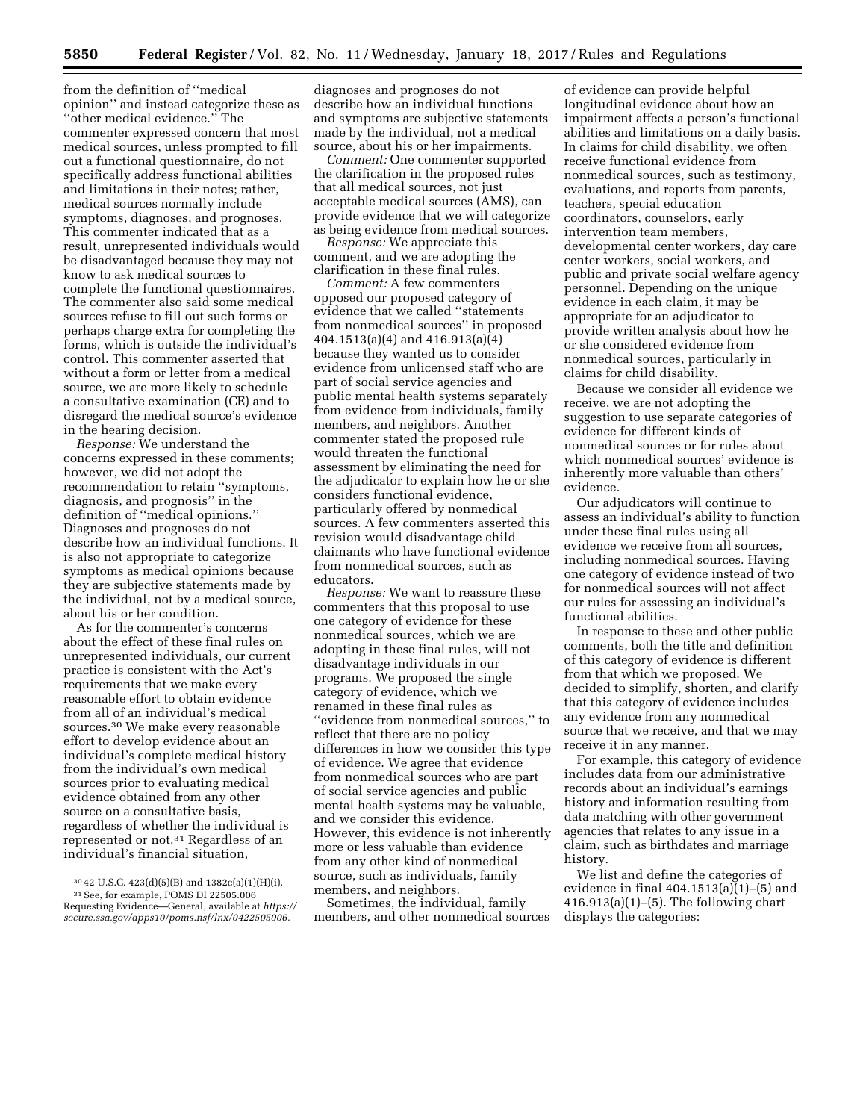from the definition of ''medical opinion'' and instead categorize these as ''other medical evidence.'' The commenter expressed concern that most medical sources, unless prompted to fill out a functional questionnaire, do not specifically address functional abilities and limitations in their notes; rather, medical sources normally include symptoms, diagnoses, and prognoses. This commenter indicated that as a result, unrepresented individuals would be disadvantaged because they may not know to ask medical sources to complete the functional questionnaires. The commenter also said some medical sources refuse to fill out such forms or perhaps charge extra for completing the forms, which is outside the individual's control. This commenter asserted that without a form or letter from a medical source, we are more likely to schedule a consultative examination (CE) and to disregard the medical source's evidence in the hearing decision.

*Response:* We understand the concerns expressed in these comments; however, we did not adopt the recommendation to retain ''symptoms, diagnosis, and prognosis'' in the definition of ''medical opinions.'' Diagnoses and prognoses do not describe how an individual functions. It is also not appropriate to categorize symptoms as medical opinions because they are subjective statements made by the individual, not by a medical source, about his or her condition.

As for the commenter's concerns about the effect of these final rules on unrepresented individuals, our current practice is consistent with the Act's requirements that we make every reasonable effort to obtain evidence from all of an individual's medical sources.30 We make every reasonable effort to develop evidence about an individual's complete medical history from the individual's own medical sources prior to evaluating medical evidence obtained from any other source on a consultative basis, regardless of whether the individual is represented or not.31 Regardless of an individual's financial situation,

diagnoses and prognoses do not describe how an individual functions and symptoms are subjective statements made by the individual, not a medical source, about his or her impairments.

*Comment:* One commenter supported the clarification in the proposed rules that all medical sources, not just acceptable medical sources (AMS), can provide evidence that we will categorize as being evidence from medical sources.

*Response:* We appreciate this comment, and we are adopting the clarification in these final rules.

*Comment:* A few commenters opposed our proposed category of evidence that we called ''statements from nonmedical sources'' in proposed 404.1513(a)(4) and 416.913(a)(4) because they wanted us to consider evidence from unlicensed staff who are part of social service agencies and public mental health systems separately from evidence from individuals, family members, and neighbors. Another commenter stated the proposed rule would threaten the functional assessment by eliminating the need for the adjudicator to explain how he or she considers functional evidence, particularly offered by nonmedical sources. A few commenters asserted this revision would disadvantage child claimants who have functional evidence from nonmedical sources, such as educators.

*Response:* We want to reassure these commenters that this proposal to use one category of evidence for these nonmedical sources, which we are adopting in these final rules, will not disadvantage individuals in our programs. We proposed the single category of evidence, which we renamed in these final rules as ''evidence from nonmedical sources,'' to reflect that there are no policy differences in how we consider this type of evidence. We agree that evidence from nonmedical sources who are part of social service agencies and public mental health systems may be valuable, and we consider this evidence. However, this evidence is not inherently more or less valuable than evidence from any other kind of nonmedical source, such as individuals, family members, and neighbors.

Sometimes, the individual, family members, and other nonmedical sources

of evidence can provide helpful longitudinal evidence about how an impairment affects a person's functional abilities and limitations on a daily basis. In claims for child disability, we often receive functional evidence from nonmedical sources, such as testimony, evaluations, and reports from parents, teachers, special education coordinators, counselors, early intervention team members, developmental center workers, day care center workers, social workers, and public and private social welfare agency personnel. Depending on the unique evidence in each claim, it may be appropriate for an adjudicator to provide written analysis about how he or she considered evidence from nonmedical sources, particularly in claims for child disability.

Because we consider all evidence we receive, we are not adopting the suggestion to use separate categories of evidence for different kinds of nonmedical sources or for rules about which nonmedical sources' evidence is inherently more valuable than others' evidence.

Our adjudicators will continue to assess an individual's ability to function under these final rules using all evidence we receive from all sources, including nonmedical sources. Having one category of evidence instead of two for nonmedical sources will not affect our rules for assessing an individual's functional abilities.

In response to these and other public comments, both the title and definition of this category of evidence is different from that which we proposed. We decided to simplify, shorten, and clarify that this category of evidence includes any evidence from any nonmedical source that we receive, and that we may receive it in any manner.

For example, this category of evidence includes data from our administrative records about an individual's earnings history and information resulting from data matching with other government agencies that relates to any issue in a claim, such as birthdates and marriage history.

We list and define the categories of evidence in final 404.1513(a)(1)–(5) and  $416.913(a)(1)–(5)$ . The following chart displays the categories:

<sup>30</sup> 42 U.S.C. 423(d)(5)(B) and 1382c(a)(1)(H)(i). 31See, for example, POMS DI 22505.006 Requesting Evidence—General, available at *[https://](https://secure.ssa.gov/apps10/poms.nsf/lnx/0422505006)  [secure.ssa.gov/apps10/poms.nsf/lnx/0422505006.](https://secure.ssa.gov/apps10/poms.nsf/lnx/0422505006)*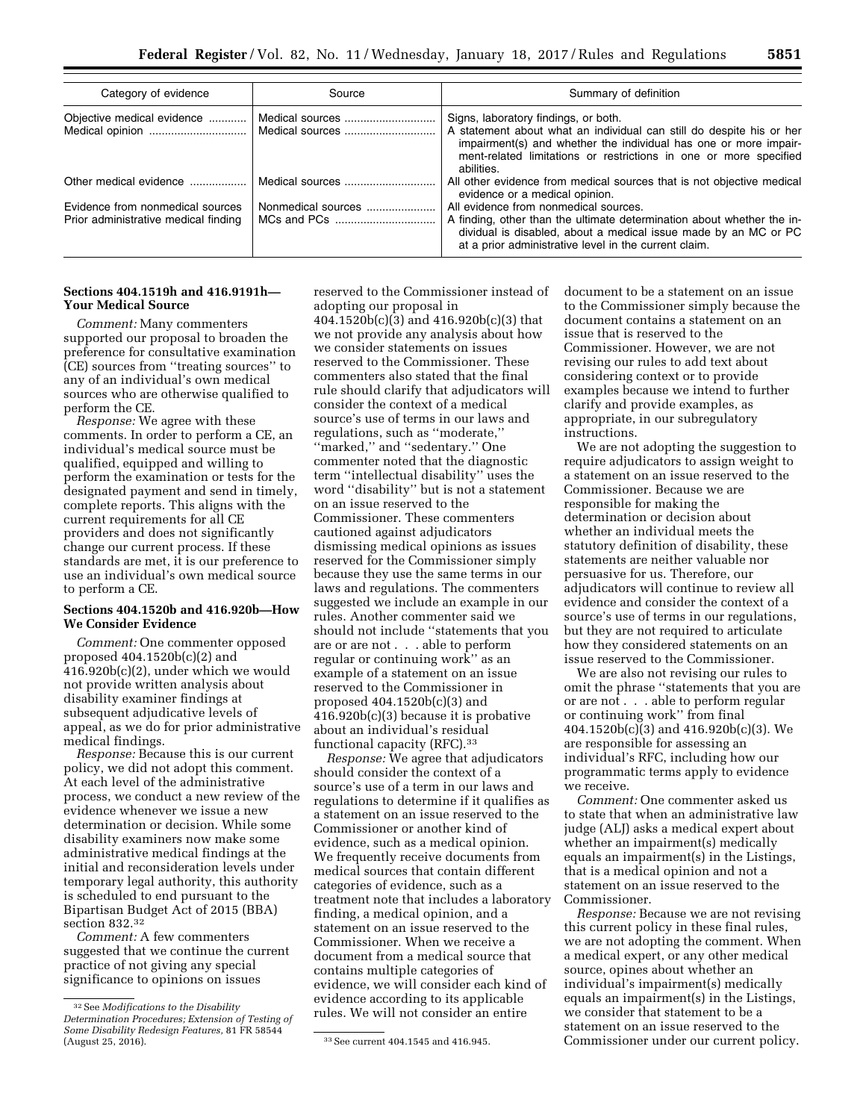| Category of evidence                                                     | Source                             | Summary of definition                                                                                                                                                                                                                                               |
|--------------------------------------------------------------------------|------------------------------------|---------------------------------------------------------------------------------------------------------------------------------------------------------------------------------------------------------------------------------------------------------------------|
| Objective medical evidence                                               | Medical sources<br>Medical sources | Signs, laboratory findings, or both.<br>A statement about what an individual can still do despite his or her<br>impairment(s) and whether the individual has one or more impair-<br>ment-related limitations or restrictions in one or more specified<br>abilities. |
| Other medical evidence                                                   | Medical sources                    | All other evidence from medical sources that is not objective medical<br>evidence or a medical opinion.                                                                                                                                                             |
| Evidence from nonmedical sources<br>Prior administrative medical finding | Nonmedical sources                 | All evidence from nonmedical sources.<br>A finding, other than the ultimate determination about whether the in-<br>dividual is disabled, about a medical issue made by an MC or PC<br>at a prior administrative level in the current claim.                         |

### **Sections 404.1519h and 416.9191h— Your Medical Source**

*Comment:* Many commenters supported our proposal to broaden the preference for consultative examination (CE) sources from ''treating sources'' to any of an individual's own medical sources who are otherwise qualified to perform the CE.

*Response:* We agree with these comments. In order to perform a CE, an individual's medical source must be qualified, equipped and willing to perform the examination or tests for the designated payment and send in timely, complete reports. This aligns with the current requirements for all CE providers and does not significantly change our current process. If these standards are met, it is our preference to use an individual's own medical source to perform a CE.

## **Sections 404.1520b and 416.920b—How We Consider Evidence**

*Comment:* One commenter opposed proposed 404.1520b(c)(2) and 416.920b(c)(2), under which we would not provide written analysis about disability examiner findings at subsequent adjudicative levels of appeal, as we do for prior administrative medical findings.

*Response:* Because this is our current policy, we did not adopt this comment. At each level of the administrative process, we conduct a new review of the evidence whenever we issue a new determination or decision. While some disability examiners now make some administrative medical findings at the initial and reconsideration levels under temporary legal authority, this authority is scheduled to end pursuant to the Bipartisan Budget Act of 2015 (BBA) section 832.32

*Comment:* A few commenters suggested that we continue the current practice of not giving any special significance to opinions on issues

reserved to the Commissioner instead of adopting our proposal in

404.1520b(c)(3) and 416.920b(c)(3) that we not provide any analysis about how we consider statements on issues reserved to the Commissioner. These commenters also stated that the final rule should clarify that adjudicators will consider the context of a medical source's use of terms in our laws and regulations, such as ''moderate,'' ''marked,'' and ''sedentary.'' One commenter noted that the diagnostic term ''intellectual disability'' uses the word ''disability'' but is not a statement on an issue reserved to the Commissioner. These commenters cautioned against adjudicators dismissing medical opinions as issues reserved for the Commissioner simply because they use the same terms in our laws and regulations. The commenters suggested we include an example in our rules. Another commenter said we should not include ''statements that you are or are not . . . able to perform regular or continuing work'' as an example of a statement on an issue reserved to the Commissioner in proposed 404.1520b(c)(3) and 416.920b(c)(3) because it is probative about an individual's residual functional capacity (RFC).33

*Response:* We agree that adjudicators should consider the context of a source's use of a term in our laws and regulations to determine if it qualifies as a statement on an issue reserved to the Commissioner or another kind of evidence, such as a medical opinion. We frequently receive documents from medical sources that contain different categories of evidence, such as a treatment note that includes a laboratory finding, a medical opinion, and a statement on an issue reserved to the Commissioner. When we receive a document from a medical source that contains multiple categories of evidence, we will consider each kind of evidence according to its applicable rules. We will not consider an entire

document to be a statement on an issue to the Commissioner simply because the document contains a statement on an issue that is reserved to the Commissioner. However, we are not revising our rules to add text about considering context or to provide examples because we intend to further clarify and provide examples, as appropriate, in our subregulatory instructions.

We are not adopting the suggestion to require adjudicators to assign weight to a statement on an issue reserved to the Commissioner. Because we are responsible for making the determination or decision about whether an individual meets the statutory definition of disability, these statements are neither valuable nor persuasive for us. Therefore, our adjudicators will continue to review all evidence and consider the context of a source's use of terms in our regulations, but they are not required to articulate how they considered statements on an issue reserved to the Commissioner.

We are also not revising our rules to omit the phrase ''statements that you are or are not . . . able to perform regular or continuing work'' from final 404.1520b(c)(3) and 416.920b(c)(3). We are responsible for assessing an individual's RFC, including how our programmatic terms apply to evidence we receive.

*Comment:* One commenter asked us to state that when an administrative law judge (ALJ) asks a medical expert about whether an impairment(s) medically equals an impairment(s) in the Listings, that is a medical opinion and not a statement on an issue reserved to the Commissioner.

*Response:* Because we are not revising this current policy in these final rules, we are not adopting the comment. When a medical expert, or any other medical source, opines about whether an individual's impairment(s) medically equals an impairment(s) in the Listings, we consider that statement to be a statement on an issue reserved to the Commissioner under our current policy.

<sup>32</sup>See *Modifications to the Disability Determination Procedures; Extension of Testing of Some Disability Redesign Features,* 81 FR 58544

<sup>33</sup> See current 404.1545 and 416.945.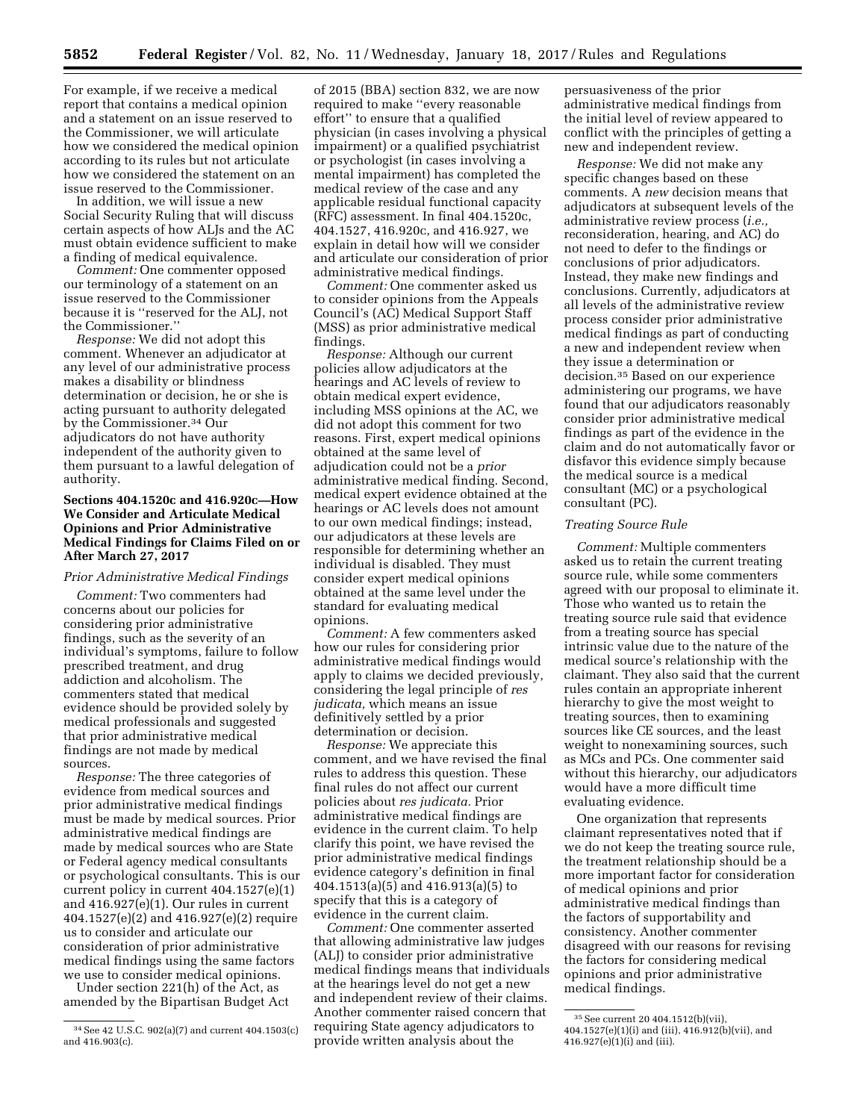For example, if we receive a medical report that contains a medical opinion and a statement on an issue reserved to the Commissioner, we will articulate how we considered the medical opinion according to its rules but not articulate how we considered the statement on an issue reserved to the Commissioner.

In addition, we will issue a new Social Security Ruling that will discuss certain aspects of how ALJs and the AC must obtain evidence sufficient to make a finding of medical equivalence.

*Comment:* One commenter opposed our terminology of a statement on an issue reserved to the Commissioner because it is ''reserved for the ALJ, not the Commissioner.''

*Response:* We did not adopt this comment. Whenever an adjudicator at any level of our administrative process makes a disability or blindness determination or decision, he or she is acting pursuant to authority delegated by the Commissioner.<sup>34</sup> Our adjudicators do not have authority independent of the authority given to them pursuant to a lawful delegation of authority.

## **Sections 404.1520c and 416.920c—How We Consider and Articulate Medical Opinions and Prior Administrative Medical Findings for Claims Filed on or After March 27, 2017**

#### *Prior Administrative Medical Findings*

*Comment:* Two commenters had concerns about our policies for considering prior administrative findings, such as the severity of an individual's symptoms, failure to follow prescribed treatment, and drug addiction and alcoholism. The commenters stated that medical evidence should be provided solely by medical professionals and suggested that prior administrative medical findings are not made by medical sources.

*Response:* The three categories of evidence from medical sources and prior administrative medical findings must be made by medical sources. Prior administrative medical findings are made by medical sources who are State or Federal agency medical consultants or psychological consultants. This is our current policy in current 404.1527(e)(1) and 416.927(e)(1). Our rules in current 404.1527(e)(2) and 416.927(e)(2) require us to consider and articulate our consideration of prior administrative medical findings using the same factors we use to consider medical opinions.

Under section 221(h) of the Act, as amended by the Bipartisan Budget Act

of 2015 (BBA) section 832, we are now required to make ''every reasonable effort'' to ensure that a qualified physician (in cases involving a physical impairment) or a qualified psychiatrist or psychologist (in cases involving a mental impairment) has completed the medical review of the case and any applicable residual functional capacity (RFC) assessment. In final 404.1520c, 404.1527, 416.920c, and 416.927, we explain in detail how will we consider and articulate our consideration of prior administrative medical findings.

*Comment:* One commenter asked us to consider opinions from the Appeals Council's (AC) Medical Support Staff (MSS) as prior administrative medical findings.

*Response:* Although our current policies allow adjudicators at the hearings and AC levels of review to obtain medical expert evidence, including MSS opinions at the AC, we did not adopt this comment for two reasons. First, expert medical opinions obtained at the same level of adjudication could not be a *prior*  administrative medical finding. Second, medical expert evidence obtained at the hearings or AC levels does not amount to our own medical findings; instead, our adjudicators at these levels are responsible for determining whether an individual is disabled. They must consider expert medical opinions obtained at the same level under the standard for evaluating medical opinions.

*Comment:* A few commenters asked how our rules for considering prior administrative medical findings would apply to claims we decided previously, considering the legal principle of *res judicata,* which means an issue definitively settled by a prior determination or decision.

*Response:* We appreciate this comment, and we have revised the final rules to address this question. These final rules do not affect our current policies about *res judicata.* Prior administrative medical findings are evidence in the current claim. To help clarify this point, we have revised the prior administrative medical findings evidence category's definition in final 404.1513(a)(5) and 416.913(a)(5) to specify that this is a category of evidence in the current claim.

*Comment:* One commenter asserted that allowing administrative law judges (ALJ) to consider prior administrative medical findings means that individuals at the hearings level do not get a new and independent review of their claims. Another commenter raised concern that requiring State agency adjudicators to provide written analysis about the

persuasiveness of the prior administrative medical findings from the initial level of review appeared to conflict with the principles of getting a new and independent review.

*Response:* We did not make any specific changes based on these comments. A *new* decision means that adjudicators at subsequent levels of the administrative review process (*i.e.,*  reconsideration, hearing, and AC) do not need to defer to the findings or conclusions of prior adjudicators. Instead, they make new findings and conclusions. Currently, adjudicators at all levels of the administrative review process consider prior administrative medical findings as part of conducting a new and independent review when they issue a determination or decision.35 Based on our experience administering our programs, we have found that our adjudicators reasonably consider prior administrative medical findings as part of the evidence in the claim and do not automatically favor or disfavor this evidence simply because the medical source is a medical consultant (MC) or a psychological consultant (PC).

#### *Treating Source Rule*

*Comment:* Multiple commenters asked us to retain the current treating source rule, while some commenters agreed with our proposal to eliminate it. Those who wanted us to retain the treating source rule said that evidence from a treating source has special intrinsic value due to the nature of the medical source's relationship with the claimant. They also said that the current rules contain an appropriate inherent hierarchy to give the most weight to treating sources, then to examining sources like CE sources, and the least weight to nonexamining sources, such as MCs and PCs. One commenter said without this hierarchy, our adjudicators would have a more difficult time evaluating evidence.

One organization that represents claimant representatives noted that if we do not keep the treating source rule, the treatment relationship should be a more important factor for consideration of medical opinions and prior administrative medical findings than the factors of supportability and consistency. Another commenter disagreed with our reasons for revising the factors for considering medical opinions and prior administrative medical findings.

<sup>34</sup>See 42 U.S.C. 902(a)(7) and current 404.1503(c) and 416.903(c).

<sup>35</sup>See current 20 404.1512(b)(vii), 404.1527(e)(1)(i) and (iii), 416.912(b)(vii), and 416.927(e)(1)(i) and (iii).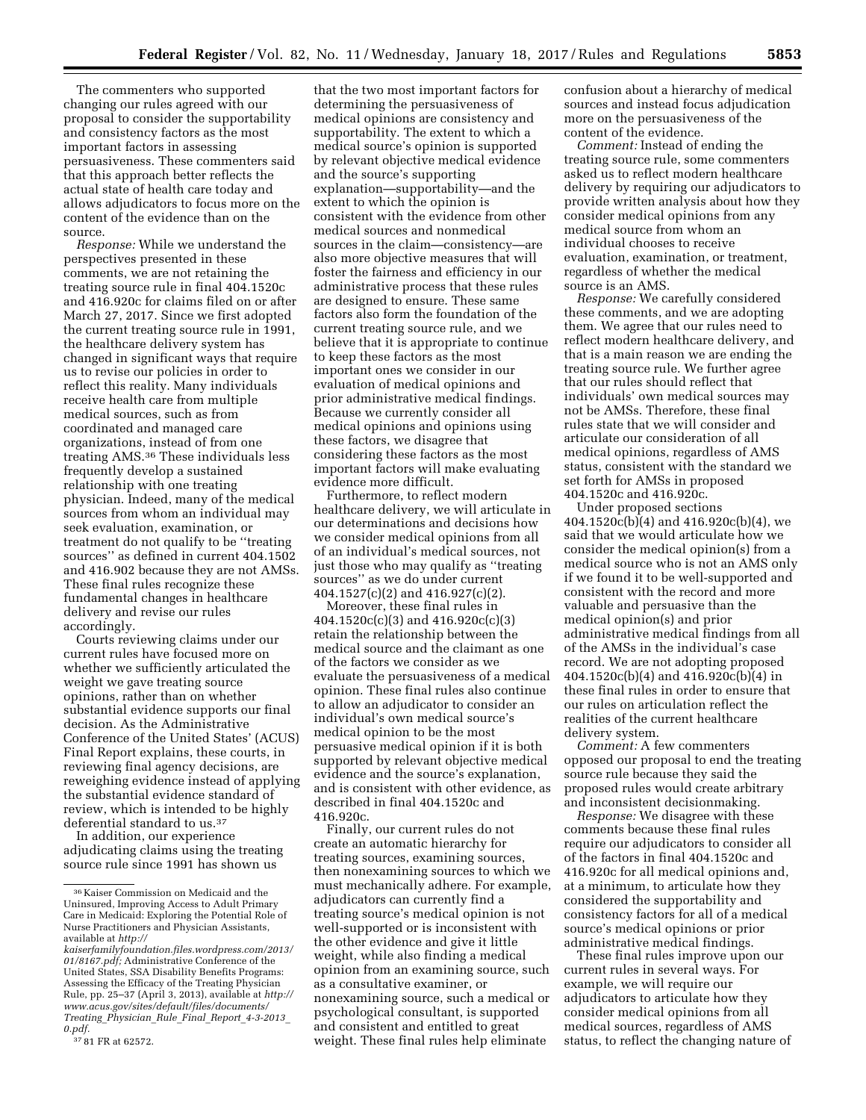The commenters who supported changing our rules agreed with our proposal to consider the supportability and consistency factors as the most important factors in assessing persuasiveness. These commenters said that this approach better reflects the actual state of health care today and allows adjudicators to focus more on the content of the evidence than on the source.

*Response:* While we understand the perspectives presented in these comments, we are not retaining the treating source rule in final 404.1520c and 416.920c for claims filed on or after March 27, 2017. Since we first adopted the current treating source rule in 1991, the healthcare delivery system has changed in significant ways that require us to revise our policies in order to reflect this reality. Many individuals receive health care from multiple medical sources, such as from coordinated and managed care organizations, instead of from one treating AMS.36 These individuals less frequently develop a sustained relationship with one treating physician. Indeed, many of the medical sources from whom an individual may seek evaluation, examination, or treatment do not qualify to be ''treating sources'' as defined in current 404.1502 and 416.902 because they are not AMSs. These final rules recognize these fundamental changes in healthcare delivery and revise our rules accordingly.

Courts reviewing claims under our current rules have focused more on whether we sufficiently articulated the weight we gave treating source opinions, rather than on whether substantial evidence supports our final decision. As the Administrative Conference of the United States' (ACUS) Final Report explains, these courts, in reviewing final agency decisions, are reweighing evidence instead of applying the substantial evidence standard of review, which is intended to be highly deferential standard to us.37

In addition, our experience adjudicating claims using the treating source rule since 1991 has shown us

that the two most important factors for determining the persuasiveness of medical opinions are consistency and supportability. The extent to which a medical source's opinion is supported by relevant objective medical evidence and the source's supporting explanation—supportability—and the extent to which the opinion is consistent with the evidence from other medical sources and nonmedical sources in the claim—consistency—are also more objective measures that will foster the fairness and efficiency in our administrative process that these rules are designed to ensure. These same factors also form the foundation of the current treating source rule, and we believe that it is appropriate to continue to keep these factors as the most important ones we consider in our evaluation of medical opinions and prior administrative medical findings. Because we currently consider all medical opinions and opinions using these factors, we disagree that considering these factors as the most important factors will make evaluating evidence more difficult.

Furthermore, to reflect modern healthcare delivery, we will articulate in our determinations and decisions how we consider medical opinions from all of an individual's medical sources, not just those who may qualify as ''treating sources'' as we do under current 404.1527(c)(2) and 416.927(c)(2).

Moreover, these final rules in 404.1520c(c)(3) and 416.920c(c)(3) retain the relationship between the medical source and the claimant as one of the factors we consider as we evaluate the persuasiveness of a medical opinion. These final rules also continue to allow an adjudicator to consider an individual's own medical source's medical opinion to be the most persuasive medical opinion if it is both supported by relevant objective medical evidence and the source's explanation, and is consistent with other evidence, as described in final 404.1520c and 416.920c.

Finally, our current rules do not create an automatic hierarchy for treating sources, examining sources, then nonexamining sources to which we must mechanically adhere. For example, adjudicators can currently find a treating source's medical opinion is not well-supported or is inconsistent with the other evidence and give it little weight, while also finding a medical opinion from an examining source, such as a consultative examiner, or nonexamining source, such a medical or psychological consultant, is supported and consistent and entitled to great weight. These final rules help eliminate

confusion about a hierarchy of medical sources and instead focus adjudication more on the persuasiveness of the content of the evidence.

*Comment:* Instead of ending the treating source rule, some commenters asked us to reflect modern healthcare delivery by requiring our adjudicators to provide written analysis about how they consider medical opinions from any medical source from whom an individual chooses to receive evaluation, examination, or treatment, regardless of whether the medical source is an AMS.

*Response:* We carefully considered these comments, and we are adopting them. We agree that our rules need to reflect modern healthcare delivery, and that is a main reason we are ending the treating source rule. We further agree that our rules should reflect that individuals' own medical sources may not be AMSs. Therefore, these final rules state that we will consider and articulate our consideration of all medical opinions, regardless of AMS status, consistent with the standard we set forth for AMSs in proposed 404.1520c and 416.920c.

Under proposed sections 404.1520c(b)(4) and 416.920c(b)(4), we said that we would articulate how we consider the medical opinion(s) from a medical source who is not an AMS only if we found it to be well-supported and consistent with the record and more valuable and persuasive than the medical opinion(s) and prior administrative medical findings from all of the AMSs in the individual's case record. We are not adopting proposed 404.1520c(b)(4) and 416.920c(b)(4) in these final rules in order to ensure that our rules on articulation reflect the realities of the current healthcare delivery system.

*Comment:* A few commenters opposed our proposal to end the treating source rule because they said the proposed rules would create arbitrary and inconsistent decisionmaking.

*Response:* We disagree with these comments because these final rules require our adjudicators to consider all of the factors in final 404.1520c and 416.920c for all medical opinions and, at a minimum, to articulate how they considered the supportability and consistency factors for all of a medical source's medical opinions or prior administrative medical findings.

These final rules improve upon our current rules in several ways. For example, we will require our adjudicators to articulate how they consider medical opinions from all medical sources, regardless of AMS status, to reflect the changing nature of

<sup>36</sup> Kaiser Commission on Medicaid and the Uninsured, Improving Access to Adult Primary Care in Medicaid: Exploring the Potential Role of Nurse Practitioners and Physician Assistants, available at *[http://](http://kaiserfamilyfoundation.files.wordpress.com/2013/01/8167.pdf)*

*[kaiserfamilyfoundation.files.wordpress.com/2013/](http://kaiserfamilyfoundation.files.wordpress.com/2013/01/8167.pdf) [01/8167.pdf;](http://kaiserfamilyfoundation.files.wordpress.com/2013/01/8167.pdf)* Administrative Conference of the United States, SSA Disability Benefits Programs: Assessing the Efficacy of the Treating Physician Rule, pp. 25–37 (April 3, 2013), available at *[http://](http://www.acus.gov/sites/default/files/documents/Treating_Physician_Rule_Final_Report_4-3-2013_0.pdf) [www.acus.gov/sites/default/files/documents/](http://www.acus.gov/sites/default/files/documents/Treating_Physician_Rule_Final_Report_4-3-2013_0.pdf) Treating*\_*[Physician](http://www.acus.gov/sites/default/files/documents/Treating_Physician_Rule_Final_Report_4-3-2013_0.pdf)*\_*Rule*\_*Final*\_*Report*\_*4-3-2013*\_ *[0.pdf.](http://www.acus.gov/sites/default/files/documents/Treating_Physician_Rule_Final_Report_4-3-2013_0.pdf)* 

<sup>37</sup> 81 FR at 62572.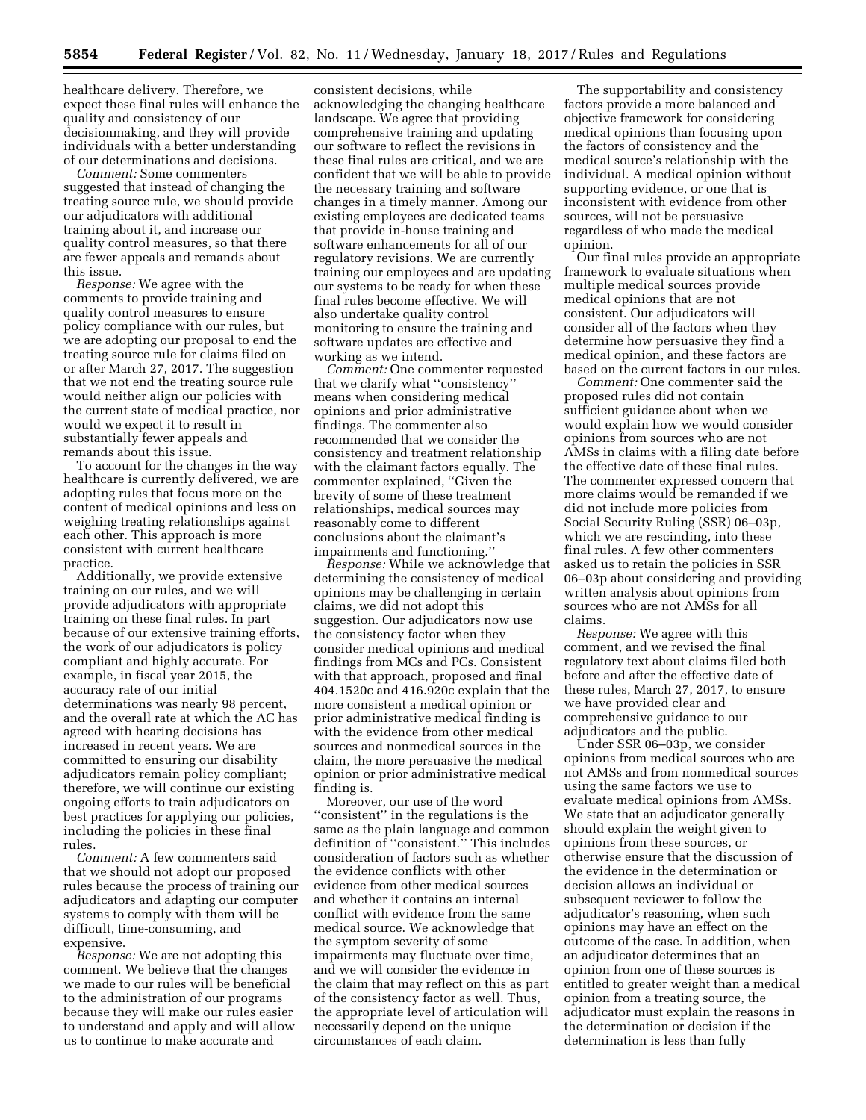healthcare delivery. Therefore, we expect these final rules will enhance the quality and consistency of our decisionmaking, and they will provide individuals with a better understanding of our determinations and decisions.

*Comment:* Some commenters suggested that instead of changing the treating source rule, we should provide our adjudicators with additional training about it, and increase our quality control measures, so that there are fewer appeals and remands about this issue.

*Response:* We agree with the comments to provide training and quality control measures to ensure policy compliance with our rules, but we are adopting our proposal to end the treating source rule for claims filed on or after March 27, 2017. The suggestion that we not end the treating source rule would neither align our policies with the current state of medical practice, nor would we expect it to result in substantially fewer appeals and remands about this issue.

To account for the changes in the way healthcare is currently delivered, we are adopting rules that focus more on the content of medical opinions and less on weighing treating relationships against each other. This approach is more consistent with current healthcare practice.

Additionally, we provide extensive training on our rules, and we will provide adjudicators with appropriate training on these final rules. In part because of our extensive training efforts, the work of our adjudicators is policy compliant and highly accurate. For example, in fiscal year 2015, the accuracy rate of our initial determinations was nearly 98 percent, and the overall rate at which the AC has agreed with hearing decisions has increased in recent years. We are committed to ensuring our disability adjudicators remain policy compliant; therefore, we will continue our existing ongoing efforts to train adjudicators on best practices for applying our policies, including the policies in these final rules.

*Comment:* A few commenters said that we should not adopt our proposed rules because the process of training our adjudicators and adapting our computer systems to comply with them will be difficult, time-consuming, and expensive.

*Response:* We are not adopting this comment. We believe that the changes we made to our rules will be beneficial to the administration of our programs because they will make our rules easier to understand and apply and will allow us to continue to make accurate and

consistent decisions, while acknowledging the changing healthcare landscape. We agree that providing comprehensive training and updating our software to reflect the revisions in these final rules are critical, and we are confident that we will be able to provide the necessary training and software changes in a timely manner. Among our existing employees are dedicated teams that provide in-house training and software enhancements for all of our regulatory revisions. We are currently training our employees and are updating our systems to be ready for when these final rules become effective. We will also undertake quality control monitoring to ensure the training and software updates are effective and working as we intend.

*Comment:* One commenter requested that we clarify what ''consistency'' means when considering medical opinions and prior administrative findings. The commenter also recommended that we consider the consistency and treatment relationship with the claimant factors equally. The commenter explained, ''Given the brevity of some of these treatment relationships, medical sources may reasonably come to different conclusions about the claimant's impairments and functioning.''

*Response:* While we acknowledge that determining the consistency of medical opinions may be challenging in certain claims, we did not adopt this suggestion. Our adjudicators now use the consistency factor when they consider medical opinions and medical findings from MCs and PCs. Consistent with that approach, proposed and final 404.1520c and 416.920c explain that the more consistent a medical opinion or prior administrative medical finding is with the evidence from other medical sources and nonmedical sources in the claim, the more persuasive the medical opinion or prior administrative medical finding is.

Moreover, our use of the word "consistent" in the regulations is the same as the plain language and common definition of ''consistent.'' This includes consideration of factors such as whether the evidence conflicts with other evidence from other medical sources and whether it contains an internal conflict with evidence from the same medical source. We acknowledge that the symptom severity of some impairments may fluctuate over time, and we will consider the evidence in the claim that may reflect on this as part of the consistency factor as well. Thus, the appropriate level of articulation will necessarily depend on the unique circumstances of each claim.

The supportability and consistency factors provide a more balanced and objective framework for considering medical opinions than focusing upon the factors of consistency and the medical source's relationship with the individual. A medical opinion without supporting evidence, or one that is inconsistent with evidence from other sources, will not be persuasive regardless of who made the medical opinion.

Our final rules provide an appropriate framework to evaluate situations when multiple medical sources provide medical opinions that are not consistent. Our adjudicators will consider all of the factors when they determine how persuasive they find a medical opinion, and these factors are based on the current factors in our rules.

*Comment:* One commenter said the proposed rules did not contain sufficient guidance about when we would explain how we would consider opinions from sources who are not AMSs in claims with a filing date before the effective date of these final rules. The commenter expressed concern that more claims would be remanded if we did not include more policies from Social Security Ruling (SSR) 06–03p, which we are rescinding, into these final rules. A few other commenters asked us to retain the policies in SSR 06–03p about considering and providing written analysis about opinions from sources who are not AMSs for all claims.

*Response:* We agree with this comment, and we revised the final regulatory text about claims filed both before and after the effective date of these rules, March 27, 2017, to ensure we have provided clear and comprehensive guidance to our adjudicators and the public.

Under SSR 06–03p, we consider opinions from medical sources who are not AMSs and from nonmedical sources using the same factors we use to evaluate medical opinions from AMSs. We state that an adjudicator generally should explain the weight given to opinions from these sources, or otherwise ensure that the discussion of the evidence in the determination or decision allows an individual or subsequent reviewer to follow the adjudicator's reasoning, when such opinions may have an effect on the outcome of the case. In addition, when an adjudicator determines that an opinion from one of these sources is entitled to greater weight than a medical opinion from a treating source, the adjudicator must explain the reasons in the determination or decision if the determination is less than fully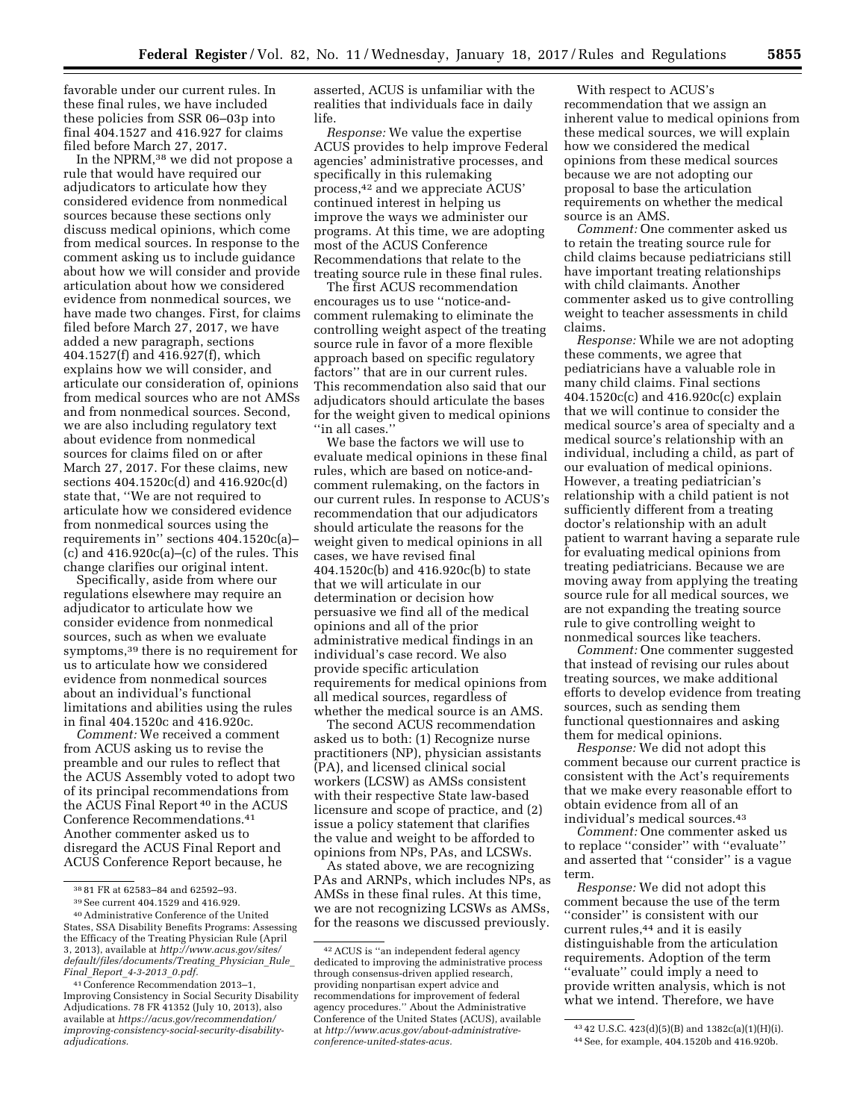favorable under our current rules. In these final rules, we have included these policies from SSR 06–03p into final 404.1527 and 416.927 for claims filed before March 27, 2017.

In the NPRM,38 we did not propose a rule that would have required our adjudicators to articulate how they considered evidence from nonmedical sources because these sections only discuss medical opinions, which come from medical sources. In response to the comment asking us to include guidance about how we will consider and provide articulation about how we considered evidence from nonmedical sources, we have made two changes. First, for claims filed before March 27, 2017, we have added a new paragraph, sections 404.1527(f) and 416.927(f), which explains how we will consider, and articulate our consideration of, opinions from medical sources who are not AMSs and from nonmedical sources. Second, we are also including regulatory text about evidence from nonmedical sources for claims filed on or after March 27, 2017. For these claims, new sections 404.1520c(d) and 416.920c(d) state that, ''We are not required to articulate how we considered evidence from nonmedical sources using the requirements in'' sections 404.1520c(a)–  $(c)$  and  $416.920c(a)$ – $(c)$  of the rules. This change clarifies our original intent.

Specifically, aside from where our regulations elsewhere may require an adjudicator to articulate how we consider evidence from nonmedical sources, such as when we evaluate symptoms,39 there is no requirement for us to articulate how we considered evidence from nonmedical sources about an individual's functional limitations and abilities using the rules in final 404.1520c and 416.920c.

*Comment:* We received a comment from ACUS asking us to revise the preamble and our rules to reflect that the ACUS Assembly voted to adopt two of its principal recommendations from the ACUS Final Report 40 in the ACUS Conference Recommendations.41 Another commenter asked us to disregard the ACUS Final Report and ACUS Conference Report because, he

asserted, ACUS is unfamiliar with the realities that individuals face in daily life.

*Response:* We value the expertise ACUS provides to help improve Federal agencies' administrative processes, and specifically in this rulemaking process,42 and we appreciate ACUS' continued interest in helping us improve the ways we administer our programs. At this time, we are adopting most of the ACUS Conference Recommendations that relate to the treating source rule in these final rules.

The first ACUS recommendation encourages us to use ''notice-andcomment rulemaking to eliminate the controlling weight aspect of the treating source rule in favor of a more flexible approach based on specific regulatory factors'' that are in our current rules. This recommendation also said that our adjudicators should articulate the bases for the weight given to medical opinions ''in all cases.''

We base the factors we will use to evaluate medical opinions in these final rules, which are based on notice-andcomment rulemaking, on the factors in our current rules. In response to ACUS's recommendation that our adjudicators should articulate the reasons for the weight given to medical opinions in all cases, we have revised final 404.1520c(b) and 416.920c(b) to state that we will articulate in our determination or decision how persuasive we find all of the medical opinions and all of the prior administrative medical findings in an individual's case record. We also provide specific articulation requirements for medical opinions from all medical sources, regardless of whether the medical source is an AMS.

The second ACUS recommendation asked us to both: (1) Recognize nurse practitioners (NP), physician assistants (PA), and licensed clinical social workers (LCSW) as AMSs consistent with their respective State law-based licensure and scope of practice, and (2) issue a policy statement that clarifies the value and weight to be afforded to opinions from NPs, PAs, and LCSWs.

As stated above, we are recognizing PAs and ARNPs, which includes NPs, as AMSs in these final rules. At this time, we are not recognizing LCSWs as AMSs, for the reasons we discussed previously.

With respect to ACUS's recommendation that we assign an inherent value to medical opinions from these medical sources, we will explain how we considered the medical opinions from these medical sources because we are not adopting our proposal to base the articulation requirements on whether the medical source is an AMS.

*Comment:* One commenter asked us to retain the treating source rule for child claims because pediatricians still have important treating relationships with child claimants. Another commenter asked us to give controlling weight to teacher assessments in child claims.

*Response:* While we are not adopting these comments, we agree that pediatricians have a valuable role in many child claims. Final sections 404.1520c(c) and 416.920c(c) explain that we will continue to consider the medical source's area of specialty and a medical source's relationship with an individual, including a child, as part of our evaluation of medical opinions. However, a treating pediatrician's relationship with a child patient is not sufficiently different from a treating doctor's relationship with an adult patient to warrant having a separate rule for evaluating medical opinions from treating pediatricians. Because we are moving away from applying the treating source rule for all medical sources, we are not expanding the treating source rule to give controlling weight to nonmedical sources like teachers.

*Comment:* One commenter suggested that instead of revising our rules about treating sources, we make additional efforts to develop evidence from treating sources, such as sending them functional questionnaires and asking them for medical opinions.

*Response:* We did not adopt this comment because our current practice is consistent with the Act's requirements that we make every reasonable effort to obtain evidence from all of an individual's medical sources.43

*Comment:* One commenter asked us to replace ''consider'' with ''evaluate'' and asserted that ''consider'' is a vague term.

*Response:* We did not adopt this comment because the use of the term ''consider'' is consistent with our current rules,44 and it is easily distinguishable from the articulation requirements. Adoption of the term ''evaluate'' could imply a need to provide written analysis, which is not what we intend. Therefore, we have

<sup>38</sup> 81 FR at 62583–84 and 62592–93.

<sup>39</sup>See current 404.1529 and 416.929.

<sup>40</sup>Administrative Conference of the United States, SSA Disability Benefits Programs: Assessing the Efficacy of the Treating Physician Rule (April 3, 2013), available at *[http://www.acus.gov/sites/](http://www.acus.gov/sites/default/files/documents/Treating_Physician_Rule_Final_Report_4-3-2013_0.pdf)  [default/files/documents/Treating](http://www.acus.gov/sites/default/files/documents/Treating_Physician_Rule_Final_Report_4-3-2013_0.pdf)*\_*Physician*\_*Rule*\_ *Final*\_*Report*\_*[4-3-2013](http://www.acus.gov/sites/default/files/documents/Treating_Physician_Rule_Final_Report_4-3-2013_0.pdf)*\_*0.pdf.* 

<sup>41</sup>Conference Recommendation 2013–1, Improving Consistency in Social Security Disability Adjudications. 78 FR 41352 (July 10, 2013), also available at *[https://acus.gov/recommendation/](https://acus.gov/recommendation/improving-consistency-social-security-disability-adjudications)  [improving-consistency-social-security-disability](https://acus.gov/recommendation/improving-consistency-social-security-disability-adjudications)[adjudications.](https://acus.gov/recommendation/improving-consistency-social-security-disability-adjudications)* 

<sup>42</sup>ACUS is ''an independent federal agency dedicated to improving the administrative process through consensus-driven applied research, providing nonpartisan expert advice and recommendations for improvement of federal agency procedures.'' About the Administrative Conference of the United States (ACUS), available at *[http://www.acus.gov/about-administrative](http://www.acus.gov/about-administrative-conference-united-states-acus)[conference-united-states-acus.](http://www.acus.gov/about-administrative-conference-united-states-acus)* 

<sup>43</sup> 42 U.S.C. 423(d)(5)(B) and 1382c(a)(1)(H)(i). 44See, for example, 404.1520b and 416.920b.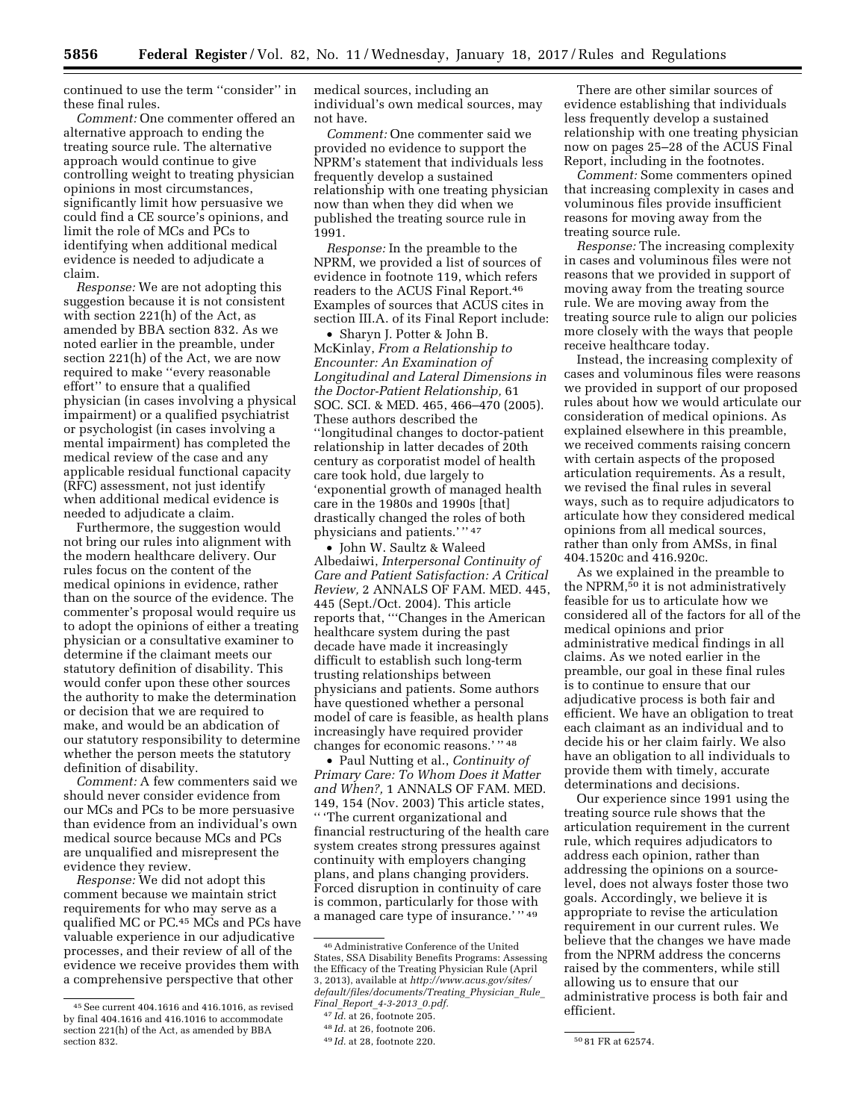continued to use the term ''consider'' in these final rules.

*Comment:* One commenter offered an alternative approach to ending the treating source rule. The alternative approach would continue to give controlling weight to treating physician opinions in most circumstances, significantly limit how persuasive we could find a CE source's opinions, and limit the role of MCs and PCs to identifying when additional medical evidence is needed to adjudicate a claim.

*Response:* We are not adopting this suggestion because it is not consistent with section 221(h) of the Act, as amended by BBA section 832. As we noted earlier in the preamble, under section 221(h) of the Act, we are now required to make ''every reasonable effort'' to ensure that a qualified physician (in cases involving a physical impairment) or a qualified psychiatrist or psychologist (in cases involving a mental impairment) has completed the medical review of the case and any applicable residual functional capacity (RFC) assessment, not just identify when additional medical evidence is needed to adjudicate a claim.

Furthermore, the suggestion would not bring our rules into alignment with the modern healthcare delivery. Our rules focus on the content of the medical opinions in evidence, rather than on the source of the evidence. The commenter's proposal would require us to adopt the opinions of either a treating physician or a consultative examiner to determine if the claimant meets our statutory definition of disability. This would confer upon these other sources the authority to make the determination or decision that we are required to make, and would be an abdication of our statutory responsibility to determine whether the person meets the statutory definition of disability.

*Comment:* A few commenters said we should never consider evidence from our MCs and PCs to be more persuasive than evidence from an individual's own medical source because MCs and PCs are unqualified and misrepresent the evidence they review.

*Response:* We did not adopt this comment because we maintain strict requirements for who may serve as a qualified MC or PC.45 MCs and PCs have valuable experience in our adjudicative processes, and their review of all of the evidence we receive provides them with a comprehensive perspective that other

medical sources, including an individual's own medical sources, may not have.

*Comment:* One commenter said we provided no evidence to support the NPRM's statement that individuals less frequently develop a sustained relationship with one treating physician now than when they did when we published the treating source rule in 1991.

*Response:* In the preamble to the NPRM, we provided a list of sources of evidence in footnote 119, which refers readers to the ACUS Final Report.46 Examples of sources that ACUS cites in section III.A. of its Final Report include:

• Sharyn J. Potter & John B. McKinlay, *From a Relationship to Encounter: An Examination of Longitudinal and Lateral Dimensions in the Doctor-Patient Relationship,* 61 SOC. SCI. & MED. 465, 466–470 (2005). These authors described the ''longitudinal changes to doctor-patient relationship in latter decades of 20th century as corporatist model of health care took hold, due largely to 'exponential growth of managed health care in the 1980s and 1990s [that] drastically changed the roles of both physicians and patients.'" 47

• John W. Saultz & Waleed Albedaiwi, *Interpersonal Continuity of Care and Patient Satisfaction: A Critical Review,* 2 ANNALS OF FAM. MED. 445, 445 (Sept./Oct. 2004). This article reports that, '''Changes in the American healthcare system during the past decade have made it increasingly difficult to establish such long-term trusting relationships between physicians and patients. Some authors have questioned whether a personal model of care is feasible, as health plans increasingly have required provider changes for economic reasons.' '' 48

• Paul Nutting et al., *Continuity of Primary Care: To Whom Does it Matter and When?,* 1 ANNALS OF FAM. MED. 149, 154 (Nov. 2003) This article states, '' 'The current organizational and financial restructuring of the health care system creates strong pressures against continuity with employers changing plans, and plans changing providers. Forced disruption in continuity of care is common, particularly for those with a managed care type of insurance.'" 49

There are other similar sources of evidence establishing that individuals less frequently develop a sustained relationship with one treating physician now on pages 25–28 of the ACUS Final Report, including in the footnotes.

*Comment:* Some commenters opined that increasing complexity in cases and voluminous files provide insufficient reasons for moving away from the treating source rule.

*Response:* The increasing complexity in cases and voluminous files were not reasons that we provided in support of moving away from the treating source rule. We are moving away from the treating source rule to align our policies more closely with the ways that people receive healthcare today.

Instead, the increasing complexity of cases and voluminous files were reasons we provided in support of our proposed rules about how we would articulate our consideration of medical opinions. As explained elsewhere in this preamble, we received comments raising concern with certain aspects of the proposed articulation requirements. As a result, we revised the final rules in several ways, such as to require adjudicators to articulate how they considered medical opinions from all medical sources, rather than only from AMSs, in final 404.1520c and 416.920c.

As we explained in the preamble to the NPRM,50 it is not administratively feasible for us to articulate how we considered all of the factors for all of the medical opinions and prior administrative medical findings in all claims. As we noted earlier in the preamble, our goal in these final rules is to continue to ensure that our adjudicative process is both fair and efficient. We have an obligation to treat each claimant as an individual and to decide his or her claim fairly. We also have an obligation to all individuals to provide them with timely, accurate determinations and decisions.

Our experience since 1991 using the treating source rule shows that the articulation requirement in the current rule, which requires adjudicators to address each opinion, rather than addressing the opinions on a sourcelevel, does not always foster those two goals. Accordingly, we believe it is appropriate to revise the articulation requirement in our current rules. We believe that the changes we have made from the NPRM address the concerns raised by the commenters, while still allowing us to ensure that our administrative process is both fair and efficient.

<sup>45</sup>See current 404.1616 and 416.1016, as revised by final 404.1616 and 416.1016 to accommodate section 221(h) of the Act, as amended by BBA section 832.

 $^{\rm 46}\,$  Administrative Conference of the United States, SSA Disability Benefits Programs: Assessing the Efficacy of the Treating Physician Rule (April 3, 2013), available at *[http://www.acus.gov/sites/](http://www.acus.gov/sites/default/files/documents/Treating_Physician_Rule_Final_Report_4-3-2013_0.pdf)  [default/files/documents/Treating](http://www.acus.gov/sites/default/files/documents/Treating_Physician_Rule_Final_Report_4-3-2013_0.pdf)*\_*Physician*\_*Rule*\_ *Final*\_*Report*\_*[4-3-2013](http://www.acus.gov/sites/default/files/documents/Treating_Physician_Rule_Final_Report_4-3-2013_0.pdf)*\_*0.pdf.* 

<sup>47</sup> *Id.* at 26, footnote 205.

<sup>48</sup> *Id.* at 26, footnote 206.

<sup>&</sup>lt;sup>49</sup> *Id.* at 28, footnote 220. <sup>50</sup> 81 FR at 62574.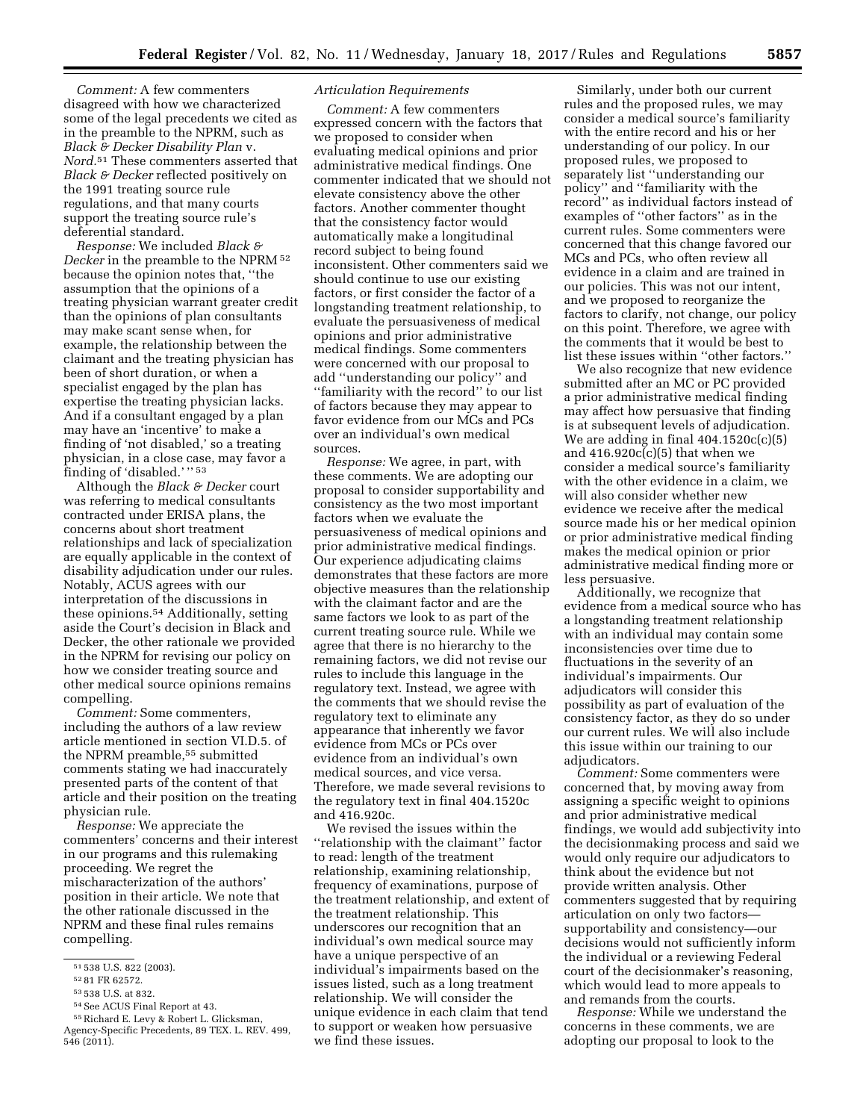*Articulation Requirements Comment:* A few commenters

*Comment:* A few commenters disagreed with how we characterized some of the legal precedents we cited as in the preamble to the NPRM, such as *Black & Decker Disability Plan* v. *Nord.*51 These commenters asserted that *Black & Decker* reflected positively on the 1991 treating source rule regulations, and that many courts support the treating source rule's deferential standard.

*Response:* We included *Black & Decker* in the preamble to the NPRM 52 because the opinion notes that, ''the assumption that the opinions of a treating physician warrant greater credit than the opinions of plan consultants may make scant sense when, for example, the relationship between the claimant and the treating physician has been of short duration, or when a specialist engaged by the plan has expertise the treating physician lacks. And if a consultant engaged by a plan may have an 'incentive' to make a finding of 'not disabled,' so a treating physician, in a close case, may favor a finding of 'disabled.'" 53

Although the *Black & Decker* court was referring to medical consultants contracted under ERISA plans, the concerns about short treatment relationships and lack of specialization are equally applicable in the context of disability adjudication under our rules. Notably, ACUS agrees with our interpretation of the discussions in these opinions.54 Additionally, setting aside the Court's decision in Black and Decker, the other rationale we provided in the NPRM for revising our policy on how we consider treating source and other medical source opinions remains compelling.

*Comment:* Some commenters, including the authors of a law review article mentioned in section VI.D.5. of the NPRM preamble,<sup>55</sup> submitted comments stating we had inaccurately presented parts of the content of that article and their position on the treating physician rule.

*Response:* We appreciate the commenters' concerns and their interest in our programs and this rulemaking proceeding. We regret the mischaracterization of the authors' position in their article. We note that the other rationale discussed in the NPRM and these final rules remains compelling.

expressed concern with the factors that we proposed to consider when evaluating medical opinions and prior administrative medical findings. One commenter indicated that we should not elevate consistency above the other factors. Another commenter thought that the consistency factor would automatically make a longitudinal record subject to being found inconsistent. Other commenters said we should continue to use our existing factors, or first consider the factor of a longstanding treatment relationship, to evaluate the persuasiveness of medical

opinions and prior administrative medical findings. Some commenters were concerned with our proposal to add ''understanding our policy'' and ''familiarity with the record'' to our list of factors because they may appear to favor evidence from our MCs and PCs over an individual's own medical sources.

*Response:* We agree, in part, with these comments. We are adopting our proposal to consider supportability and consistency as the two most important factors when we evaluate the persuasiveness of medical opinions and prior administrative medical findings. Our experience adjudicating claims demonstrates that these factors are more objective measures than the relationship with the claimant factor and are the same factors we look to as part of the current treating source rule. While we agree that there is no hierarchy to the remaining factors, we did not revise our rules to include this language in the regulatory text. Instead, we agree with the comments that we should revise the regulatory text to eliminate any appearance that inherently we favor evidence from MCs or PCs over evidence from an individual's own medical sources, and vice versa. Therefore, we made several revisions to the regulatory text in final 404.1520c and 416.920c.

We revised the issues within the ''relationship with the claimant'' factor to read: length of the treatment relationship, examining relationship, frequency of examinations, purpose of the treatment relationship, and extent of the treatment relationship. This underscores our recognition that an individual's own medical source may have a unique perspective of an individual's impairments based on the issues listed, such as a long treatment relationship. We will consider the unique evidence in each claim that tend to support or weaken how persuasive we find these issues.

Similarly, under both our current rules and the proposed rules, we may consider a medical source's familiarity with the entire record and his or her understanding of our policy. In our proposed rules, we proposed to separately list ''understanding our policy'' and ''familiarity with the record'' as individual factors instead of examples of ''other factors'' as in the current rules. Some commenters were concerned that this change favored our MCs and PCs, who often review all evidence in a claim and are trained in our policies. This was not our intent, and we proposed to reorganize the factors to clarify, not change, our policy on this point. Therefore, we agree with the comments that it would be best to list these issues within ''other factors.''

We also recognize that new evidence submitted after an MC or PC provided a prior administrative medical finding may affect how persuasive that finding is at subsequent levels of adjudication. We are adding in final  $404.1520c(c)(5)$ and  $416.920c(c)(5)$  that when we consider a medical source's familiarity with the other evidence in a claim, we will also consider whether new evidence we receive after the medical source made his or her medical opinion or prior administrative medical finding makes the medical opinion or prior administrative medical finding more or less persuasive.

Additionally, we recognize that evidence from a medical source who has a longstanding treatment relationship with an individual may contain some inconsistencies over time due to fluctuations in the severity of an individual's impairments. Our adjudicators will consider this possibility as part of evaluation of the consistency factor, as they do so under our current rules. We will also include this issue within our training to our adjudicators.

*Comment:* Some commenters were concerned that, by moving away from assigning a specific weight to opinions and prior administrative medical findings, we would add subjectivity into the decisionmaking process and said we would only require our adjudicators to think about the evidence but not provide written analysis. Other commenters suggested that by requiring articulation on only two factors supportability and consistency—our decisions would not sufficiently inform the individual or a reviewing Federal court of the decisionmaker's reasoning, which would lead to more appeals to and remands from the courts.

*Response:* While we understand the concerns in these comments, we are adopting our proposal to look to the

<sup>51</sup> 538 U.S. 822 (2003).

<sup>52</sup> 81 FR 62572.

<sup>53</sup> 538 U.S. at 832.

 $^{54}\rm{See}$  ACUS Final Report at 43.

<sup>55</sup>Richard E. Levy & Robert L. Glicksman, Agency-Specific Precedents, 89 TEX. L. REV. 499, 546 (2011).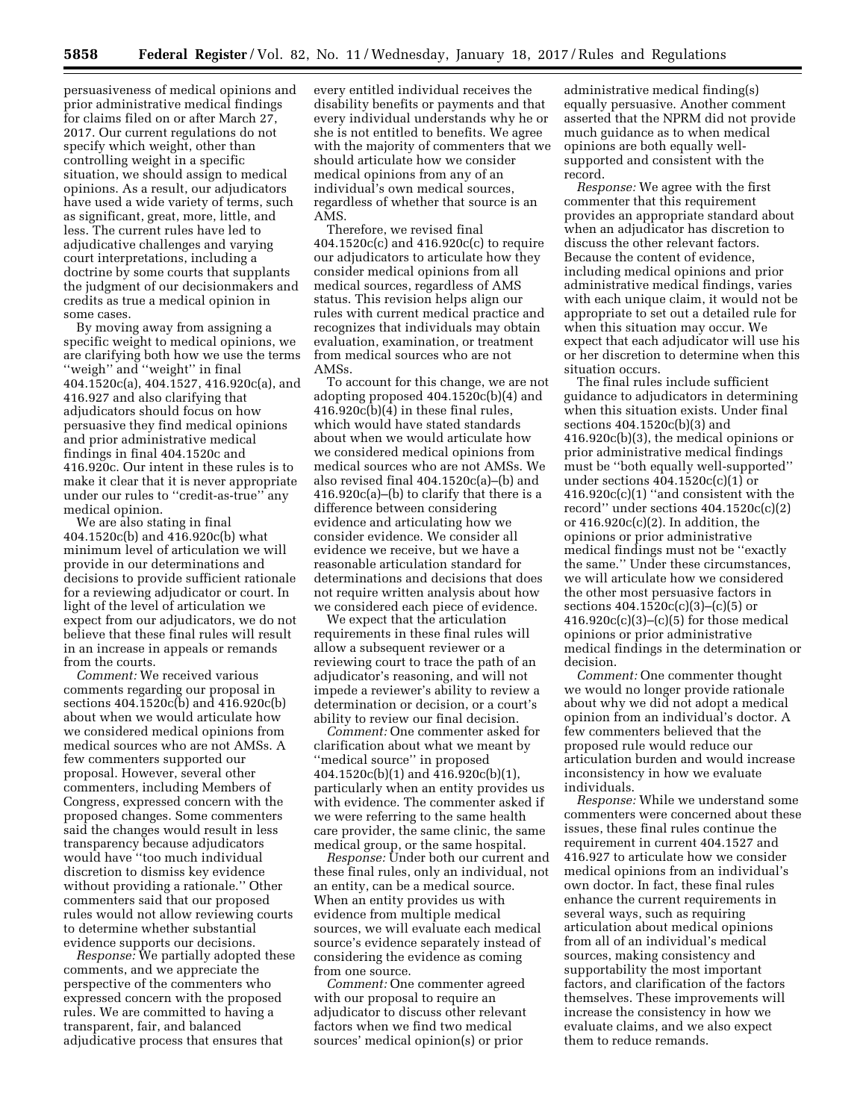persuasiveness of medical opinions and prior administrative medical findings for claims filed on or after March 27, 2017. Our current regulations do not specify which weight, other than controlling weight in a specific situation, we should assign to medical opinions. As a result, our adjudicators have used a wide variety of terms, such as significant, great, more, little, and less. The current rules have led to adjudicative challenges and varying court interpretations, including a doctrine by some courts that supplants the judgment of our decisionmakers and credits as true a medical opinion in some cases.

By moving away from assigning a specific weight to medical opinions, we are clarifying both how we use the terms ''weigh'' and ''weight'' in final 404.1520c(a), 404.1527, 416.920c(a), and 416.927 and also clarifying that adjudicators should focus on how persuasive they find medical opinions and prior administrative medical findings in final 404.1520c and 416.920c. Our intent in these rules is to make it clear that it is never appropriate under our rules to ''credit-as-true'' any medical opinion.

We are also stating in final 404.1520c(b) and 416.920c(b) what minimum level of articulation we will provide in our determinations and decisions to provide sufficient rationale for a reviewing adjudicator or court. In light of the level of articulation we expect from our adjudicators, we do not believe that these final rules will result in an increase in appeals or remands from the courts.

*Comment:* We received various comments regarding our proposal in sections 404.1520c(b) and 416.920c(b) about when we would articulate how we considered medical opinions from medical sources who are not AMSs. A few commenters supported our proposal. However, several other commenters, including Members of Congress, expressed concern with the proposed changes. Some commenters said the changes would result in less transparency because adjudicators would have ''too much individual discretion to dismiss key evidence without providing a rationale.'' Other commenters said that our proposed rules would not allow reviewing courts to determine whether substantial evidence supports our decisions.

*Response:* We partially adopted these comments, and we appreciate the perspective of the commenters who expressed concern with the proposed rules. We are committed to having a transparent, fair, and balanced adjudicative process that ensures that

every entitled individual receives the disability benefits or payments and that every individual understands why he or she is not entitled to benefits. We agree with the majority of commenters that we should articulate how we consider medical opinions from any of an individual's own medical sources, regardless of whether that source is an AMS.

Therefore, we revised final 404.1520c(c) and 416.920c(c) to require our adjudicators to articulate how they consider medical opinions from all medical sources, regardless of AMS status. This revision helps align our rules with current medical practice and recognizes that individuals may obtain evaluation, examination, or treatment from medical sources who are not AMSs.

To account for this change, we are not adopting proposed 404.1520c(b)(4) and 416.920c(b)(4) in these final rules, which would have stated standards about when we would articulate how we considered medical opinions from medical sources who are not AMSs. We also revised final 404.1520c(a)–(b) and 416.920c(a)–(b) to clarify that there is a difference between considering evidence and articulating how we consider evidence. We consider all evidence we receive, but we have a reasonable articulation standard for determinations and decisions that does not require written analysis about how we considered each piece of evidence.

We expect that the articulation requirements in these final rules will allow a subsequent reviewer or a reviewing court to trace the path of an adjudicator's reasoning, and will not impede a reviewer's ability to review a determination or decision, or a court's ability to review our final decision.

*Comment:* One commenter asked for clarification about what we meant by ''medical source'' in proposed 404.1520c(b)(1) and 416.920c(b)(1), particularly when an entity provides us with evidence. The commenter asked if we were referring to the same health care provider, the same clinic, the same medical group, or the same hospital.

*Response:* Under both our current and these final rules, only an individual, not an entity, can be a medical source. When an entity provides us with evidence from multiple medical sources, we will evaluate each medical source's evidence separately instead of considering the evidence as coming from one source.

*Comment:* One commenter agreed with our proposal to require an adjudicator to discuss other relevant factors when we find two medical sources' medical opinion(s) or prior

administrative medical finding(s) equally persuasive. Another comment asserted that the NPRM did not provide much guidance as to when medical opinions are both equally wellsupported and consistent with the record.

*Response:* We agree with the first commenter that this requirement provides an appropriate standard about when an adjudicator has discretion to discuss the other relevant factors. Because the content of evidence, including medical opinions and prior administrative medical findings, varies with each unique claim, it would not be appropriate to set out a detailed rule for when this situation may occur. We expect that each adjudicator will use his or her discretion to determine when this situation occurs.

The final rules include sufficient guidance to adjudicators in determining when this situation exists. Under final sections 404.1520c(b)(3) and 416.920c(b)(3), the medical opinions or prior administrative medical findings must be ''both equally well-supported'' under sections 404.1520c(c)(1) or 416.920c(c)(1) ''and consistent with the record'' under sections 404.1520c(c)(2) or  $416.920c(c)(2)$ . In addition, the opinions or prior administrative medical findings must not be ''exactly the same.'' Under these circumstances, we will articulate how we considered the other most persuasive factors in sections 404.1520c(c)(3)–(c)(5) or  $416.920c(c)(3)$ – $(c)(5)$  for those medical opinions or prior administrative medical findings in the determination or decision.

*Comment:* One commenter thought we would no longer provide rationale about why we did not adopt a medical opinion from an individual's doctor. A few commenters believed that the proposed rule would reduce our articulation burden and would increase inconsistency in how we evaluate individuals.

*Response:* While we understand some commenters were concerned about these issues, these final rules continue the requirement in current 404.1527 and 416.927 to articulate how we consider medical opinions from an individual's own doctor. In fact, these final rules enhance the current requirements in several ways, such as requiring articulation about medical opinions from all of an individual's medical sources, making consistency and supportability the most important factors, and clarification of the factors themselves. These improvements will increase the consistency in how we evaluate claims, and we also expect them to reduce remands.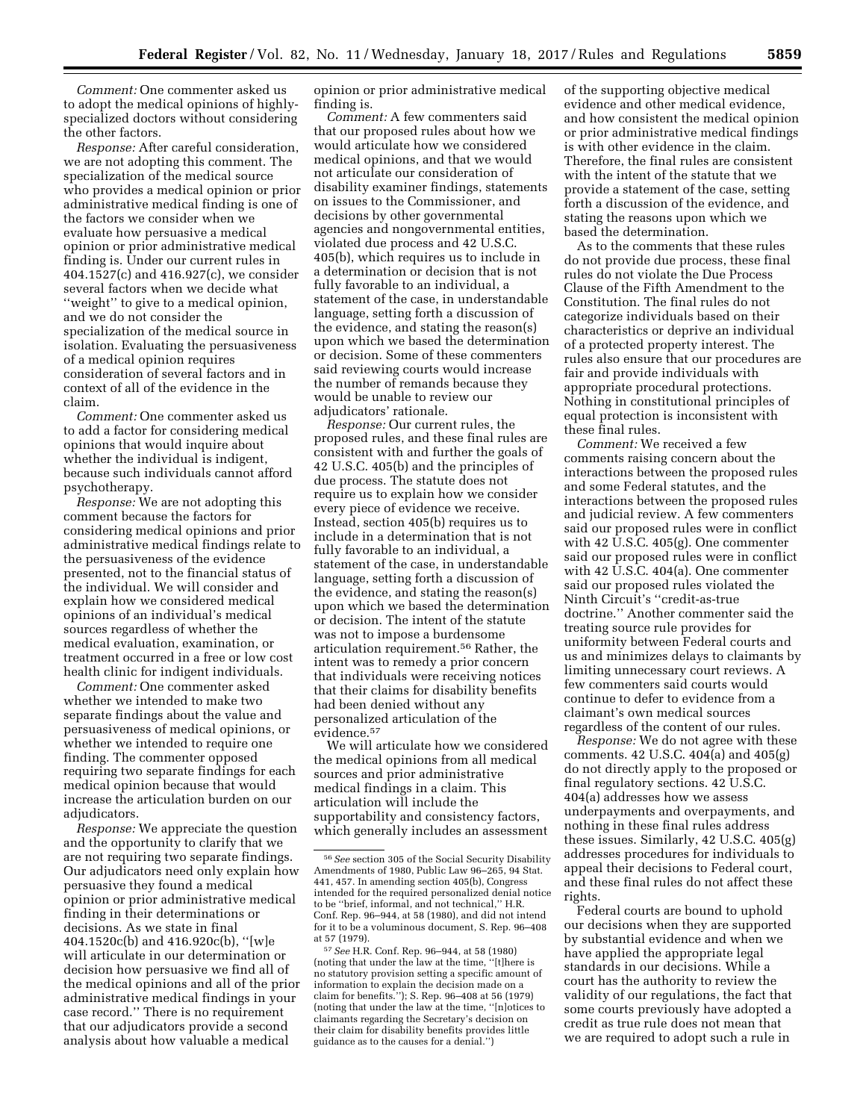*Comment:* One commenter asked us to adopt the medical opinions of highlyspecialized doctors without considering the other factors.

*Response:* After careful consideration, we are not adopting this comment. The specialization of the medical source who provides a medical opinion or prior administrative medical finding is one of the factors we consider when we evaluate how persuasive a medical opinion or prior administrative medical finding is. Under our current rules in 404.1527(c) and 416.927(c), we consider several factors when we decide what ''weight'' to give to a medical opinion, and we do not consider the specialization of the medical source in isolation. Evaluating the persuasiveness of a medical opinion requires consideration of several factors and in context of all of the evidence in the claim.

*Comment:* One commenter asked us to add a factor for considering medical opinions that would inquire about whether the individual is indigent, because such individuals cannot afford psychotherapy.

*Response:* We are not adopting this comment because the factors for considering medical opinions and prior administrative medical findings relate to the persuasiveness of the evidence presented, not to the financial status of the individual. We will consider and explain how we considered medical opinions of an individual's medical sources regardless of whether the medical evaluation, examination, or treatment occurred in a free or low cost health clinic for indigent individuals.

*Comment:* One commenter asked whether we intended to make two separate findings about the value and persuasiveness of medical opinions, or whether we intended to require one finding. The commenter opposed requiring two separate findings for each medical opinion because that would increase the articulation burden on our adjudicators.

*Response:* We appreciate the question and the opportunity to clarify that we are not requiring two separate findings. Our adjudicators need only explain how persuasive they found a medical opinion or prior administrative medical finding in their determinations or decisions. As we state in final 404.1520c(b) and 416.920c(b), ''[w]e will articulate in our determination or decision how persuasive we find all of the medical opinions and all of the prior administrative medical findings in your case record.'' There is no requirement that our adjudicators provide a second analysis about how valuable a medical

opinion or prior administrative medical finding is.

*Comment:* A few commenters said that our proposed rules about how we would articulate how we considered medical opinions, and that we would not articulate our consideration of disability examiner findings, statements on issues to the Commissioner, and decisions by other governmental agencies and nongovernmental entities, violated due process and 42 U.S.C. 405(b), which requires us to include in a determination or decision that is not fully favorable to an individual, a statement of the case, in understandable language, setting forth a discussion of the evidence, and stating the reason(s) upon which we based the determination or decision. Some of these commenters said reviewing courts would increase the number of remands because they would be unable to review our adjudicators' rationale.

*Response:* Our current rules, the proposed rules, and these final rules are consistent with and further the goals of 42 U.S.C. 405(b) and the principles of due process. The statute does not require us to explain how we consider every piece of evidence we receive. Instead, section 405(b) requires us to include in a determination that is not fully favorable to an individual, a statement of the case, in understandable language, setting forth a discussion of the evidence, and stating the reason(s) upon which we based the determination or decision. The intent of the statute was not to impose a burdensome articulation requirement.56 Rather, the intent was to remedy a prior concern that individuals were receiving notices that their claims for disability benefits had been denied without any personalized articulation of the evidence.57

We will articulate how we considered the medical opinions from all medical sources and prior administrative medical findings in a claim. This articulation will include the supportability and consistency factors, which generally includes an assessment of the supporting objective medical evidence and other medical evidence, and how consistent the medical opinion or prior administrative medical findings is with other evidence in the claim. Therefore, the final rules are consistent with the intent of the statute that we provide a statement of the case, setting forth a discussion of the evidence, and stating the reasons upon which we based the determination.

As to the comments that these rules do not provide due process, these final rules do not violate the Due Process Clause of the Fifth Amendment to the Constitution. The final rules do not categorize individuals based on their characteristics or deprive an individual of a protected property interest. The rules also ensure that our procedures are fair and provide individuals with appropriate procedural protections. Nothing in constitutional principles of equal protection is inconsistent with these final rules.

*Comment:* We received a few comments raising concern about the interactions between the proposed rules and some Federal statutes, and the interactions between the proposed rules and judicial review. A few commenters said our proposed rules were in conflict with 42 U.S.C. 405(g). One commenter said our proposed rules were in conflict with 42 U.S.C. 404(a). One commenter said our proposed rules violated the Ninth Circuit's ''credit-as-true doctrine.'' Another commenter said the treating source rule provides for uniformity between Federal courts and us and minimizes delays to claimants by limiting unnecessary court reviews. A few commenters said courts would continue to defer to evidence from a claimant's own medical sources regardless of the content of our rules.

*Response:* We do not agree with these comments. 42 U.S.C. 404(a) and 405(g) do not directly apply to the proposed or final regulatory sections. 42 U.S.C. 404(a) addresses how we assess underpayments and overpayments, and nothing in these final rules address these issues. Similarly, 42 U.S.C. 405(g) addresses procedures for individuals to appeal their decisions to Federal court, and these final rules do not affect these rights.

Federal courts are bound to uphold our decisions when they are supported by substantial evidence and when we have applied the appropriate legal standards in our decisions. While a court has the authority to review the validity of our regulations, the fact that some courts previously have adopted a credit as true rule does not mean that we are required to adopt such a rule in

<sup>56</sup>*See* section 305 of the Social Security Disability Amendments of 1980, Public Law 96–265, 94 Stat. 441, 457. In amending section 405(b), Congress intended for the required personalized denial notice to be ''brief, informal, and not technical,'' H.R. Conf. Rep. 96–944, at 58 (1980), and did not intend for it to be a voluminous document, S. Rep. 96–408 at 57 (1979).

<sup>57</sup>*See* H.R. Conf. Rep. 96–944, at 58 (1980) (noting that under the law at the time, ''[t]here is no statutory provision setting a specific amount of information to explain the decision made on a claim for benefits.''); S. Rep. 96–408 at 56 (1979) (noting that under the law at the time, ''[n]otices to claimants regarding the Secretary's decision on their claim for disability benefits provides little guidance as to the causes for a denial.'')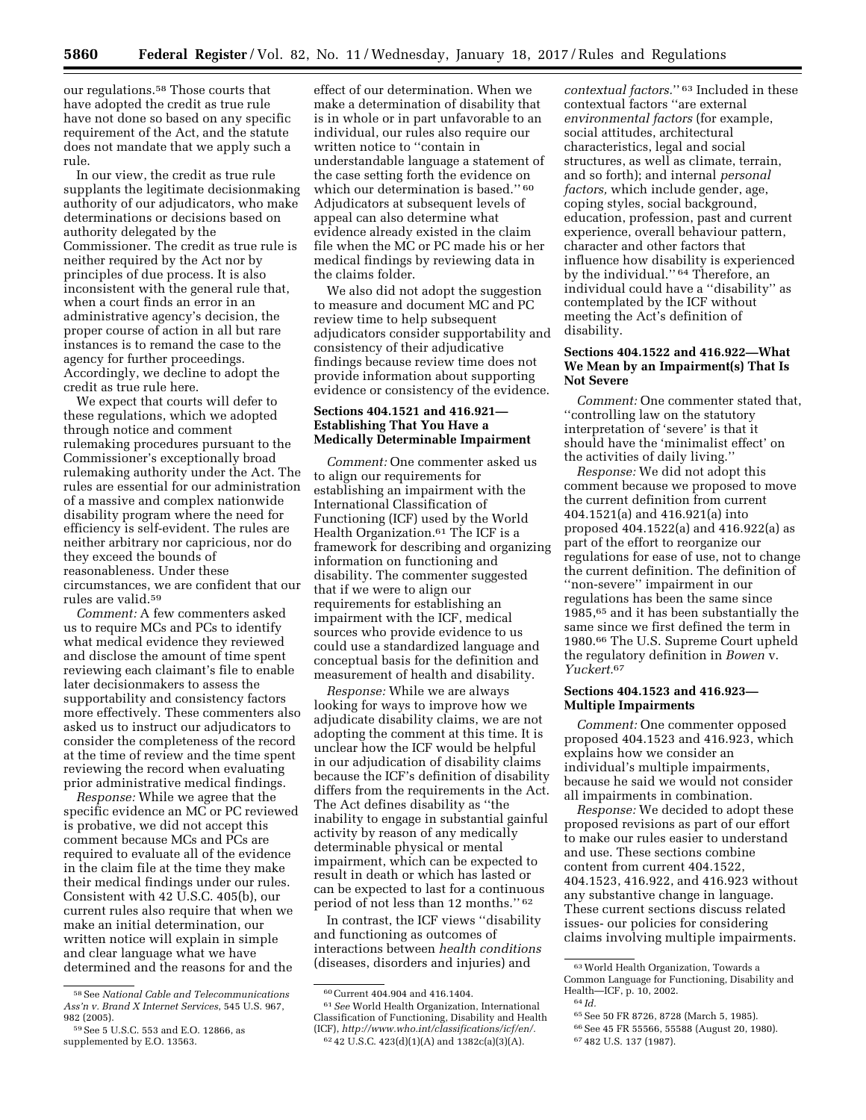our regulations.58 Those courts that have adopted the credit as true rule have not done so based on any specific requirement of the Act, and the statute does not mandate that we apply such a rule.

In our view, the credit as true rule supplants the legitimate decisionmaking authority of our adjudicators, who make determinations or decisions based on authority delegated by the Commissioner. The credit as true rule is neither required by the Act nor by principles of due process. It is also inconsistent with the general rule that, when a court finds an error in an administrative agency's decision, the proper course of action in all but rare instances is to remand the case to the agency for further proceedings. Accordingly, we decline to adopt the credit as true rule here.

We expect that courts will defer to these regulations, which we adopted through notice and comment rulemaking procedures pursuant to the Commissioner's exceptionally broad rulemaking authority under the Act. The rules are essential for our administration of a massive and complex nationwide disability program where the need for efficiency is self-evident. The rules are neither arbitrary nor capricious, nor do they exceed the bounds of reasonableness. Under these circumstances, we are confident that our rules are valid.59

*Comment:* A few commenters asked us to require MCs and PCs to identify what medical evidence they reviewed and disclose the amount of time spent reviewing each claimant's file to enable later decisionmakers to assess the supportability and consistency factors more effectively. These commenters also asked us to instruct our adjudicators to consider the completeness of the record at the time of review and the time spent reviewing the record when evaluating prior administrative medical findings.

*Response:* While we agree that the specific evidence an MC or PC reviewed is probative, we did not accept this comment because MCs and PCs are required to evaluate all of the evidence in the claim file at the time they make their medical findings under our rules. Consistent with 42 U.S.C. 405(b), our current rules also require that when we make an initial determination, our written notice will explain in simple and clear language what we have determined and the reasons for and the

effect of our determination. When we make a determination of disability that is in whole or in part unfavorable to an individual, our rules also require our written notice to ''contain in understandable language a statement of the case setting forth the evidence on which our determination is based."<sup>60</sup> Adjudicators at subsequent levels of appeal can also determine what evidence already existed in the claim file when the MC or PC made his or her medical findings by reviewing data in the claims folder.

We also did not adopt the suggestion to measure and document MC and PC review time to help subsequent adjudicators consider supportability and consistency of their adjudicative findings because review time does not provide information about supporting evidence or consistency of the evidence.

# **Sections 404.1521 and 416.921— Establishing That You Have a Medically Determinable Impairment**

*Comment:* One commenter asked us to align our requirements for establishing an impairment with the International Classification of Functioning (ICF) used by the World Health Organization.61 The ICF is a framework for describing and organizing information on functioning and disability. The commenter suggested that if we were to align our requirements for establishing an impairment with the ICF, medical sources who provide evidence to us could use a standardized language and conceptual basis for the definition and measurement of health and disability.

*Response:* While we are always looking for ways to improve how we adjudicate disability claims, we are not adopting the comment at this time. It is unclear how the ICF would be helpful in our adjudication of disability claims because the ICF's definition of disability differs from the requirements in the Act. The Act defines disability as ''the inability to engage in substantial gainful activity by reason of any medically determinable physical or mental impairment, which can be expected to result in death or which has lasted or can be expected to last for a continuous period of not less than 12 months.'' 62

In contrast, the ICF views ''disability and functioning as outcomes of interactions between *health conditions*  (diseases, disorders and injuries) and

*contextual factors.*'' 63 Included in these contextual factors ''are external *environmental factors* (for example, social attitudes, architectural characteristics, legal and social structures, as well as climate, terrain, and so forth); and internal *personal factors,* which include gender, age, coping styles, social background, education, profession, past and current experience, overall behaviour pattern, character and other factors that influence how disability is experienced by the individual.'' 64 Therefore, an individual could have a ''disability'' as contemplated by the ICF without meeting the Act's definition of disability.

### **Sections 404.1522 and 416.922—What We Mean by an Impairment(s) That Is Not Severe**

*Comment:* One commenter stated that, ''controlling law on the statutory interpretation of 'severe' is that it should have the 'minimalist effect' on the activities of daily living.''

*Response:* We did not adopt this comment because we proposed to move the current definition from current 404.1521(a) and 416.921(a) into proposed 404.1522(a) and 416.922(a) as part of the effort to reorganize our regulations for ease of use, not to change the current definition. The definition of ''non-severe'' impairment in our regulations has been the same since 1985,65 and it has been substantially the same since we first defined the term in 1980.66 The U.S. Supreme Court upheld the regulatory definition in *Bowen* v. *Yuckert.*67

# **Sections 404.1523 and 416.923— Multiple Impairments**

*Comment:* One commenter opposed proposed 404.1523 and 416.923, which explains how we consider an individual's multiple impairments, because he said we would not consider all impairments in combination.

*Response:* We decided to adopt these proposed revisions as part of our effort to make our rules easier to understand and use. These sections combine content from current 404.1522, 404.1523, 416.922, and 416.923 without any substantive change in language. These current sections discuss related issues- our policies for considering claims involving multiple impairments.

65See 50 FR 8726, 8728 (March 5, 1985).

<sup>58</sup>See *National Cable and Telecommunications Ass'n v. Brand X Internet Services*, 545 U.S. 967, 982 (2005).

<sup>59</sup>See 5 U.S.C. 553 and E.O. 12866, as supplemented by E.O. 13563.

<sup>60</sup>Current 404.904 and 416.1404.

<sup>61</sup>*See* World Health Organization, International Classification of Functioning, Disability and Health (ICF), *[http://www.who.int/classifications/icf/en/.](http://www.who.int/classifications/icf/en/)*  62 42 U.S.C. 423(d)(1)(A) and 1382c(a)(3)(A).

<sup>63</sup>World Health Organization, Towards a Common Language for Functioning, Disability and Health—ICF, p. 10, 2002.

<sup>64</sup> *Id.* 

<sup>66</sup>See 45 FR 55566, 55588 (August 20, 1980).

<sup>67</sup> 482 U.S. 137 (1987).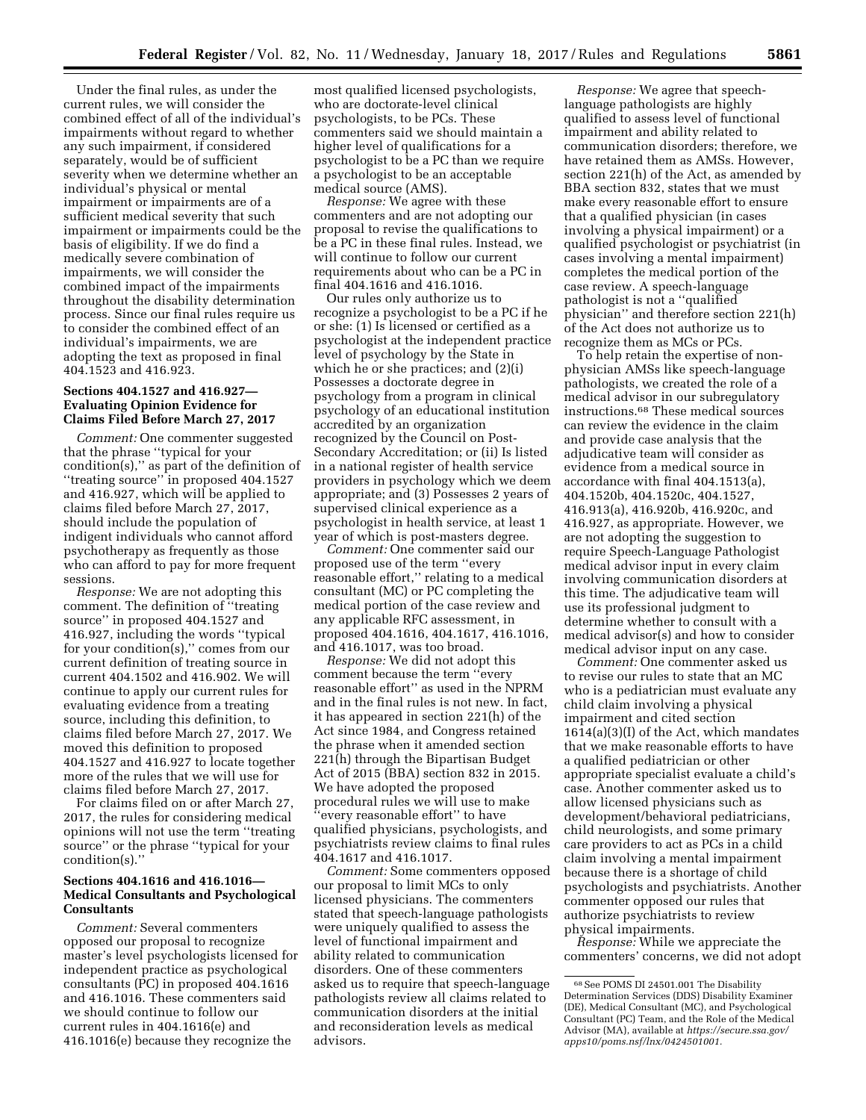Under the final rules, as under the current rules, we will consider the combined effect of all of the individual's impairments without regard to whether any such impairment, if considered separately, would be of sufficient severity when we determine whether an individual's physical or mental impairment or impairments are of a sufficient medical severity that such impairment or impairments could be the basis of eligibility. If we do find a medically severe combination of impairments, we will consider the combined impact of the impairments throughout the disability determination process. Since our final rules require us to consider the combined effect of an individual's impairments, we are adopting the text as proposed in final 404.1523 and 416.923.

### **Sections 404.1527 and 416.927— Evaluating Opinion Evidence for Claims Filed Before March 27, 2017**

*Comment:* One commenter suggested that the phrase ''typical for your condition(s),'' as part of the definition of ''treating source'' in proposed 404.1527 and 416.927, which will be applied to claims filed before March 27, 2017, should include the population of indigent individuals who cannot afford psychotherapy as frequently as those who can afford to pay for more frequent sessions.

*Response:* We are not adopting this comment. The definition of ''treating source'' in proposed 404.1527 and 416.927, including the words ''typical for your condition(s),'' comes from our current definition of treating source in current 404.1502 and 416.902. We will continue to apply our current rules for evaluating evidence from a treating source, including this definition, to claims filed before March 27, 2017. We moved this definition to proposed 404.1527 and 416.927 to locate together more of the rules that we will use for claims filed before March 27, 2017.

For claims filed on or after March 27, 2017, the rules for considering medical opinions will not use the term ''treating source'' or the phrase ''typical for your condition(s).''

## **Sections 404.1616 and 416.1016— Medical Consultants and Psychological Consultants**

*Comment:* Several commenters opposed our proposal to recognize master's level psychologists licensed for independent practice as psychological consultants (PC) in proposed 404.1616 and 416.1016. These commenters said we should continue to follow our current rules in 404.1616(e) and 416.1016(e) because they recognize the

most qualified licensed psychologists, who are doctorate-level clinical psychologists, to be PCs. These commenters said we should maintain a higher level of qualifications for a psychologist to be a PC than we require a psychologist to be an acceptable medical source (AMS).

*Response:* We agree with these commenters and are not adopting our proposal to revise the qualifications to be a PC in these final rules. Instead, we will continue to follow our current requirements about who can be a PC in final 404.1616 and 416.1016.

Our rules only authorize us to recognize a psychologist to be a PC if he or she: (1) Is licensed or certified as a psychologist at the independent practice level of psychology by the State in which he or she practices; and (2)(i) Possesses a doctorate degree in psychology from a program in clinical psychology of an educational institution accredited by an organization recognized by the Council on Post-Secondary Accreditation; or (ii) Is listed in a national register of health service providers in psychology which we deem appropriate; and (3) Possesses 2 years of supervised clinical experience as a psychologist in health service, at least 1 year of which is post-masters degree.

*Comment:* One commenter said our proposed use of the term ''every reasonable effort,'' relating to a medical consultant (MC) or PC completing the medical portion of the case review and any applicable RFC assessment, in proposed 404.1616, 404.1617, 416.1016, and 416.1017, was too broad.

*Response:* We did not adopt this comment because the term ''every reasonable effort'' as used in the NPRM and in the final rules is not new. In fact, it has appeared in section 221(h) of the Act since 1984, and Congress retained the phrase when it amended section 221(h) through the Bipartisan Budget Act of 2015 (BBA) section 832 in 2015. We have adopted the proposed procedural rules we will use to make ''every reasonable effort'' to have qualified physicians, psychologists, and psychiatrists review claims to final rules 404.1617 and 416.1017.

*Comment:* Some commenters opposed our proposal to limit MCs to only licensed physicians. The commenters stated that speech-language pathologists were uniquely qualified to assess the level of functional impairment and ability related to communication disorders. One of these commenters asked us to require that speech-language pathologists review all claims related to communication disorders at the initial and reconsideration levels as medical advisors.

*Response:* We agree that speechlanguage pathologists are highly qualified to assess level of functional impairment and ability related to communication disorders; therefore, we have retained them as AMSs. However, section 221(h) of the Act, as amended by BBA section 832, states that we must make every reasonable effort to ensure that a qualified physician (in cases involving a physical impairment) or a qualified psychologist or psychiatrist (in cases involving a mental impairment) completes the medical portion of the case review. A speech-language pathologist is not a ''qualified physician'' and therefore section 221(h) of the Act does not authorize us to recognize them as MCs or PCs.

To help retain the expertise of nonphysician AMSs like speech-language pathologists, we created the role of a medical advisor in our subregulatory instructions.68 These medical sources can review the evidence in the claim and provide case analysis that the adjudicative team will consider as evidence from a medical source in accordance with final 404.1513(a), 404.1520b, 404.1520c, 404.1527, 416.913(a), 416.920b, 416.920c, and 416.927, as appropriate. However, we are not adopting the suggestion to require Speech-Language Pathologist medical advisor input in every claim involving communication disorders at this time. The adjudicative team will use its professional judgment to determine whether to consult with a medical advisor(s) and how to consider medical advisor input on any case.

*Comment:* One commenter asked us to revise our rules to state that an MC who is a pediatrician must evaluate any child claim involving a physical impairment and cited section 1614(a)(3)(I) of the Act, which mandates that we make reasonable efforts to have a qualified pediatrician or other appropriate specialist evaluate a child's case. Another commenter asked us to allow licensed physicians such as development/behavioral pediatricians, child neurologists, and some primary care providers to act as PCs in a child claim involving a mental impairment because there is a shortage of child psychologists and psychiatrists. Another commenter opposed our rules that authorize psychiatrists to review physical impairments.

*Response:* While we appreciate the commenters' concerns, we did not adopt

<sup>68</sup>See POMS DI 24501.001 The Disability Determination Services (DDS) Disability Examiner (DE), Medical Consultant (MC), and Psychological Consultant (PC) Team, and the Role of the Medical Advisor (MA), available at *[https://secure.ssa.gov/](https://secure.ssa.gov/apps10/poms.nsf/lnx/0424501001)  [apps10/poms.nsf/lnx/0424501001.](https://secure.ssa.gov/apps10/poms.nsf/lnx/0424501001)*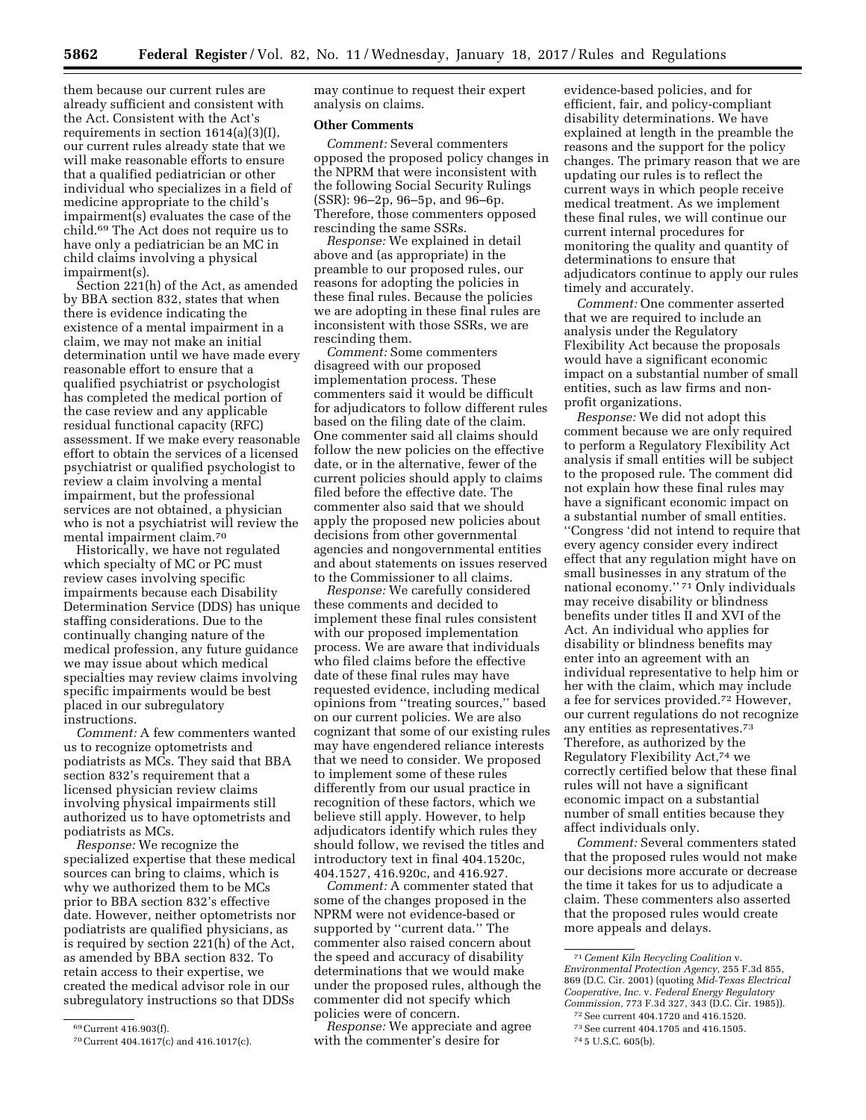them because our current rules are already sufficient and consistent with the Act. Consistent with the Act's requirements in section 1614(a)(3)(I), our current rules already state that we will make reasonable efforts to ensure that a qualified pediatrician or other individual who specializes in a field of medicine appropriate to the child's impairment(s) evaluates the case of the child.69 The Act does not require us to have only a pediatrician be an MC in child claims involving a physical impairment(s).

Section 221(h) of the Act, as amended by BBA section 832, states that when there is evidence indicating the existence of a mental impairment in a claim, we may not make an initial determination until we have made every reasonable effort to ensure that a qualified psychiatrist or psychologist has completed the medical portion of the case review and any applicable residual functional capacity (RFC) assessment. If we make every reasonable effort to obtain the services of a licensed psychiatrist or qualified psychologist to review a claim involving a mental impairment, but the professional services are not obtained, a physician who is not a psychiatrist will review the mental impairment claim.70

Historically, we have not regulated which specialty of MC or PC must review cases involving specific impairments because each Disability Determination Service (DDS) has unique staffing considerations. Due to the continually changing nature of the medical profession, any future guidance we may issue about which medical specialties may review claims involving specific impairments would be best placed in our subregulatory instructions.

*Comment:* A few commenters wanted us to recognize optometrists and podiatrists as MCs. They said that BBA section 832's requirement that a licensed physician review claims involving physical impairments still authorized us to have optometrists and podiatrists as MCs.

*Response:* We recognize the specialized expertise that these medical sources can bring to claims, which is why we authorized them to be MCs prior to BBA section 832's effective date. However, neither optometrists nor podiatrists are qualified physicians, as is required by section 221(h) of the Act, as amended by BBA section 832. To retain access to their expertise, we created the medical advisor role in our subregulatory instructions so that DDSs

may continue to request their expert analysis on claims.

#### **Other Comments**

*Comment:* Several commenters opposed the proposed policy changes in the NPRM that were inconsistent with the following Social Security Rulings (SSR): 96–2p, 96–5p, and 96–6p. Therefore, those commenters opposed rescinding the same SSRs.

*Response:* We explained in detail above and (as appropriate) in the preamble to our proposed rules, our reasons for adopting the policies in these final rules. Because the policies we are adopting in these final rules are inconsistent with those SSRs, we are rescinding them.

*Comment:* Some commenters disagreed with our proposed implementation process. These commenters said it would be difficult for adjudicators to follow different rules based on the filing date of the claim. One commenter said all claims should follow the new policies on the effective date, or in the alternative, fewer of the current policies should apply to claims filed before the effective date. The commenter also said that we should apply the proposed new policies about decisions from other governmental agencies and nongovernmental entities and about statements on issues reserved to the Commissioner to all claims.

*Response:* We carefully considered these comments and decided to implement these final rules consistent with our proposed implementation process. We are aware that individuals who filed claims before the effective date of these final rules may have requested evidence, including medical opinions from ''treating sources,'' based on our current policies. We are also cognizant that some of our existing rules may have engendered reliance interests that we need to consider. We proposed to implement some of these rules differently from our usual practice in recognition of these factors, which we believe still apply. However, to help adjudicators identify which rules they should follow, we revised the titles and introductory text in final 404.1520c, 404.1527, 416.920c, and 416.927.

*Comment:* A commenter stated that some of the changes proposed in the NPRM were not evidence-based or supported by ''current data.'' The commenter also raised concern about the speed and accuracy of disability determinations that we would make under the proposed rules, although the commenter did not specify which policies were of concern.

*Response:* We appreciate and agree with the commenter's desire for

evidence-based policies, and for efficient, fair, and policy-compliant disability determinations. We have explained at length in the preamble the reasons and the support for the policy changes. The primary reason that we are updating our rules is to reflect the current ways in which people receive medical treatment. As we implement these final rules, we will continue our current internal procedures for monitoring the quality and quantity of determinations to ensure that adjudicators continue to apply our rules timely and accurately.

*Comment:* One commenter asserted that we are required to include an analysis under the Regulatory Flexibility Act because the proposals would have a significant economic impact on a substantial number of small entities, such as law firms and nonprofit organizations.

*Response:* We did not adopt this comment because we are only required to perform a Regulatory Flexibility Act analysis if small entities will be subject to the proposed rule. The comment did not explain how these final rules may have a significant economic impact on a substantial number of small entities. ''Congress 'did not intend to require that every agency consider every indirect effect that any regulation might have on small businesses in any stratum of the national economy.'' 71 Only individuals may receive disability or blindness benefits under titles II and XVI of the Act. An individual who applies for disability or blindness benefits may enter into an agreement with an individual representative to help him or her with the claim, which may include a fee for services provided.72 However, our current regulations do not recognize any entities as representatives.73 Therefore, as authorized by the Regulatory Flexibility Act,74 we correctly certified below that these final rules will not have a significant economic impact on a substantial number of small entities because they affect individuals only.

*Comment:* Several commenters stated that the proposed rules would not make our decisions more accurate or decrease the time it takes for us to adjudicate a claim. These commenters also asserted that the proposed rules would create more appeals and delays.

<sup>69</sup>Current 416.903(f).

<sup>70</sup>Current 404.1617(c) and 416.1017(c).

<sup>71</sup>*Cement Kiln Recycling Coalition* v. *Environmental Protection Agency,* 255 F.3d 855, 869 (D.C. Cir. 2001) (quoting *Mid-Texas Electrical Cooperative, Inc.* v. *Federal Energy Regulatory Commission,* 773 F.3d 327, 343 (D.C. Cir. 1985)).

<sup>72</sup>See current 404.1720 and 416.1520. 73See current 404.1705 and 416.1505.

<sup>74</sup> 5 U.S.C. 605(b).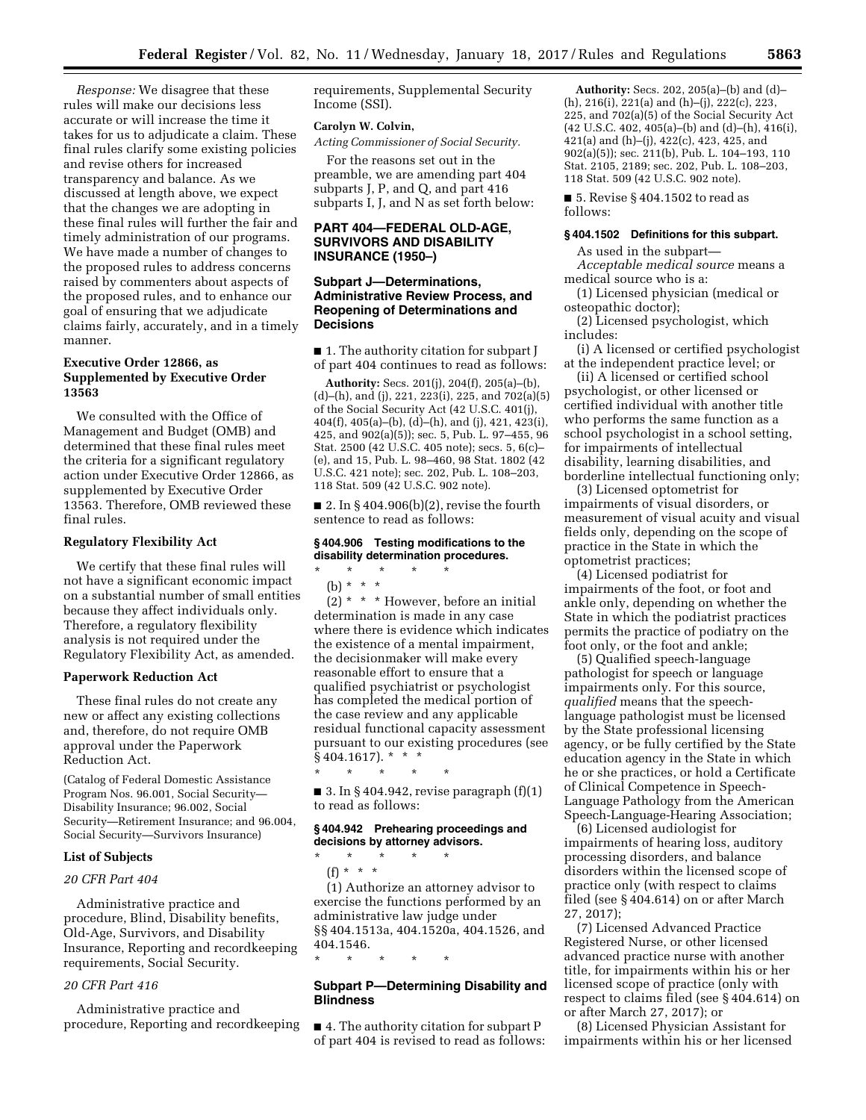*Response:* We disagree that these rules will make our decisions less accurate or will increase the time it takes for us to adjudicate a claim. These final rules clarify some existing policies and revise others for increased transparency and balance. As we discussed at length above, we expect that the changes we are adopting in these final rules will further the fair and timely administration of our programs. We have made a number of changes to the proposed rules to address concerns raised by commenters about aspects of the proposed rules, and to enhance our goal of ensuring that we adjudicate claims fairly, accurately, and in a timely manner.

# **Executive Order 12866, as Supplemented by Executive Order 13563**

We consulted with the Office of Management and Budget (OMB) and determined that these final rules meet the criteria for a significant regulatory action under Executive Order 12866, as supplemented by Executive Order 13563. Therefore, OMB reviewed these final rules.

### **Regulatory Flexibility Act**

We certify that these final rules will not have a significant economic impact on a substantial number of small entities because they affect individuals only. Therefore, a regulatory flexibility analysis is not required under the Regulatory Flexibility Act, as amended.

### **Paperwork Reduction Act**

These final rules do not create any new or affect any existing collections and, therefore, do not require OMB approval under the Paperwork Reduction Act.

(Catalog of Federal Domestic Assistance Program Nos. 96.001, Social Security— Disability Insurance; 96.002, Social Security—Retirement Insurance; and 96.004, Social Security—Survivors Insurance)

#### **List of Subjects**

### *20 CFR Part 404*

Administrative practice and procedure, Blind, Disability benefits, Old-Age, Survivors, and Disability Insurance, Reporting and recordkeeping requirements, Social Security.

### *20 CFR Part 416*

Administrative practice and procedure, Reporting and recordkeeping requirements, Supplemental Security Income (SSI).

# **Carolyn W. Colvin,**

*Acting Commissioner of Social Security.* 

For the reasons set out in the preamble, we are amending part 404 subparts J, P, and Q, and part 416 subparts I, J, and N as set forth below:

## **PART 404—FEDERAL OLD-AGE, SURVIVORS AND DISABILITY INSURANCE (1950–)**

## **Subpart J—Determinations, Administrative Review Process, and Reopening of Determinations and Decisions**

■ 1. The authority citation for subpart J of part 404 continues to read as follows:

**Authority:** Secs. 201(j), 204(f), 205(a)–(b), (d)–(h), and (j), 221, 223(i), 225, and 702(a)(5) of the Social Security Act (42 U.S.C. 401(j), 404(f), 405(a)–(b), (d)–(h), and (j), 421, 423(i), 425, and 902(a)(5)); sec. 5, Pub. L. 97–455, 96 Stat. 2500 (42 U.S.C. 405 note); secs. 5, 6(c)– (e), and 15, Pub. L. 98–460, 98 Stat. 1802 (42 U.S.C. 421 note); sec. 202, Pub. L. 108–203, 118 Stat. 509 (42 U.S.C. 902 note).

 $\blacksquare$  2. In § 404.906(b)(2), revise the fourth sentence to read as follows:

#### **§ 404.906 Testing modifications to the disability determination procedures.**

- \* \* \* \* \* (b) \* \* \*
- 

(2) \* \* \* However, before an initial determination is made in any case where there is evidence which indicates the existence of a mental impairment, the decisionmaker will make every reasonable effort to ensure that a qualified psychiatrist or psychologist has completed the medical portion of the case review and any applicable residual functional capacity assessment pursuant to our existing procedures (see  $§$ 404.1617). \* \* \*

 $\blacksquare$  3. In § 404.942, revise paragraph  $(f)(1)$ to read as follows:

## **§ 404.942 Prehearing proceedings and decisions by attorney advisors.**

\* \* \* \* \*

\* \* \* \* \*

\* \* \* \* \*

(f) \* \* \*

(1) Authorize an attorney advisor to exercise the functions performed by an administrative law judge under §§ 404.1513a, 404.1520a, 404.1526, and 404.1546.

### **Subpart P—Determining Disability and Blindness**

■ 4. The authority citation for subpart P of part 404 is revised to read as follows:

**Authority:** Secs. 202, 205(a)–(b) and (d)– (h), 216(i), 221(a) and (h)–(j), 222(c), 223, 225, and 702(a)(5) of the Social Security Act (42 U.S.C. 402, 405(a)–(b) and (d)–(h), 416(i), 421(a) and (h)–(j), 422(c), 423, 425, and 902(a)(5)); sec. 211(b), Pub. L. 104–193, 110 Stat. 2105, 2189; sec. 202, Pub. L. 108–203, 118 Stat. 509 (42 U.S.C. 902 note).

■ 5. Revise § 404.1502 to read as follows:

#### **§ 404.1502 Definitions for this subpart.**

As used in the subpart— *Acceptable medical source* means a

medical source who is a: (1) Licensed physician (medical or osteopathic doctor);

(2) Licensed psychologist, which includes:

(i) A licensed or certified psychologist at the independent practice level; or

(ii) A licensed or certified school psychologist, or other licensed or certified individual with another title who performs the same function as a school psychologist in a school setting, for impairments of intellectual disability, learning disabilities, and borderline intellectual functioning only;

(3) Licensed optometrist for impairments of visual disorders, or measurement of visual acuity and visual fields only, depending on the scope of practice in the State in which the optometrist practices;

(4) Licensed podiatrist for impairments of the foot, or foot and ankle only, depending on whether the State in which the podiatrist practices permits the practice of podiatry on the foot only, or the foot and ankle;

(5) Qualified speech-language pathologist for speech or language impairments only. For this source, *qualified* means that the speechlanguage pathologist must be licensed by the State professional licensing agency, or be fully certified by the State education agency in the State in which he or she practices, or hold a Certificate of Clinical Competence in Speech-Language Pathology from the American Speech-Language-Hearing Association;

(6) Licensed audiologist for impairments of hearing loss, auditory processing disorders, and balance disorders within the licensed scope of practice only (with respect to claims filed (see § 404.614) on or after March 27, 2017);

(7) Licensed Advanced Practice Registered Nurse, or other licensed advanced practice nurse with another title, for impairments within his or her licensed scope of practice (only with respect to claims filed (see § 404.614) on or after March 27, 2017); or

(8) Licensed Physician Assistant for impairments within his or her licensed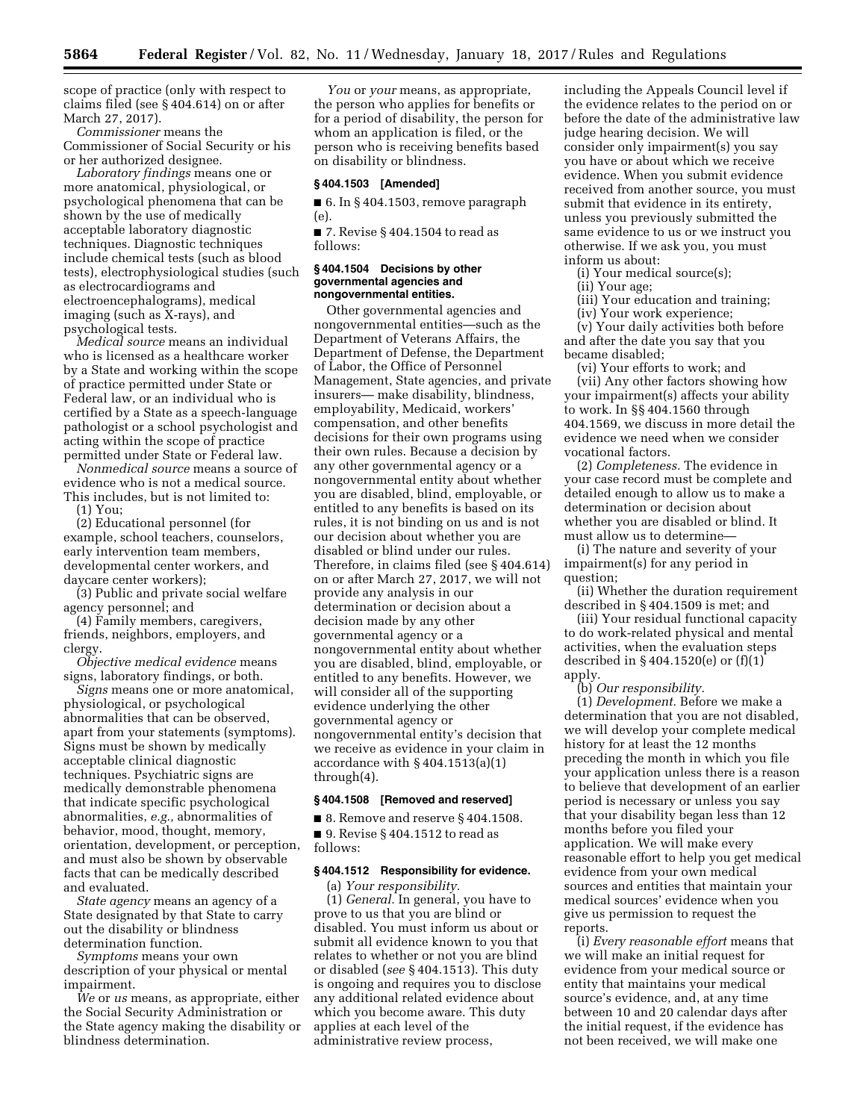scope of practice (only with respect to claims filed (see § 404.614) on or after March 27, 2017).

*Commissioner* means the Commissioner of Social Security or his or her authorized designee.

*Laboratory findings* means one or more anatomical, physiological, or psychological phenomena that can be shown by the use of medically acceptable laboratory diagnostic techniques. Diagnostic techniques include chemical tests (such as blood tests), electrophysiological studies (such as electrocardiograms and electroencephalograms), medical imaging (such as X-rays), and psychological tests.

*Medical source* means an individual who is licensed as a healthcare worker by a State and working within the scope of practice permitted under State or Federal law, or an individual who is certified by a State as a speech-language pathologist or a school psychologist and acting within the scope of practice permitted under State or Federal law.

*Nonmedical source* means a source of evidence who is not a medical source. This includes, but is not limited to:

(1) You;

(2) Educational personnel (for example, school teachers, counselors, early intervention team members, developmental center workers, and daycare center workers);

(3) Public and private social welfare agency personnel; and

(4) Family members, caregivers, friends, neighbors, employers, and clergy.

*Objective medical evidence* means signs, laboratory findings, or both.

*Signs* means one or more anatomical, physiological, or psychological abnormalities that can be observed, apart from your statements (symptoms). Signs must be shown by medically acceptable clinical diagnostic techniques. Psychiatric signs are medically demonstrable phenomena that indicate specific psychological abnormalities, *e.g.,* abnormalities of behavior, mood, thought, memory, orientation, development, or perception, and must also be shown by observable facts that can be medically described and evaluated.

*State agency* means an agency of a State designated by that State to carry out the disability or blindness determination function.

*Symptoms* means your own description of your physical or mental impairment.

*We* or *us* means, as appropriate, either the Social Security Administration or the State agency making the disability or blindness determination.

*You* or *your* means, as appropriate, the person who applies for benefits or for a period of disability, the person for whom an application is filed, or the person who is receiving benefits based on disability or blindness.

### **§ 404.1503 [Amended]**

■ 6. In § 404.1503, remove paragraph (e).

■ 7. Revise § 404.1504 to read as follows:

### **§ 404.1504 Decisions by other governmental agencies and nongovernmental entities.**

Other governmental agencies and nongovernmental entities—such as the Department of Veterans Affairs, the Department of Defense, the Department of Labor, the Office of Personnel Management, State agencies, and private insurers— make disability, blindness, employability, Medicaid, workers' compensation, and other benefits decisions for their own programs using their own rules. Because a decision by any other governmental agency or a nongovernmental entity about whether you are disabled, blind, employable, or entitled to any benefits is based on its rules, it is not binding on us and is not our decision about whether you are disabled or blind under our rules. Therefore, in claims filed (see § 404.614) on or after March 27, 2017, we will not provide any analysis in our determination or decision about a decision made by any other governmental agency or a nongovernmental entity about whether you are disabled, blind, employable, or entitled to any benefits. However, we will consider all of the supporting evidence underlying the other governmental agency or nongovernmental entity's decision that we receive as evidence in your claim in accordance with § 404.1513(a)(1) through(4).

### **§ 404.1508 [Removed and reserved]**

■ 8. Remove and reserve § 404.1508.

■ 9. Revise § 404.1512 to read as follows:

### **§ 404.1512 Responsibility for evidence.**

(a) *Your responsibility.*  (1) *General.* In general, you have to prove to us that you are blind or disabled. You must inform us about or submit all evidence known to you that relates to whether or not you are blind or disabled (*see* § 404.1513). This duty is ongoing and requires you to disclose any additional related evidence about which you become aware. This duty applies at each level of the administrative review process,

including the Appeals Council level if the evidence relates to the period on or before the date of the administrative law judge hearing decision. We will consider only impairment(s) you say you have or about which we receive evidence. When you submit evidence received from another source, you must submit that evidence in its entirety, unless you previously submitted the same evidence to us or we instruct you otherwise. If we ask you, you must inform us about:

(i) Your medical source(s);

(ii) Your age;

(iii) Your education and training;

(iv) Your work experience;

(v) Your daily activities both before and after the date you say that you became disabled;

(vi) Your efforts to work; and (vii) Any other factors showing how your impairment(s) affects your ability to work. In §§ 404.1560 through 404.1569, we discuss in more detail the evidence we need when we consider vocational factors.

(2) *Completeness.* The evidence in your case record must be complete and detailed enough to allow us to make a determination or decision about whether you are disabled or blind. It must allow us to determine—

(i) The nature and severity of your impairment(s) for any period in question;

(ii) Whether the duration requirement described in § 404.1509 is met; and

(iii) Your residual functional capacity to do work-related physical and mental activities, when the evaluation steps described in § 404.1520(e) or (f)(1) apply.

(b) *Our responsibility.* 

(1) *Development.* Before we make a determination that you are not disabled, we will develop your complete medical history for at least the 12 months preceding the month in which you file your application unless there is a reason to believe that development of an earlier period is necessary or unless you say that your disability began less than 12 months before you filed your application. We will make every reasonable effort to help you get medical evidence from your own medical sources and entities that maintain your medical sources' evidence when you give us permission to request the reports.

(i) *Every reasonable effort* means that we will make an initial request for evidence from your medical source or entity that maintains your medical source's evidence, and, at any time between 10 and 20 calendar days after the initial request, if the evidence has not been received, we will make one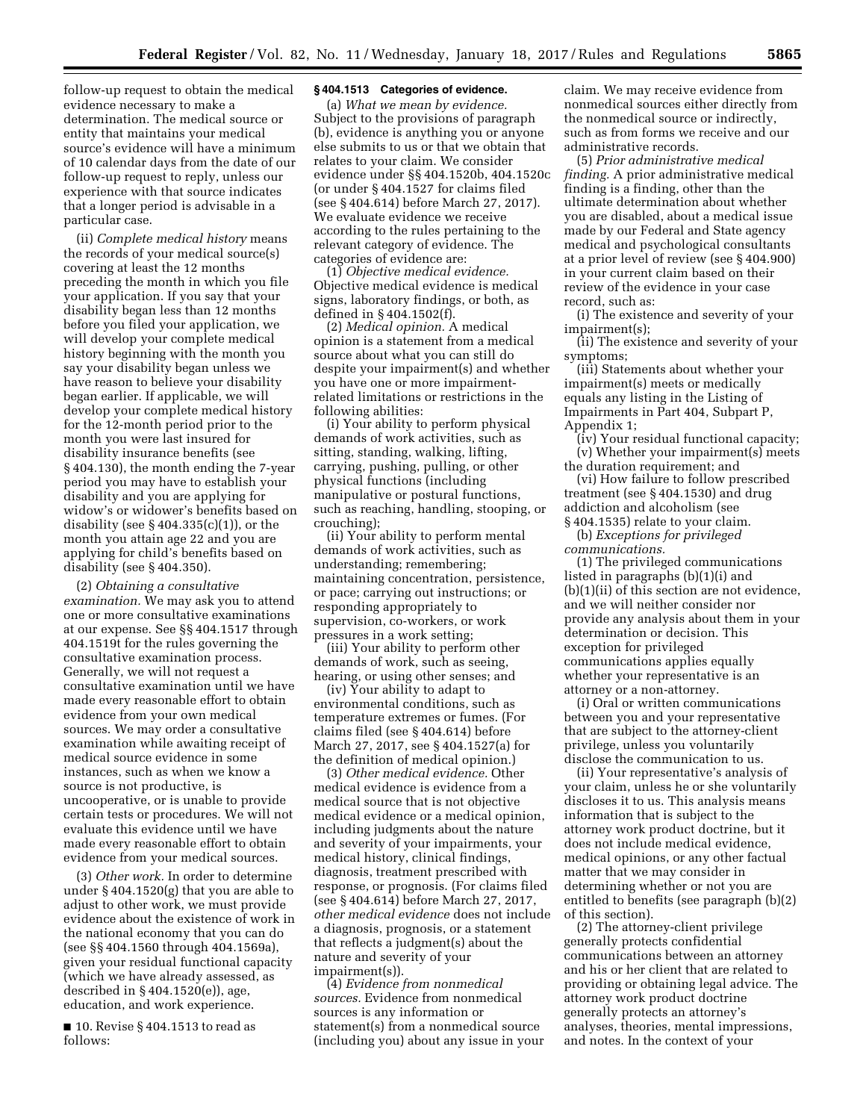follow-up request to obtain the medical evidence necessary to make a determination. The medical source or entity that maintains your medical source's evidence will have a minimum of 10 calendar days from the date of our follow-up request to reply, unless our experience with that source indicates that a longer period is advisable in a particular case.

(ii) *Complete medical history* means the records of your medical source(s) covering at least the 12 months preceding the month in which you file your application. If you say that your disability began less than 12 months before you filed your application, we will develop your complete medical history beginning with the month you say your disability began unless we have reason to believe your disability began earlier. If applicable, we will develop your complete medical history for the 12-month period prior to the month you were last insured for disability insurance benefits (see § 404.130), the month ending the 7-year period you may have to establish your disability and you are applying for widow's or widower's benefits based on disability (see  $\S$  404.335(c)(1)), or the month you attain age 22 and you are applying for child's benefits based on disability (see § 404.350).

(2) *Obtaining a consultative examination.* We may ask you to attend one or more consultative examinations at our expense. See §§ 404.1517 through 404.1519t for the rules governing the consultative examination process. Generally, we will not request a consultative examination until we have made every reasonable effort to obtain evidence from your own medical sources. We may order a consultative examination while awaiting receipt of medical source evidence in some instances, such as when we know a source is not productive, is uncooperative, or is unable to provide certain tests or procedures. We will not evaluate this evidence until we have made every reasonable effort to obtain evidence from your medical sources.

(3) *Other work.* In order to determine under § 404.1520(g) that you are able to adjust to other work, we must provide evidence about the existence of work in the national economy that you can do (see §§ 404.1560 through 404.1569a), given your residual functional capacity (which we have already assessed, as described in § 404.1520(e)), age, education, and work experience.

■ 10. Revise § 404.1513 to read as follows:

## **§ 404.1513 Categories of evidence.**

(a) *What we mean by evidence.*  Subject to the provisions of paragraph (b), evidence is anything you or anyone else submits to us or that we obtain that relates to your claim. We consider evidence under §§ 404.1520b, 404.1520c (or under § 404.1527 for claims filed (see § 404.614) before March 27, 2017). We evaluate evidence we receive according to the rules pertaining to the relevant category of evidence. The categories of evidence are:

(1) *Objective medical evidence.*  Objective medical evidence is medical signs, laboratory findings, or both, as defined in § 404.1502(f).

(2) *Medical opinion.* A medical opinion is a statement from a medical source about what you can still do despite your impairment(s) and whether you have one or more impairmentrelated limitations or restrictions in the following abilities:

(i) Your ability to perform physical demands of work activities, such as sitting, standing, walking, lifting, carrying, pushing, pulling, or other physical functions (including manipulative or postural functions, such as reaching, handling, stooping, or crouching);

(ii) Your ability to perform mental demands of work activities, such as understanding; remembering; maintaining concentration, persistence, or pace; carrying out instructions; or responding appropriately to supervision, co-workers, or work pressures in a work setting;

(iii) Your ability to perform other demands of work, such as seeing, hearing, or using other senses; and

(iv) Your ability to adapt to environmental conditions, such as temperature extremes or fumes. (For claims filed (see § 404.614) before March 27, 2017, see § 404.1527(a) for the definition of medical opinion.)

(3) *Other medical evidence.* Other medical evidence is evidence from a medical source that is not objective medical evidence or a medical opinion, including judgments about the nature and severity of your impairments, your medical history, clinical findings, diagnosis, treatment prescribed with response, or prognosis. (For claims filed (see § 404.614) before March 27, 2017, *other medical evidence* does not include a diagnosis, prognosis, or a statement that reflects a judgment(s) about the nature and severity of your impairment(s)).

(4) *Evidence from nonmedical sources.* Evidence from nonmedical sources is any information or statement(s) from a nonmedical source (including you) about any issue in your claim. We may receive evidence from nonmedical sources either directly from the nonmedical source or indirectly, such as from forms we receive and our administrative records.

(5) *Prior administrative medical finding.* A prior administrative medical finding is a finding, other than the ultimate determination about whether you are disabled, about a medical issue made by our Federal and State agency medical and psychological consultants at a prior level of review (see § 404.900) in your current claim based on their review of the evidence in your case record, such as:

(i) The existence and severity of your impairment(s);

(ii) The existence and severity of your symptoms;

(iii) Statements about whether your impairment(s) meets or medically equals any listing in the Listing of Impairments in Part 404, Subpart P, Appendix 1;

(iv) Your residual functional capacity; (v) Whether your impairment(s) meets

the duration requirement; and (vi) How failure to follow prescribed treatment (see § 404.1530) and drug addiction and alcoholism (see § 404.1535) relate to your claim.

(b) *Exceptions for privileged* 

*communications.* 

(1) The privileged communications listed in paragraphs (b)(1)(i) and (b)(1)(ii) of this section are not evidence, and we will neither consider nor provide any analysis about them in your determination or decision. This exception for privileged communications applies equally whether your representative is an attorney or a non-attorney.

(i) Oral or written communications between you and your representative that are subject to the attorney-client privilege, unless you voluntarily disclose the communication to us.

(ii) Your representative's analysis of your claim, unless he or she voluntarily discloses it to us. This analysis means information that is subject to the attorney work product doctrine, but it does not include medical evidence, medical opinions, or any other factual matter that we may consider in determining whether or not you are entitled to benefits (see paragraph (b)(2) of this section).

(2) The attorney-client privilege generally protects confidential communications between an attorney and his or her client that are related to providing or obtaining legal advice. The attorney work product doctrine generally protects an attorney's analyses, theories, mental impressions, and notes. In the context of your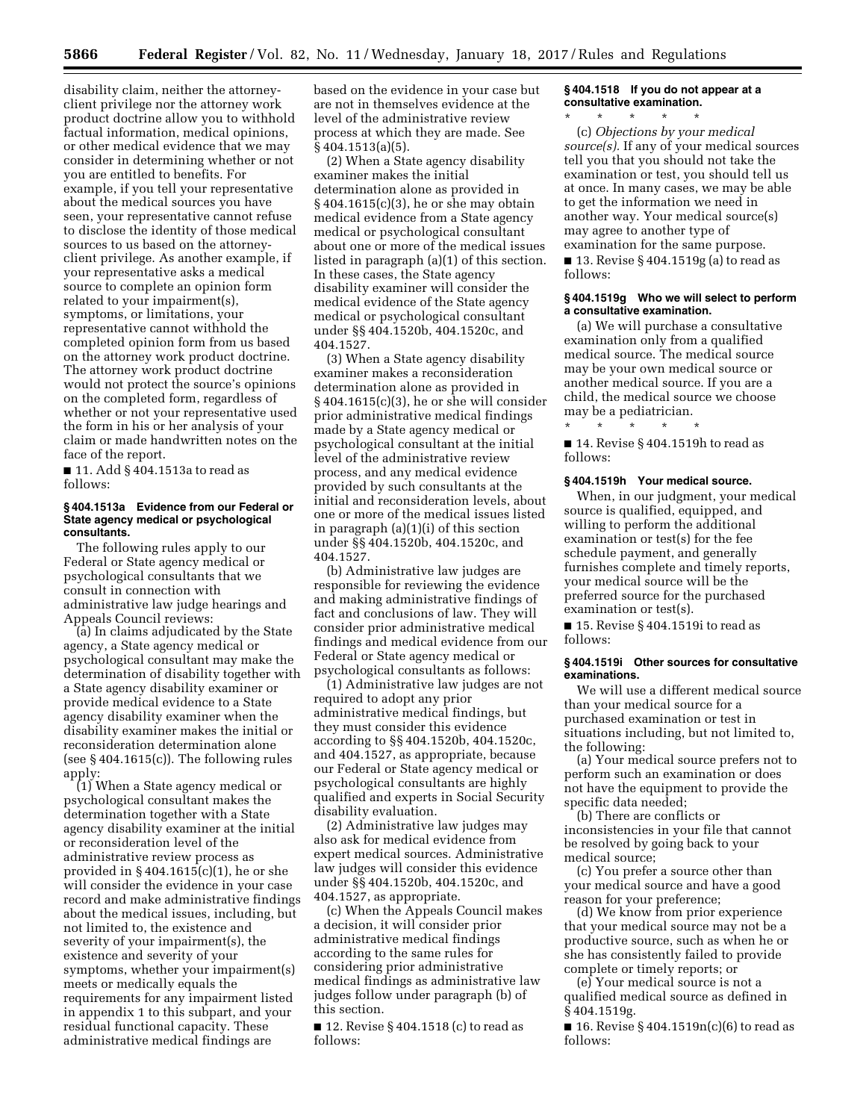disability claim, neither the attorneyclient privilege nor the attorney work product doctrine allow you to withhold factual information, medical opinions, or other medical evidence that we may consider in determining whether or not you are entitled to benefits. For example, if you tell your representative about the medical sources you have seen, your representative cannot refuse to disclose the identity of those medical sources to us based on the attorneyclient privilege. As another example, if your representative asks a medical source to complete an opinion form related to your impairment(s), symptoms, or limitations, your representative cannot withhold the completed opinion form from us based on the attorney work product doctrine. The attorney work product doctrine would not protect the source's opinions on the completed form, regardless of whether or not your representative used the form in his or her analysis of your claim or made handwritten notes on the face of the report.

■ 11. Add § 404.1513a to read as follows:

#### **§ 404.1513a Evidence from our Federal or State agency medical or psychological consultants.**

The following rules apply to our Federal or State agency medical or psychological consultants that we consult in connection with administrative law judge hearings and Appeals Council reviews:

(a) In claims adjudicated by the State agency, a State agency medical or psychological consultant may make the determination of disability together with a State agency disability examiner or provide medical evidence to a State agency disability examiner when the disability examiner makes the initial or reconsideration determination alone (see § 404.1615(c)). The following rules apply:

(1) When a State agency medical or psychological consultant makes the determination together with a State agency disability examiner at the initial or reconsideration level of the administrative review process as provided in § 404.1615(c)(1), he or she will consider the evidence in your case record and make administrative findings about the medical issues, including, but not limited to, the existence and severity of your impairment(s), the existence and severity of your symptoms, whether your impairment(s) meets or medically equals the requirements for any impairment listed in appendix 1 to this subpart, and your residual functional capacity. These administrative medical findings are

based on the evidence in your case but are not in themselves evidence at the level of the administrative review process at which they are made. See § 404.1513(a)(5).

(2) When a State agency disability examiner makes the initial determination alone as provided in § 404.1615(c)(3), he or she may obtain medical evidence from a State agency medical or psychological consultant about one or more of the medical issues listed in paragraph (a)(1) of this section. In these cases, the State agency disability examiner will consider the medical evidence of the State agency medical or psychological consultant under §§ 404.1520b, 404.1520c, and 404.1527.

(3) When a State agency disability examiner makes a reconsideration determination alone as provided in § 404.1615(c)(3), he or she will consider prior administrative medical findings made by a State agency medical or psychological consultant at the initial level of the administrative review process, and any medical evidence provided by such consultants at the initial and reconsideration levels, about one or more of the medical issues listed in paragraph (a)(1)(i) of this section under §§ 404.1520b, 404.1520c, and 404.1527.

(b) Administrative law judges are responsible for reviewing the evidence and making administrative findings of fact and conclusions of law. They will consider prior administrative medical findings and medical evidence from our Federal or State agency medical or psychological consultants as follows:

(1) Administrative law judges are not required to adopt any prior administrative medical findings, but they must consider this evidence according to §§ 404.1520b, 404.1520c, and 404.1527, as appropriate, because our Federal or State agency medical or psychological consultants are highly qualified and experts in Social Security disability evaluation.

(2) Administrative law judges may also ask for medical evidence from expert medical sources. Administrative law judges will consider this evidence under §§ 404.1520b, 404.1520c, and 404.1527, as appropriate.

(c) When the Appeals Council makes a decision, it will consider prior administrative medical findings according to the same rules for considering prior administrative medical findings as administrative law judges follow under paragraph (b) of this section.

■ 12. Revise § 404.1518 (c) to read as follows:

# **§ 404.1518 If you do not appear at a consultative examination.**

\* \* \* \* \* (c) *Objections by your medical source(s).* If any of your medical sources tell you that you should not take the examination or test, you should tell us at once. In many cases, we may be able to get the information we need in another way. Your medical source(s) may agree to another type of examination for the same purpose.

■ 13. Revise § 404.1519g (a) to read as follows:

#### **§ 404.1519g Who we will select to perform a consultative examination.**

(a) We will purchase a consultative examination only from a qualified medical source. The medical source may be your own medical source or another medical source. If you are a child, the medical source we choose may be a pediatrician.

 $\blacksquare$  14. Revise § 404.1519h to read as follows:

\* \* \* \* \*

#### **§ 404.1519h Your medical source.**

When, in our judgment, your medical source is qualified, equipped, and willing to perform the additional examination or test(s) for the fee schedule payment, and generally furnishes complete and timely reports, your medical source will be the preferred source for the purchased examination or test(s).

■ 15. Revise § 404.1519i to read as follows:

### **§ 404.1519i Other sources for consultative examinations.**

We will use a different medical source than your medical source for a purchased examination or test in situations including, but not limited to, the following:

(a) Your medical source prefers not to perform such an examination or does not have the equipment to provide the specific data needed;

(b) There are conflicts or inconsistencies in your file that cannot be resolved by going back to your medical source;

(c) You prefer a source other than your medical source and have a good reason for your preference;

(d) We know from prior experience that your medical source may not be a productive source, such as when he or she has consistently failed to provide complete or timely reports; or

(e) Your medical source is not a qualified medical source as defined in § 404.1519g.

■ 16. Revise § 404.1519 $n(c)(6)$  to read as follows: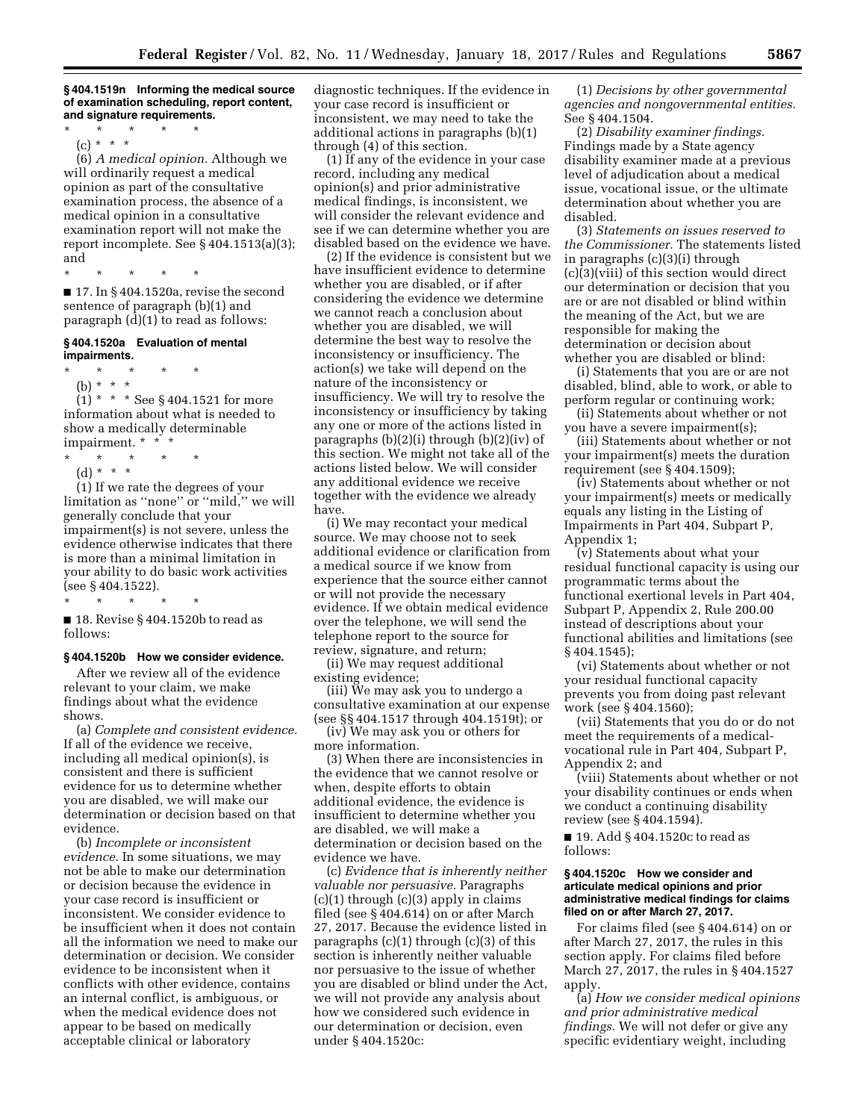**§ 404.1519n Informing the medical source of examination scheduling, report content, and signature requirements.** 

\* \* \* \* \*  $(c) * * * *$ 

(6) *A medical opinion.* Although we will ordinarily request a medical opinion as part of the consultative examination process, the absence of a medical opinion in a consultative examination report will not make the report incomplete. See § 404.1513(a)(3); and

\* \* \* \* \*  $\blacksquare$  17. In § 404.1520a, revise the second sentence of paragraph (b)(1) and paragraph (d)(1) to read as follows:

### **§ 404.1520a Evaluation of mental impairments.**

- $\star$   $\star$
- (b) \* \* \*

 $(1) * * *$  See § 404.1521 for more information about what is needed to show a medically determinable

impairment. \* \* \* \* \* \* \* \* (d) \* \* \*

(1) If we rate the degrees of your limitation as ''none'' or ''mild,'' we will generally conclude that your impairment(s) is not severe, unless the evidence otherwise indicates that there is more than a minimal limitation in your ability to do basic work activities (see § 404.1522). \* \* \* \* \*

 $\blacksquare$  18. Revise § 404.1520b to read as follows:

#### **§ 404.1520b How we consider evidence.**

After we review all of the evidence relevant to your claim, we make findings about what the evidence shows.

(a) *Complete and consistent evidence.*  If all of the evidence we receive, including all medical opinion(s), is consistent and there is sufficient evidence for us to determine whether you are disabled, we will make our determination or decision based on that evidence.

(b) *Incomplete or inconsistent evidence.* In some situations, we may not be able to make our determination or decision because the evidence in your case record is insufficient or inconsistent. We consider evidence to be insufficient when it does not contain all the information we need to make our determination or decision. We consider evidence to be inconsistent when it conflicts with other evidence, contains an internal conflict, is ambiguous, or when the medical evidence does not appear to be based on medically acceptable clinical or laboratory

diagnostic techniques. If the evidence in your case record is insufficient or inconsistent, we may need to take the additional actions in paragraphs (b)(1) through (4) of this section.

(1) If any of the evidence in your case record, including any medical opinion(s) and prior administrative medical findings, is inconsistent, we will consider the relevant evidence and see if we can determine whether you are disabled based on the evidence we have.

(2) If the evidence is consistent but we have insufficient evidence to determine whether you are disabled, or if after considering the evidence we determine we cannot reach a conclusion about whether you are disabled, we will determine the best way to resolve the inconsistency or insufficiency. The action(s) we take will depend on the nature of the inconsistency or insufficiency. We will try to resolve the inconsistency or insufficiency by taking any one or more of the actions listed in paragraphs (b)(2)(i) through (b)(2)(iv) of this section. We might not take all of the actions listed below. We will consider any additional evidence we receive together with the evidence we already have.

(i) We may recontact your medical source. We may choose not to seek additional evidence or clarification from a medical source if we know from experience that the source either cannot or will not provide the necessary evidence. If we obtain medical evidence over the telephone, we will send the telephone report to the source for review, signature, and return;

(ii) We may request additional existing evidence;

(iii) We may ask you to undergo a consultative examination at our expense (see §§ 404.1517 through 404.1519t); or

(iv) We may ask you or others for more information.

(3) When there are inconsistencies in the evidence that we cannot resolve or when, despite efforts to obtain additional evidence, the evidence is insufficient to determine whether you are disabled, we will make a determination or decision based on the evidence we have.

(c) *Evidence that is inherently neither valuable nor persuasive.* Paragraphs  $(c)(1)$  through  $(c)(3)$  apply in claims filed (see § 404.614) on or after March 27, 2017. Because the evidence listed in paragraphs (c)(1) through (c)(3) of this section is inherently neither valuable nor persuasive to the issue of whether you are disabled or blind under the Act, we will not provide any analysis about how we considered such evidence in our determination or decision, even under § 404.1520c:

(1) *Decisions by other governmental agencies and nongovernmental entities.*  See § 404.1504.

(2) *Disability examiner findings.*  Findings made by a State agency disability examiner made at a previous level of adjudication about a medical issue, vocational issue, or the ultimate determination about whether you are disabled.

(3) *Statements on issues reserved to the Commissioner.* The statements listed in paragraphs (c)(3)(i) through (c)(3)(viii) of this section would direct our determination or decision that you are or are not disabled or blind within the meaning of the Act, but we are responsible for making the determination or decision about whether you are disabled or blind:

(i) Statements that you are or are not disabled, blind, able to work, or able to perform regular or continuing work;

(ii) Statements about whether or not you have a severe impairment(s);

(iii) Statements about whether or not your impairment(s) meets the duration requirement (see § 404.1509);

(iv) Statements about whether or not your impairment(s) meets or medically equals any listing in the Listing of Impairments in Part 404, Subpart P, Appendix 1;

(v) Statements about what your residual functional capacity is using our programmatic terms about the functional exertional levels in Part 404, Subpart P, Appendix 2, Rule 200.00 instead of descriptions about your functional abilities and limitations (see § 404.1545);

(vi) Statements about whether or not your residual functional capacity prevents you from doing past relevant work (see § 404.1560);

(vii) Statements that you do or do not meet the requirements of a medicalvocational rule in Part 404, Subpart P, Appendix 2; and

(viii) Statements about whether or not your disability continues or ends when we conduct a continuing disability review (see § 404.1594).

■ 19. Add § 404.1520c to read as follows:

#### **§ 404.1520c How we consider and articulate medical opinions and prior administrative medical findings for claims filed on or after March 27, 2017.**

For claims filed (see § 404.614) on or after March 27, 2017, the rules in this section apply. For claims filed before March 27, 2017, the rules in § 404.1527 apply.

(a) *How we consider medical opinions and prior administrative medical findings.* We will not defer or give any specific evidentiary weight, including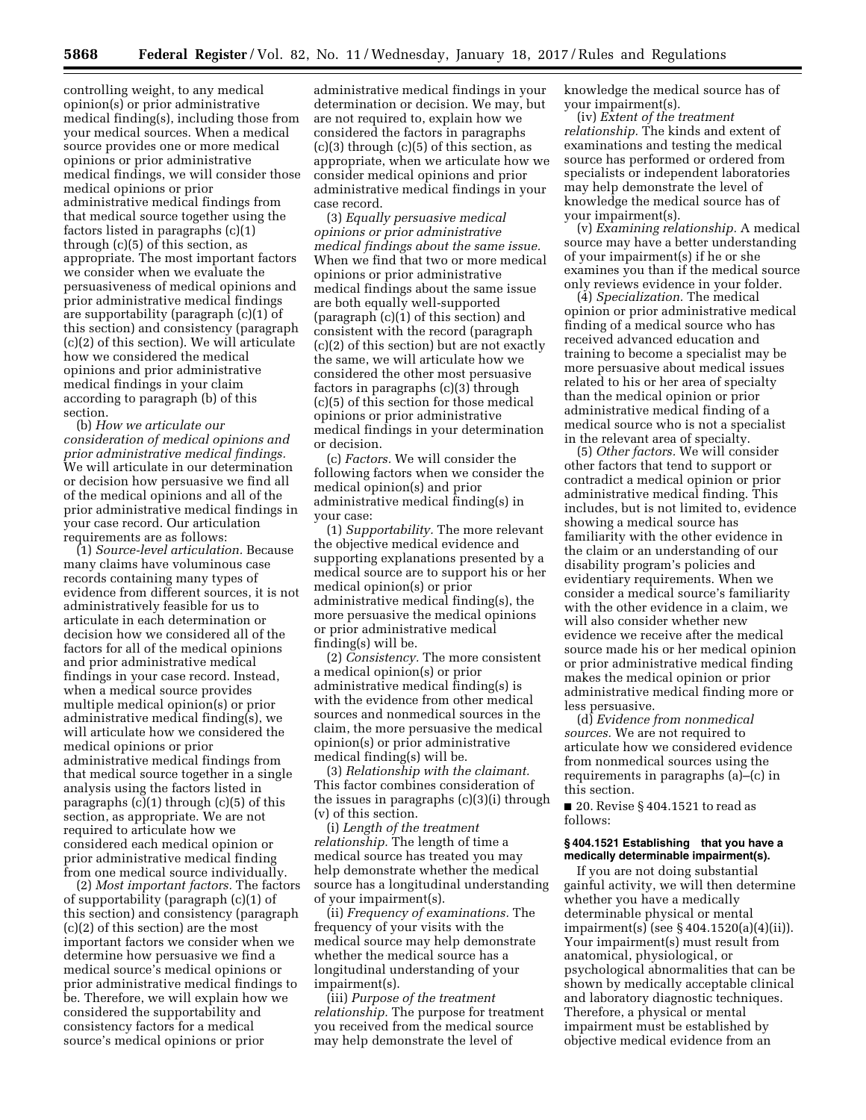controlling weight, to any medical opinion(s) or prior administrative medical finding(s), including those from your medical sources. When a medical source provides one or more medical opinions or prior administrative medical findings, we will consider those medical opinions or prior administrative medical findings from that medical source together using the factors listed in paragraphs (c)(1) through (c)(5) of this section, as appropriate. The most important factors we consider when we evaluate the persuasiveness of medical opinions and prior administrative medical findings are supportability (paragraph (c)(1) of this section) and consistency (paragraph (c)(2) of this section). We will articulate how we considered the medical opinions and prior administrative medical findings in your claim according to paragraph (b) of this section.

(b) *How we articulate our consideration of medical opinions and prior administrative medical findings.*  We will articulate in our determination or decision how persuasive we find all of the medical opinions and all of the prior administrative medical findings in your case record. Our articulation requirements are as follows:

(1) *Source-level articulation.* Because many claims have voluminous case records containing many types of evidence from different sources, it is not administratively feasible for us to articulate in each determination or decision how we considered all of the factors for all of the medical opinions and prior administrative medical findings in your case record. Instead, when a medical source provides multiple medical opinion(s) or prior administrative medical finding(s), we will articulate how we considered the medical opinions or prior administrative medical findings from that medical source together in a single analysis using the factors listed in paragraphs  $(c)(1)$  through  $(c)(5)$  of this section, as appropriate. We are not required to articulate how we considered each medical opinion or prior administrative medical finding from one medical source individually.

(2) *Most important factors.* The factors of supportability (paragraph (c)(1) of this section) and consistency (paragraph (c)(2) of this section) are the most important factors we consider when we determine how persuasive we find a medical source's medical opinions or prior administrative medical findings to be. Therefore, we will explain how we considered the supportability and consistency factors for a medical source's medical opinions or prior

administrative medical findings in your determination or decision. We may, but are not required to, explain how we considered the factors in paragraphs  $(c)(3)$  through  $(c)(5)$  of this section, as appropriate, when we articulate how we consider medical opinions and prior administrative medical findings in your case record.

(3) *Equally persuasive medical opinions or prior administrative medical findings about the same issue.*  When we find that two or more medical opinions or prior administrative medical findings about the same issue are both equally well-supported (paragraph (c)(1) of this section) and consistent with the record (paragraph (c)(2) of this section) but are not exactly the same, we will articulate how we considered the other most persuasive factors in paragraphs (c)(3) through (c)(5) of this section for those medical opinions or prior administrative medical findings in your determination or decision.

(c) *Factors.* We will consider the following factors when we consider the medical opinion(s) and prior administrative medical finding(s) in your case:

(1) *Supportability.* The more relevant the objective medical evidence and supporting explanations presented by a medical source are to support his or her medical opinion(s) or prior administrative medical finding(s), the more persuasive the medical opinions or prior administrative medical finding(s) will be.

(2) *Consistency.* The more consistent a medical opinion(s) or prior administrative medical finding(s) is with the evidence from other medical sources and nonmedical sources in the claim, the more persuasive the medical opinion(s) or prior administrative medical finding(s) will be.

(3) *Relationship with the claimant.*  This factor combines consideration of the issues in paragraphs (c)(3)(i) through (v) of this section.

(i) *Length of the treatment relationship.* The length of time a medical source has treated you may help demonstrate whether the medical source has a longitudinal understanding of your impairment(s).

(ii) *Frequency of examinations.* The frequency of your visits with the medical source may help demonstrate whether the medical source has a longitudinal understanding of your impairment(s).

(iii) *Purpose of the treatment relationship.* The purpose for treatment you received from the medical source may help demonstrate the level of

knowledge the medical source has of your impairment(s).

(iv) *Extent of the treatment relationship.* The kinds and extent of examinations and testing the medical source has performed or ordered from specialists or independent laboratories may help demonstrate the level of knowledge the medical source has of your impairment(s).

(v) *Examining relationship.* A medical source may have a better understanding of your impairment(s) if he or she examines you than if the medical source only reviews evidence in your folder.

(4) *Specialization.* The medical opinion or prior administrative medical finding of a medical source who has received advanced education and training to become a specialist may be more persuasive about medical issues related to his or her area of specialty than the medical opinion or prior administrative medical finding of a medical source who is not a specialist in the relevant area of specialty.

(5) *Other factors.* We will consider other factors that tend to support or contradict a medical opinion or prior administrative medical finding. This includes, but is not limited to, evidence showing a medical source has familiarity with the other evidence in the claim or an understanding of our disability program's policies and evidentiary requirements. When we consider a medical source's familiarity with the other evidence in a claim, we will also consider whether new evidence we receive after the medical source made his or her medical opinion or prior administrative medical finding makes the medical opinion or prior administrative medical finding more or less persuasive.

(d) *Evidence from nonmedical sources.* We are not required to articulate how we considered evidence from nonmedical sources using the requirements in paragraphs (a)–(c) in this section.

■ 20. Revise § 404.1521 to read as follows:

### **§ 404.1521 Establishing that you have a medically determinable impairment(s).**

If you are not doing substantial gainful activity, we will then determine whether you have a medically determinable physical or mental impairment(s) (see § 404.1520(a)(4)(ii)). Your impairment(s) must result from anatomical, physiological, or psychological abnormalities that can be shown by medically acceptable clinical and laboratory diagnostic techniques. Therefore, a physical or mental impairment must be established by objective medical evidence from an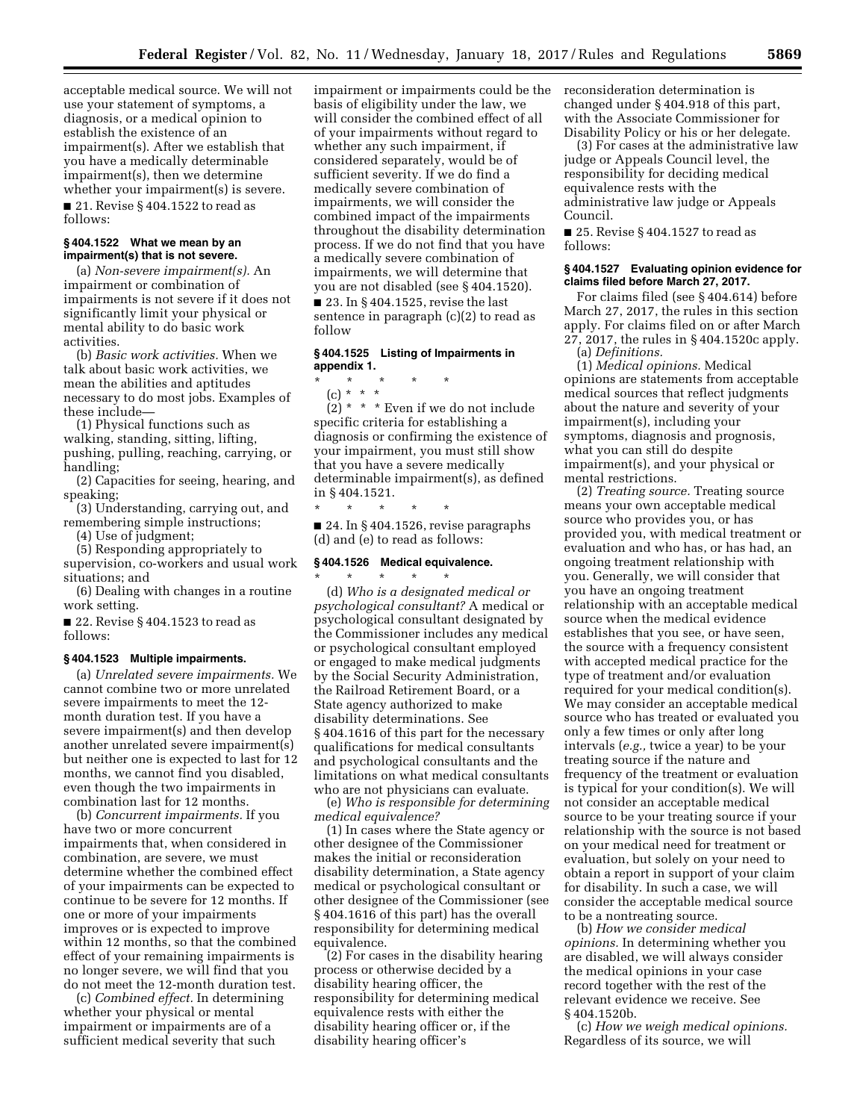acceptable medical source. We will not use your statement of symptoms, a diagnosis, or a medical opinion to establish the existence of an impairment(s). After we establish that you have a medically determinable impairment(s), then we determine whether your impairment(s) is severe.

■ 21. Revise § 404.1522 to read as follows:

#### **§ 404.1522 What we mean by an impairment(s) that is not severe.**

(a) *Non-severe impairment(s).* An impairment or combination of impairments is not severe if it does not significantly limit your physical or mental ability to do basic work activities.

(b) *Basic work activities.* When we talk about basic work activities, we mean the abilities and aptitudes necessary to do most jobs. Examples of these include—

(1) Physical functions such as walking, standing, sitting, lifting, pushing, pulling, reaching, carrying, or handling;

(2) Capacities for seeing, hearing, and speaking;

(3) Understanding, carrying out, and remembering simple instructions;

(4) Use of judgment;

(5) Responding appropriately to supervision, co-workers and usual work situations; and

(6) Dealing with changes in a routine work setting.

■ 22. Revise § 404.1523 to read as follows:

#### **§ 404.1523 Multiple impairments.**

(a) *Unrelated severe impairments.* We cannot combine two or more unrelated severe impairments to meet the 12 month duration test. If you have a severe impairment(s) and then develop another unrelated severe impairment(s) but neither one is expected to last for 12 months, we cannot find you disabled, even though the two impairments in combination last for 12 months.

(b) *Concurrent impairments.* If you have two or more concurrent impairments that, when considered in combination, are severe, we must determine whether the combined effect of your impairments can be expected to continue to be severe for 12 months. If one or more of your impairments improves or is expected to improve within 12 months, so that the combined effect of your remaining impairments is no longer severe, we will find that you do not meet the 12-month duration test.

(c) *Combined effect.* In determining whether your physical or mental impairment or impairments are of a sufficient medical severity that such

impairment or impairments could be the basis of eligibility under the law, we will consider the combined effect of all of your impairments without regard to whether any such impairment, if considered separately, would be of sufficient severity. If we do find a medically severe combination of impairments, we will consider the combined impact of the impairments throughout the disability determination process. If we do not find that you have a medically severe combination of impairments, we will determine that you are not disabled (see § 404.1520). ■ 23. In § 404.1525, revise the last sentence in paragraph (c)(2) to read as follow

### **§ 404.1525 Listing of Impairments in appendix 1.**

\* \* \* \* \* (c) \* \* \*

(2) \* \* \* Even if we do not include specific criteria for establishing a diagnosis or confirming the existence of your impairment, you must still show that you have a severe medically determinable impairment(s), as defined in § 404.1521.

\* \* \* \* \* ■ 24. In § 404.1526, revise paragraphs (d) and (e) to read as follows:

# **§ 404.1526 Medical equivalence.**   $\star$   $\qquad$   $\star$   $\qquad$   $\star$   $\qquad$   $\star$   $\qquad$   $\star$

(d) *Who is a designated medical or psychological consultant?* A medical or psychological consultant designated by the Commissioner includes any medical or psychological consultant employed or engaged to make medical judgments by the Social Security Administration, the Railroad Retirement Board, or a State agency authorized to make disability determinations. See § 404.1616 of this part for the necessary qualifications for medical consultants and psychological consultants and the limitations on what medical consultants who are not physicians can evaluate.

(e) *Who is responsible for determining medical equivalence?* 

(1) In cases where the State agency or other designee of the Commissioner makes the initial or reconsideration disability determination, a State agency medical or psychological consultant or other designee of the Commissioner (see § 404.1616 of this part) has the overall responsibility for determining medical equivalence.

(2) For cases in the disability hearing process or otherwise decided by a disability hearing officer, the responsibility for determining medical equivalence rests with either the disability hearing officer or, if the disability hearing officer's

reconsideration determination is changed under § 404.918 of this part, with the Associate Commissioner for Disability Policy or his or her delegate.

(3) For cases at the administrative law judge or Appeals Council level, the responsibility for deciding medical equivalence rests with the administrative law judge or Appeals Council.

■ 25. Revise § 404.1527 to read as follows:

#### **§ 404.1527 Evaluating opinion evidence for claims filed before March 27, 2017.**

For claims filed (see § 404.614) before March 27, 2017, the rules in this section apply. For claims filed on or after March 27, 2017, the rules in § 404.1520c apply.

(a) *Definitions.* 

(1) *Medical opinions.* Medical opinions are statements from acceptable medical sources that reflect judgments about the nature and severity of your impairment(s), including your symptoms, diagnosis and prognosis, what you can still do despite impairment(s), and your physical or mental restrictions.

(2) *Treating source.* Treating source means your own acceptable medical source who provides you, or has provided you, with medical treatment or evaluation and who has, or has had, an ongoing treatment relationship with you. Generally, we will consider that you have an ongoing treatment relationship with an acceptable medical source when the medical evidence establishes that you see, or have seen, the source with a frequency consistent with accepted medical practice for the type of treatment and/or evaluation required for your medical condition(s). We may consider an acceptable medical source who has treated or evaluated you only a few times or only after long intervals (*e.g.,* twice a year) to be your treating source if the nature and frequency of the treatment or evaluation is typical for your condition(s). We will not consider an acceptable medical source to be your treating source if your relationship with the source is not based on your medical need for treatment or evaluation, but solely on your need to obtain a report in support of your claim for disability. In such a case, we will consider the acceptable medical source to be a nontreating source.

(b) *How we consider medical opinions.* In determining whether you are disabled, we will always consider the medical opinions in your case record together with the rest of the relevant evidence we receive. See § 404.1520b.

(c) *How we weigh medical opinions.*  Regardless of its source, we will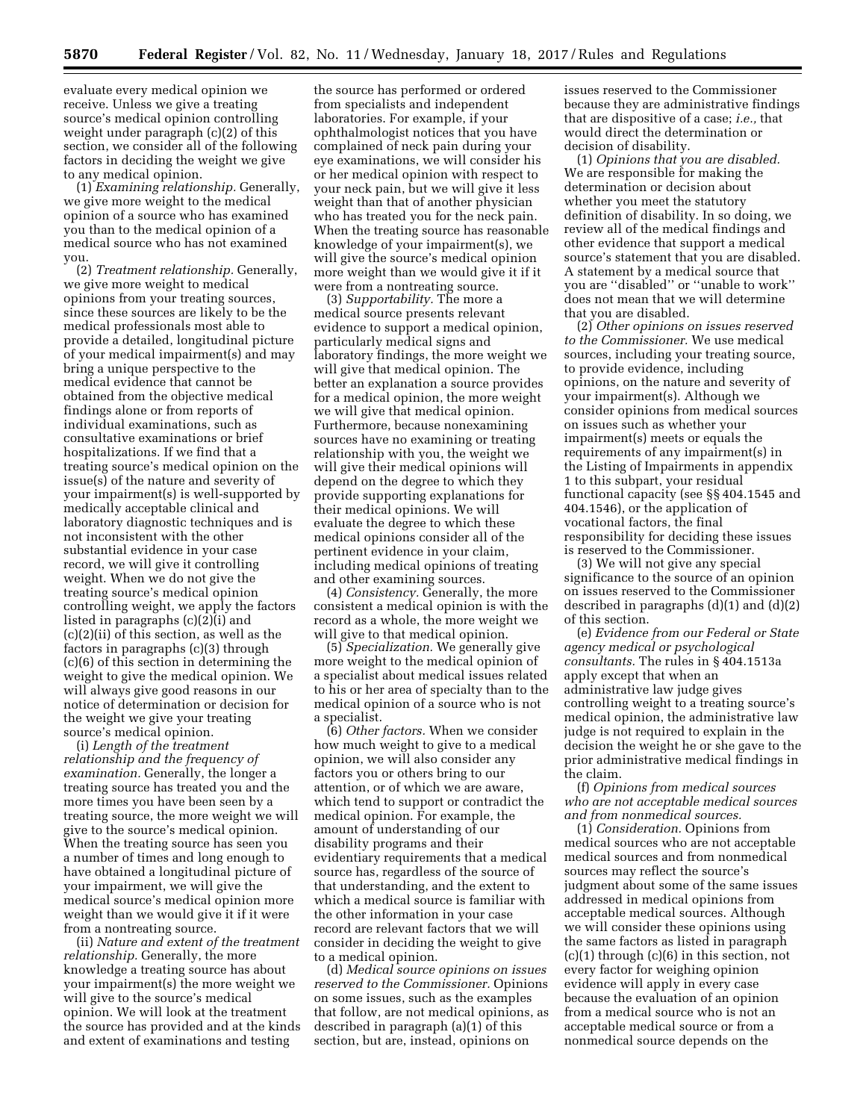evaluate every medical opinion we receive. Unless we give a treating source's medical opinion controlling weight under paragraph (c)(2) of this section, we consider all of the following factors in deciding the weight we give to any medical opinion.

(1) *Examining relationship.* Generally, we give more weight to the medical opinion of a source who has examined you than to the medical opinion of a medical source who has not examined you.

(2) *Treatment relationship.* Generally, we give more weight to medical opinions from your treating sources, since these sources are likely to be the medical professionals most able to provide a detailed, longitudinal picture of your medical impairment(s) and may bring a unique perspective to the medical evidence that cannot be obtained from the objective medical findings alone or from reports of individual examinations, such as consultative examinations or brief hospitalizations. If we find that a treating source's medical opinion on the issue(s) of the nature and severity of your impairment(s) is well-supported by medically acceptable clinical and laboratory diagnostic techniques and is not inconsistent with the other substantial evidence in your case record, we will give it controlling weight. When we do not give the treating source's medical opinion controlling weight, we apply the factors listed in paragraphs (c)(2)(i) and (c)(2)(ii) of this section, as well as the factors in paragraphs (c)(3) through (c)(6) of this section in determining the weight to give the medical opinion. We will always give good reasons in our notice of determination or decision for the weight we give your treating source's medical opinion.

(i) *Length of the treatment relationship and the frequency of examination.* Generally, the longer a treating source has treated you and the more times you have been seen by a treating source, the more weight we will give to the source's medical opinion. When the treating source has seen you a number of times and long enough to have obtained a longitudinal picture of your impairment, we will give the medical source's medical opinion more weight than we would give it if it were from a nontreating source.

(ii) *Nature and extent of the treatment relationship.* Generally, the more knowledge a treating source has about your impairment(s) the more weight we will give to the source's medical opinion. We will look at the treatment the source has provided and at the kinds and extent of examinations and testing

the source has performed or ordered from specialists and independent laboratories. For example, if your ophthalmologist notices that you have complained of neck pain during your eye examinations, we will consider his or her medical opinion with respect to your neck pain, but we will give it less weight than that of another physician who has treated you for the neck pain. When the treating source has reasonable knowledge of your impairment(s), we will give the source's medical opinion more weight than we would give it if it were from a nontreating source.

(3) *Supportability.* The more a medical source presents relevant evidence to support a medical opinion, particularly medical signs and laboratory findings, the more weight we will give that medical opinion. The better an explanation a source provides for a medical opinion, the more weight we will give that medical opinion. Furthermore, because nonexamining sources have no examining or treating relationship with you, the weight we will give their medical opinions will depend on the degree to which they provide supporting explanations for their medical opinions. We will evaluate the degree to which these medical opinions consider all of the pertinent evidence in your claim, including medical opinions of treating and other examining sources.

(4) *Consistency.* Generally, the more consistent a medical opinion is with the record as a whole, the more weight we will give to that medical opinion.

(5) *Specialization.* We generally give more weight to the medical opinion of a specialist about medical issues related to his or her area of specialty than to the medical opinion of a source who is not a specialist.

(6) *Other factors.* When we consider how much weight to give to a medical opinion, we will also consider any factors you or others bring to our attention, or of which we are aware, which tend to support or contradict the medical opinion. For example, the amount of understanding of our disability programs and their evidentiary requirements that a medical source has, regardless of the source of that understanding, and the extent to which a medical source is familiar with the other information in your case record are relevant factors that we will consider in deciding the weight to give to a medical opinion.

(d) *Medical source opinions on issues reserved to the Commissioner.* Opinions on some issues, such as the examples that follow, are not medical opinions, as described in paragraph (a)(1) of this section, but are, instead, opinions on

issues reserved to the Commissioner because they are administrative findings that are dispositive of a case; *i.e.,* that would direct the determination or decision of disability.

(1) *Opinions that you are disabled.*  We are responsible for making the determination or decision about whether you meet the statutory definition of disability. In so doing, we review all of the medical findings and other evidence that support a medical source's statement that you are disabled. A statement by a medical source that you are ''disabled'' or ''unable to work'' does not mean that we will determine that you are disabled.

(2) *Other opinions on issues reserved to the Commissioner.* We use medical sources, including your treating source, to provide evidence, including opinions, on the nature and severity of your impairment(s). Although we consider opinions from medical sources on issues such as whether your impairment(s) meets or equals the requirements of any impairment(s) in the Listing of Impairments in appendix 1 to this subpart, your residual functional capacity (see §§ 404.1545 and 404.1546), or the application of vocational factors, the final responsibility for deciding these issues is reserved to the Commissioner.

(3) We will not give any special significance to the source of an opinion on issues reserved to the Commissioner described in paragraphs (d)(1) and (d)(2) of this section.

(e) *Evidence from our Federal or State agency medical or psychological consultants.* The rules in § 404.1513a apply except that when an administrative law judge gives controlling weight to a treating source's medical opinion, the administrative law judge is not required to explain in the decision the weight he or she gave to the prior administrative medical findings in the claim.

(f) *Opinions from medical sources who are not acceptable medical sources and from nonmedical sources.* 

(1) *Consideration.* Opinions from medical sources who are not acceptable medical sources and from nonmedical sources may reflect the source's judgment about some of the same issues addressed in medical opinions from acceptable medical sources. Although we will consider these opinions using the same factors as listed in paragraph (c)(1) through (c)(6) in this section, not every factor for weighing opinion evidence will apply in every case because the evaluation of an opinion from a medical source who is not an acceptable medical source or from a nonmedical source depends on the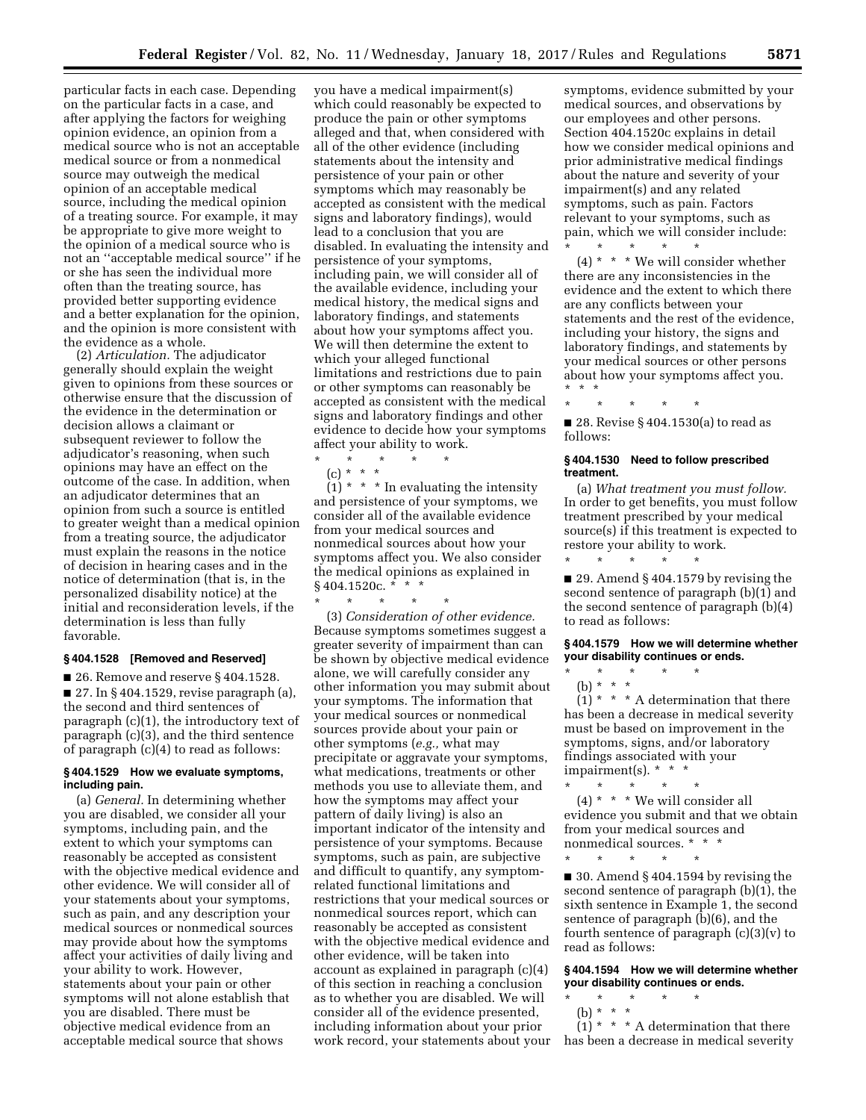particular facts in each case. Depending on the particular facts in a case, and after applying the factors for weighing opinion evidence, an opinion from a medical source who is not an acceptable medical source or from a nonmedical source may outweigh the medical opinion of an acceptable medical source, including the medical opinion of a treating source. For example, it may be appropriate to give more weight to the opinion of a medical source who is not an ''acceptable medical source'' if he or she has seen the individual more often than the treating source, has provided better supporting evidence and a better explanation for the opinion, and the opinion is more consistent with the evidence as a whole.

(2) *Articulation.* The adjudicator generally should explain the weight given to opinions from these sources or otherwise ensure that the discussion of the evidence in the determination or decision allows a claimant or subsequent reviewer to follow the adjudicator's reasoning, when such opinions may have an effect on the outcome of the case. In addition, when an adjudicator determines that an opinion from such a source is entitled to greater weight than a medical opinion from a treating source, the adjudicator must explain the reasons in the notice of decision in hearing cases and in the notice of determination (that is, in the personalized disability notice) at the initial and reconsideration levels, if the determination is less than fully favorable.

## **§ 404.1528 [Removed and Reserved]**

■ 26. Remove and reserve § 404.1528.  $\blacksquare$  27. In § 404.1529, revise paragraph (a), the second and third sentences of paragraph (c)(1), the introductory text of paragraph (c)(3), and the third sentence of paragraph (c)(4) to read as follows:

### **§ 404.1529 How we evaluate symptoms, including pain.**

(a) *General.* In determining whether you are disabled, we consider all your symptoms, including pain, and the extent to which your symptoms can reasonably be accepted as consistent with the objective medical evidence and other evidence. We will consider all of your statements about your symptoms, such as pain, and any description your medical sources or nonmedical sources may provide about how the symptoms affect your activities of daily living and your ability to work. However, statements about your pain or other symptoms will not alone establish that you are disabled. There must be objective medical evidence from an acceptable medical source that shows

you have a medical impairment(s) which could reasonably be expected to produce the pain or other symptoms alleged and that, when considered with all of the other evidence (including statements about the intensity and persistence of your pain or other symptoms which may reasonably be accepted as consistent with the medical signs and laboratory findings), would lead to a conclusion that you are disabled. In evaluating the intensity and persistence of your symptoms, including pain, we will consider all of the available evidence, including your medical history, the medical signs and laboratory findings, and statements about how your symptoms affect you. We will then determine the extent to which your alleged functional limitations and restrictions due to pain or other symptoms can reasonably be accepted as consistent with the medical signs and laboratory findings and other evidence to decide how your symptoms affect your ability to work.

 $\star$   $\qquad$   $\star$   $\qquad$   $\star$ 

\* \* \* \* \*

 $(1)$  \* \* \* In evaluating the intensity symptoms affect you. We also consider

(3) *Consideration of other evidence.*  Because symptoms sometimes suggest a greater severity of impairment than can be shown by objective medical evidence alone, we will carefully consider any other information you may submit about your symptoms. The information that your medical sources or nonmedical sources provide about your pain or other symptoms (*e.g.,* what may precipitate or aggravate your symptoms, what medications, treatments or other methods you use to alleviate them, and how the symptoms may affect your pattern of daily living) is also an important indicator of the intensity and persistence of your symptoms. Because symptoms, such as pain, are subjective and difficult to quantify, any symptomrelated functional limitations and restrictions that your medical sources or nonmedical sources report, which can reasonably be accepted as consistent with the objective medical evidence and other evidence, will be taken into account as explained in paragraph (c)(4) of this section in reaching a conclusion as to whether you are disabled. We will consider all of the evidence presented, including information about your prior work record, your statements about your symptoms, evidence submitted by your medical sources, and observations by our employees and other persons. Section 404.1520c explains in detail how we consider medical opinions and prior administrative medical findings about the nature and severity of your impairment(s) and any related symptoms, such as pain. Factors relevant to your symptoms, such as pain, which we will consider include: \* \* \* \* \*

 $(4)$  \* \* \* We will consider whether there are any inconsistencies in the evidence and the extent to which there are any conflicts between your statements and the rest of the evidence, including your history, the signs and laboratory findings, and statements by your medical sources or other persons about how your symptoms affect you. \* \* \*

\* \* \* \* \* ■ 28. Revise § 404.1530(a) to read as follows:

#### **§ 404.1530 Need to follow prescribed treatment.**

(a) *What treatment you must follow.*  In order to get benefits, you must follow treatment prescribed by your medical source(s) if this treatment is expected to restore your ability to work.

■ 29. Amend § 404.1579 by revising the second sentence of paragraph (b)(1) and the second sentence of paragraph (b)(4) to read as follows:

### **§ 404.1579 How we will determine whether your disability continues or ends.**

\* \* \* \* \*

\* \* \* \* \*

(b) \* \* \*

 $(1)$  \* \* \* A determination that there has been a decrease in medical severity must be based on improvement in the symptoms, signs, and/or laboratory findings associated with your impairment(s). \* \* \*

\* \* \* \* \*  $(4)$  \* \* \* We will consider all evidence you submit and that we obtain from your medical sources and nonmedical sources. \* \* \*

\* \* \* \* \*

■ 30. Amend § 404.1594 by revising the second sentence of paragraph (b)(1), the sixth sentence in Example 1, the second sentence of paragraph (b)(6), and the fourth sentence of paragraph  $(c)(3)(v)$  to read as follows:

# **§ 404.1594 How we will determine whether your disability continues or ends.**

- \* \* \* \* \* (b) \* \* \*
- $(1)$  \* \* \* A determination that there has been a decrease in medical severity
- 
- $(c) * * *$

and persistence of your symptoms, we consider all of the available evidence from your medical sources and nonmedical sources about how your the medical opinions as explained in  $§$ 404.1520c. \* \* \*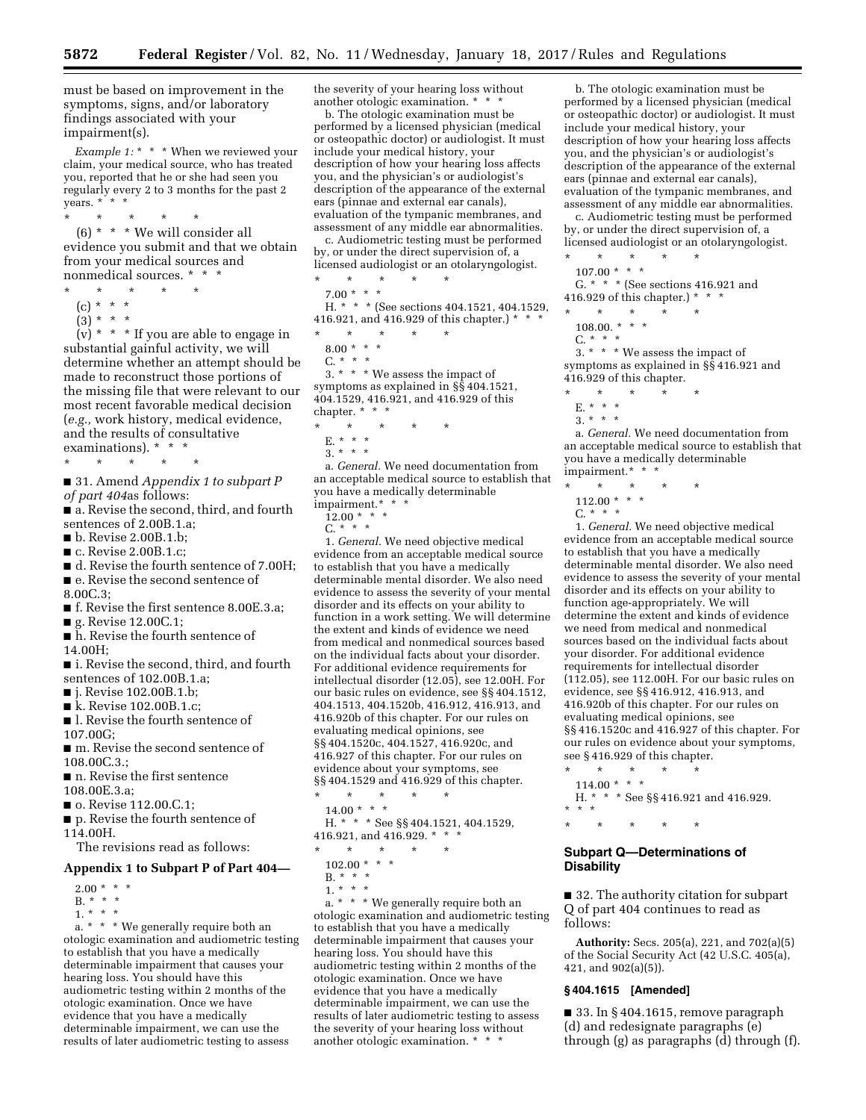must be based on improvement in the symptoms, signs, and/or laboratory findings associated with your impairment(s).

*Example 1:* \* \* \* When we reviewed your claim, your medical source, who has treated you, reported that he or she had seen you regularly every 2 to 3 months for the past 2 years.  $*$ 

\* \* \* \* \*

(6) \* \* \* We will consider all evidence you submit and that we obtain from your medical sources and nonmedical sources. \* \* \*

- $\star$   $\star$   $\star$
- (c) \* \* \*
- $(3) * * * *$

 $(v) * * *$  If you are able to engage in substantial gainful activity, we will determine whether an attempt should be made to reconstruct those portions of the missing file that were relevant to our most recent favorable medical decision (*e.g.,* work history, medical evidence, and the results of consultative examinations). \* \* \*

\* \* \* \* \*

■ 31. Amend *Appendix 1 to subpart P of part 404*as follows:

■ a. Revise the second, third, and fourth sentences of 2.00B.1.a;

■ b. Revise 2.00B.1.b;

■ c. Revise 2.00B.1.c;

■ d. Revise the fourth sentence of 7.00H; ■ e. Revise the second sentence of

8.00C.3;

- f. Revise the first sentence 8.00E.3.a;
- g. Revise 12.00C.1;
- h. Revise the fourth sentence of 14.00H;
- i. Revise the second, third, and fourth sentences of 102.00B.1.a;
- j. Revise 102.00B.1.b;
- $\blacksquare$  k. Revise 102.00B.1.c;
- l. Revise the fourth sentence of 107.00G;

■ m. Revise the second sentence of 108.00C.3.;

- n. Revise the first sentence
- 108.00E.3.a;
- o. Revise 112.00.C.1;
- p. Revise the fourth sentence of

114.00H.

The revisions read as follows:

## **Appendix 1 to Subpart P of Part 404—**

- $2.00 * * * *$
- $B. * * * *$

 $1. * * * *$ 

a. \* \* \* We generally require both an otologic examination and audiometric testing to establish that you have a medically determinable impairment that causes your hearing loss. You should have this audiometric testing within 2 months of the otologic examination. Once we have evidence that you have a medically determinable impairment, we can use the results of later audiometric testing to assess

the severity of your hearing loss without another otologic examination. \* \* \*

b. The otologic examination must be performed by a licensed physician (medical or osteopathic doctor) or audiologist. It must include your medical history, your description of how your hearing loss affects you, and the physician's or audiologist's description of the appearance of the external ears (pinnae and external ear canals), evaluation of the tympanic membranes, and assessment of any middle ear abnormalities.

c. Audiometric testing must be performed by, or under the direct supervision of, a licensed audiologist or an otolaryngologist.

\* \* \* \* \*  $7.00 * * * *$ 

H. \* \* \* (See sections 404.1521, 404.1529, 416.921, and 416.929 of this chapter.) \* \* \* \* \* \* \* \*

- 
- $8.00$  \* \* \*  $C. * * * *$

 $3. * * *$  We assess the impact of symptoms as explained in §§ 404.1521, 404.1529, 416.921, and 416.929 of this chapter. \* \* \*

- \* \* \* \* \*
	- E. \* \* \*

3. \* \* \*

a. *General.* We need documentation from an acceptable medical source to establish that you have a medically determinable impairment.\* \* \*

- $12.00 * * *$
- $C. * * * *$

1. *General.* We need objective medical evidence from an acceptable medical source to establish that you have a medically determinable mental disorder. We also need evidence to assess the severity of your mental disorder and its effects on your ability to function in a work setting. We will determine the extent and kinds of evidence we need from medical and nonmedical sources based on the individual facts about your disorder. For additional evidence requirements for intellectual disorder (12.05), see 12.00H. For our basic rules on evidence, see §§ 404.1512, 404.1513, 404.1520b, 416.912, 416.913, and 416.920b of this chapter. For our rules on evaluating medical opinions, see §§ 404.1520c, 404.1527, 416.920c, and 416.927 of this chapter. For our rules on evidence about your symptoms, see §§ 404.1529 and 416.929 of this chapter.

- \* \* \* \* \*
- $14.00 * * * *$

H. \* \* \* See §§ 404.1521, 404.1529, 416.921, and 416.929. \* \* \*

- \* \* \* \* \*
- $102.00 * * * *$
- B. \* \* \*
- 1. \* \* \*

a. \* \* \* We generally require both an otologic examination and audiometric testing to establish that you have a medically determinable impairment that causes your hearing loss. You should have this audiometric testing within 2 months of the otologic examination. Once we have evidence that you have a medically determinable impairment, we can use the results of later audiometric testing to assess the severity of your hearing loss without another otologic examination. \* \* \*

b. The otologic examination must be performed by a licensed physician (medical or osteopathic doctor) or audiologist. It must include your medical history, your description of how your hearing loss affects you, and the physician's or audiologist's description of the appearance of the external ears (pinnae and external ear canals), evaluation of the tympanic membranes, and assessment of any middle ear abnormalities.

c. Audiometric testing must be performed by, or under the direct supervision of, a licensed audiologist or an otolaryngologist.

\* \* \* \* \*  $107.00$  \* \* \* G. \* \* \* (See sections 416.921 and 416.929 of this chapter.) \* \* \* \* \* \* \* \* 108.00.  $*$  \* \*

 $C. * * * *$ 

3.  $*$   $*$   $*$  We assess the impact of symptoms as explained in §§ 416.921 and 416.929 of this chapter.

- \* \* \* \* \*
- $E. * * * *$

 $3. * * * *$ 

a. *General.* We need documentation from an acceptable medical source to establish that you have a medically determinable impairment.\* \* \*

- \* \* \* \* \*
- $112.00 * * * *$  $C. * * * *$ 
	-

1. *General.* We need objective medical evidence from an acceptable medical source to establish that you have a medically determinable mental disorder. We also need evidence to assess the severity of your mental disorder and its effects on your ability to function age-appropriately. We will determine the extent and kinds of evidence we need from medical and nonmedical sources based on the individual facts about your disorder. For additional evidence requirements for intellectual disorder (112.05), see 112.00H. For our basic rules on evidence, see §§ 416.912, 416.913, and 416.920b of this chapter. For our rules on evaluating medical opinions, see §§ 416.1520c and 416.927 of this chapter. For our rules on evidence about your symptoms, see § 416.929 of this chapter.

\* \* \* \* \*  $114.00 * * * *$ H. \* \* \* See §§ 416.921 and 416.929.  $* * *$ 

# **Subpart Q—Determinations of Disability**

\* \* \* \* \*

■ 32. The authority citation for subpart Q of part 404 continues to read as follows:

**Authority:** Secs. 205(a), 221, and 702(a)(5) of the Social Security Act (42 U.S.C. 405(a), 421, and 902(a)(5)).

### **§ 404.1615 [Amended]**

■ 33. In §404.1615, remove paragraph (d) and redesignate paragraphs (e) through (g) as paragraphs (d) through (f).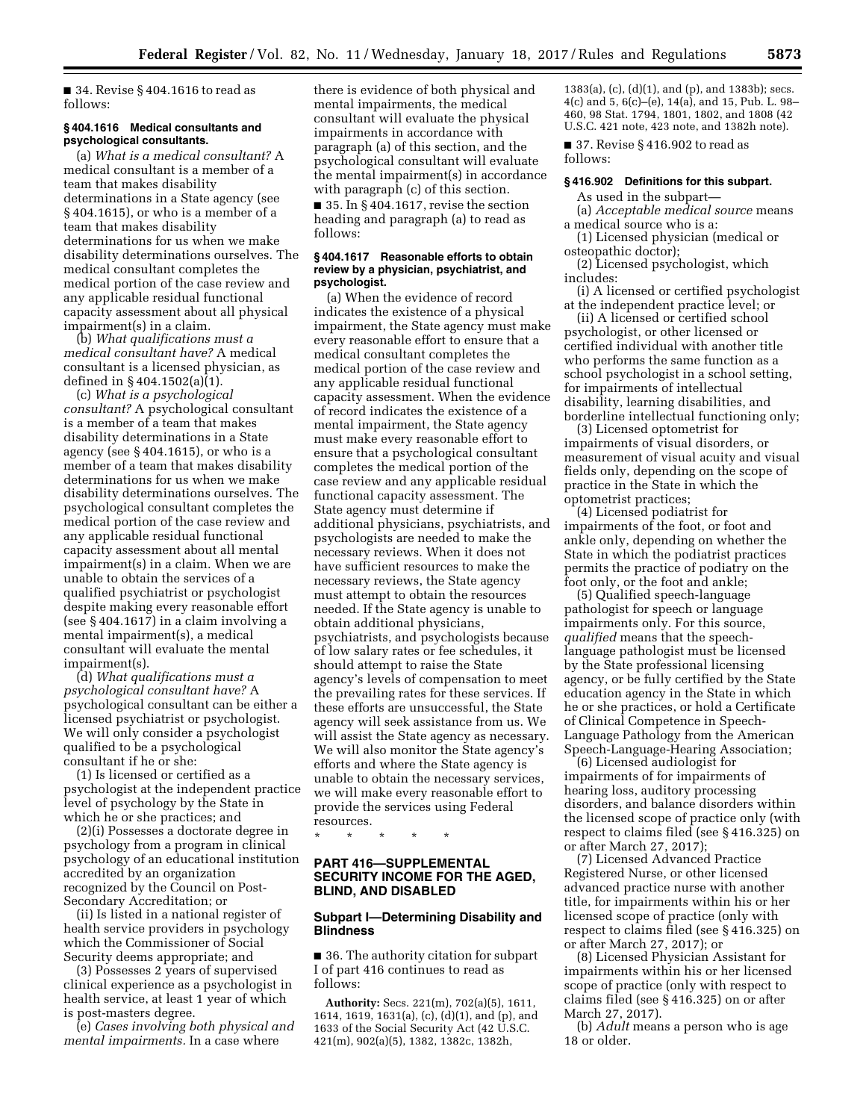■ 34. Revise § 404.1616 to read as follows:

#### **§ 404.1616 Medical consultants and psychological consultants.**

(a) *What is a medical consultant?* A medical consultant is a member of a team that makes disability determinations in a State agency (see § 404.1615), or who is a member of a team that makes disability determinations for us when we make disability determinations ourselves. The medical consultant completes the medical portion of the case review and any applicable residual functional capacity assessment about all physical impairment(s) in a claim.

(b) *What qualifications must a medical consultant have?* A medical consultant is a licensed physician, as defined in § 404.1502(a) $(1)$ .

(c) *What is a psychological consultant?* A psychological consultant is a member of a team that makes disability determinations in a State agency (see § 404.1615), or who is a member of a team that makes disability determinations for us when we make disability determinations ourselves. The psychological consultant completes the medical portion of the case review and any applicable residual functional capacity assessment about all mental impairment(s) in a claim. When we are unable to obtain the services of a qualified psychiatrist or psychologist despite making every reasonable effort (see § 404.1617) in a claim involving a mental impairment(s), a medical consultant will evaluate the mental impairment(s).

(d) *What qualifications must a psychological consultant have?* A psychological consultant can be either a licensed psychiatrist or psychologist. We will only consider a psychologist qualified to be a psychological consultant if he or she:

(1) Is licensed or certified as a psychologist at the independent practice level of psychology by the State in which he or she practices; and

(2)(i) Possesses a doctorate degree in psychology from a program in clinical psychology of an educational institution accredited by an organization recognized by the Council on Post-Secondary Accreditation; or

(ii) Is listed in a national register of health service providers in psychology which the Commissioner of Social Security deems appropriate; and

(3) Possesses 2 years of supervised clinical experience as a psychologist in health service, at least 1 year of which is post-masters degree.

(e) *Cases involving both physical and mental impairments.* In a case where

there is evidence of both physical and mental impairments, the medical consultant will evaluate the physical impairments in accordance with paragraph (a) of this section, and the psychological consultant will evaluate the mental impairment(s) in accordance with paragraph (c) of this section.

 $\blacksquare$  35. In § 404.1617, revise the section heading and paragraph (a) to read as follows:

#### **§ 404.1617 Reasonable efforts to obtain review by a physician, psychiatrist, and psychologist.**

(a) When the evidence of record indicates the existence of a physical impairment, the State agency must make every reasonable effort to ensure that a medical consultant completes the medical portion of the case review and any applicable residual functional capacity assessment. When the evidence of record indicates the existence of a mental impairment, the State agency must make every reasonable effort to ensure that a psychological consultant completes the medical portion of the case review and any applicable residual functional capacity assessment. The State agency must determine if additional physicians, psychiatrists, and psychologists are needed to make the necessary reviews. When it does not have sufficient resources to make the necessary reviews, the State agency must attempt to obtain the resources needed. If the State agency is unable to obtain additional physicians, psychiatrists, and psychologists because of low salary rates or fee schedules, it should attempt to raise the State agency's levels of compensation to meet the prevailing rates for these services. If these efforts are unsuccessful, the State agency will seek assistance from us. We will assist the State agency as necessary. We will also monitor the State agency's efforts and where the State agency is unable to obtain the necessary services, we will make every reasonable effort to provide the services using Federal resources.

\* \* \* \* \*

## **PART 416—SUPPLEMENTAL SECURITY INCOME FOR THE AGED, BLIND, AND DISABLED**

### **Subpart I—Determining Disability and Blindness**

■ 36. The authority citation for subpart I of part 416 continues to read as follows:

**Authority:** Secs. 221(m), 702(a)(5), 1611, 1614, 1619, 1631(a), (c), (d)(1), and (p), and 1633 of the Social Security Act (42 U.S.C. 421(m), 902(a)(5), 1382, 1382c, 1382h,

1383(a), (c), (d)(1), and (p), and 1383b); secs. 4(c) and 5, 6(c)–(e), 14(a), and 15, Pub. L. 98– 460, 98 Stat. 1794, 1801, 1802, and 1808 (42 U.S.C. 421 note, 423 note, and 1382h note).

■ 37. Revise § 416.902 to read as follows:

#### **§ 416.902 Definitions for this subpart.**

As used in the subpart—

- (a) *Acceptable medical source* means a medical source who is a:
- (1) Licensed physician (medical or osteopathic doctor);

(2) Licensed psychologist, which includes:

(i) A licensed or certified psychologist at the independent practice level; or

(ii) A licensed or certified school psychologist, or other licensed or certified individual with another title who performs the same function as a school psychologist in a school setting, for impairments of intellectual disability, learning disabilities, and borderline intellectual functioning only;

(3) Licensed optometrist for impairments of visual disorders, or measurement of visual acuity and visual fields only, depending on the scope of practice in the State in which the optometrist practices;

(4) Licensed podiatrist for impairments of the foot, or foot and ankle only, depending on whether the State in which the podiatrist practices permits the practice of podiatry on the foot only, or the foot and ankle;

(5) Qualified speech-language pathologist for speech or language impairments only. For this source, *qualified* means that the speechlanguage pathologist must be licensed by the State professional licensing agency, or be fully certified by the State education agency in the State in which he or she practices, or hold a Certificate of Clinical Competence in Speech-Language Pathology from the American Speech-Language-Hearing Association;

(6) Licensed audiologist for impairments of for impairments of hearing loss, auditory processing disorders, and balance disorders within the licensed scope of practice only (with respect to claims filed (see § 416.325) on or after March 27, 2017);

(7) Licensed Advanced Practice Registered Nurse, or other licensed advanced practice nurse with another title, for impairments within his or her licensed scope of practice (only with respect to claims filed (see § 416.325) on or after March 27, 2017); or

(8) Licensed Physician Assistant for impairments within his or her licensed scope of practice (only with respect to claims filed (see § 416.325) on or after March 27, 2017).

(b) *Adult* means a person who is age 18 or older.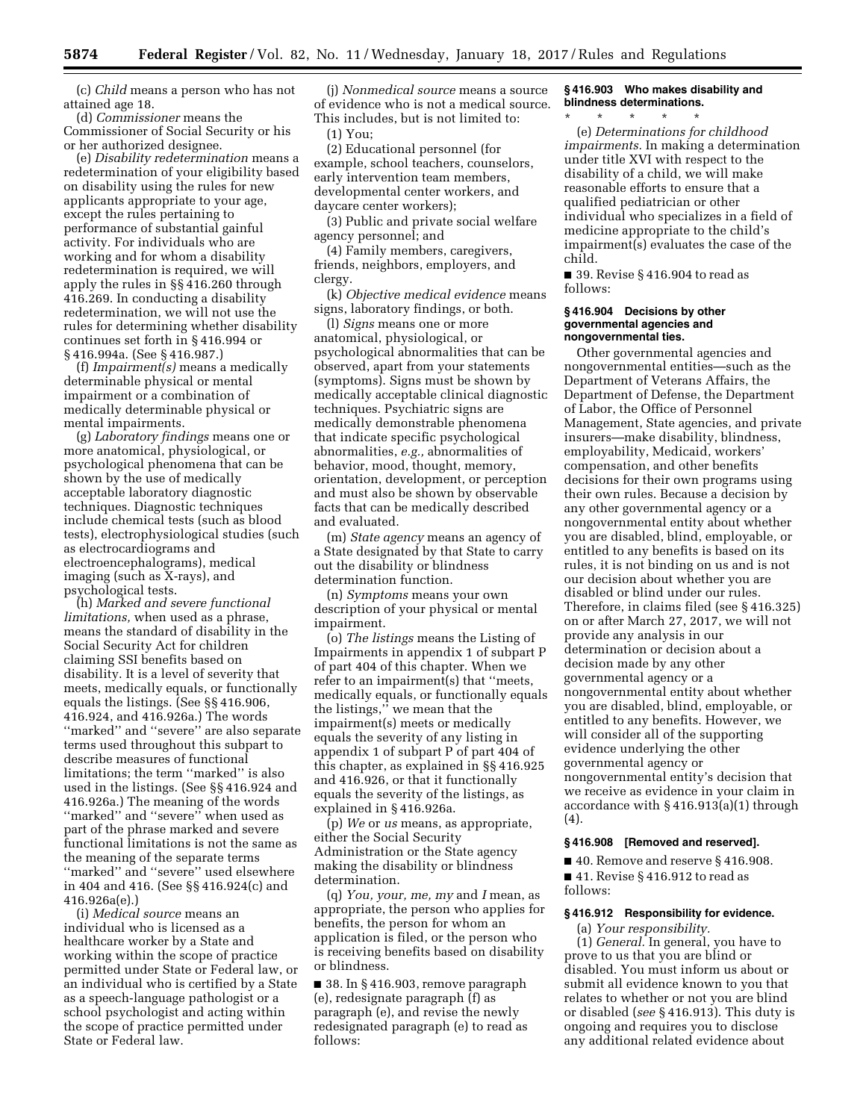(c) *Child* means a person who has not attained age 18.

(d) *Commissioner* means the Commissioner of Social Security or his or her authorized designee.

(e) *Disability redetermination* means a redetermination of your eligibility based on disability using the rules for new applicants appropriate to your age, except the rules pertaining to performance of substantial gainful activity. For individuals who are working and for whom a disability redetermination is required, we will apply the rules in §§ 416.260 through 416.269. In conducting a disability redetermination, we will not use the rules for determining whether disability continues set forth in § 416.994 or § 416.994a. (See § 416.987.)

(f) *Impairment(s)* means a medically determinable physical or mental impairment or a combination of medically determinable physical or mental impairments.

(g) *Laboratory findings* means one or more anatomical, physiological, or psychological phenomena that can be shown by the use of medically acceptable laboratory diagnostic techniques. Diagnostic techniques include chemical tests (such as blood tests), electrophysiological studies (such as electrocardiograms and electroencephalograms), medical imaging (such as X-rays), and psychological tests.

(h) *Marked and severe functional limitations,* when used as a phrase, means the standard of disability in the Social Security Act for children claiming SSI benefits based on disability. It is a level of severity that meets, medically equals, or functionally equals the listings. (See §§ 416.906, 416.924, and 416.926a.) The words ''marked'' and ''severe'' are also separate terms used throughout this subpart to describe measures of functional limitations; the term ''marked'' is also used in the listings. (See §§ 416.924 and 416.926a.) The meaning of the words "marked" and "severe" when used as part of the phrase marked and severe functional limitations is not the same as the meaning of the separate terms "marked" and "severe" used elsewhere in 404 and 416. (See §§ 416.924(c) and 416.926a(e).)

(i) *Medical source* means an individual who is licensed as a healthcare worker by a State and working within the scope of practice permitted under State or Federal law, or an individual who is certified by a State as a speech-language pathologist or a school psychologist and acting within the scope of practice permitted under State or Federal law.

(j) *Nonmedical source* means a source of evidence who is not a medical source. This includes, but is not limited to: (1) You;

(2) Educational personnel (for example, school teachers, counselors, early intervention team members, developmental center workers, and daycare center workers);

(3) Public and private social welfare agency personnel; and

(4) Family members, caregivers, friends, neighbors, employers, and clergy.

(k) *Objective medical evidence* means signs, laboratory findings, or both.

(l) *Signs* means one or more anatomical, physiological, or psychological abnormalities that can be observed, apart from your statements (symptoms). Signs must be shown by medically acceptable clinical diagnostic techniques. Psychiatric signs are medically demonstrable phenomena that indicate specific psychological abnormalities, *e.g.,* abnormalities of behavior, mood, thought, memory, orientation, development, or perception and must also be shown by observable facts that can be medically described and evaluated.

(m) *State agency* means an agency of a State designated by that State to carry out the disability or blindness determination function.

(n) *Symptoms* means your own description of your physical or mental impairment.

(o) *The listings* means the Listing of Impairments in appendix 1 of subpart P of part 404 of this chapter. When we refer to an impairment(s) that ''meets, medically equals, or functionally equals the listings,'' we mean that the impairment(s) meets or medically equals the severity of any listing in appendix 1 of subpart P of part 404 of this chapter, as explained in §§ 416.925 and 416.926, or that it functionally equals the severity of the listings, as explained in § 416.926a.

(p) *We* or *us* means, as appropriate, either the Social Security Administration or the State agency making the disability or blindness determination.

(q) *You, your, me, my* and *I* mean, as appropriate, the person who applies for benefits, the person for whom an application is filed, or the person who is receiving benefits based on disability or blindness.

■ 38. In § 416.903, remove paragraph (e), redesignate paragraph (f) as paragraph (e), and revise the newly redesignated paragraph (e) to read as follows:

## **§ 416.903 Who makes disability and blindness determinations.**

\* \* \* \* \* (e) *Determinations for childhood impairments.* In making a determination under title XVI with respect to the disability of a child, we will make reasonable efforts to ensure that a qualified pediatrician or other individual who specializes in a field of medicine appropriate to the child's impairment(s) evaluates the case of the child.

■ 39. Revise § 416.904 to read as follows:

#### **§ 416.904 Decisions by other governmental agencies and nongovernmental ties.**

Other governmental agencies and nongovernmental entities—such as the Department of Veterans Affairs, the Department of Defense, the Department of Labor, the Office of Personnel Management, State agencies, and private insurers—make disability, blindness, employability, Medicaid, workers' compensation, and other benefits decisions for their own programs using their own rules. Because a decision by any other governmental agency or a nongovernmental entity about whether you are disabled, blind, employable, or entitled to any benefits is based on its rules, it is not binding on us and is not our decision about whether you are disabled or blind under our rules. Therefore, in claims filed (see § 416.325) on or after March 27, 2017, we will not provide any analysis in our determination or decision about a decision made by any other governmental agency or a nongovernmental entity about whether you are disabled, blind, employable, or entitled to any benefits. However, we will consider all of the supporting evidence underlying the other governmental agency or nongovernmental entity's decision that we receive as evidence in your claim in accordance with § 416.913(a)(1) through (4).

#### **§ 416.908 [Removed and reserved].**

■ 40. Remove and reserve § 416.908.

■ 41. Revise § 416.912 to read as

follows:

### **§ 416.912 Responsibility for evidence.**

(a) *Your responsibility.*  (1) *General.* In general, you have to prove to us that you are blind or disabled. You must inform us about or submit all evidence known to you that relates to whether or not you are blind or disabled (*see* § 416.913). This duty is ongoing and requires you to disclose any additional related evidence about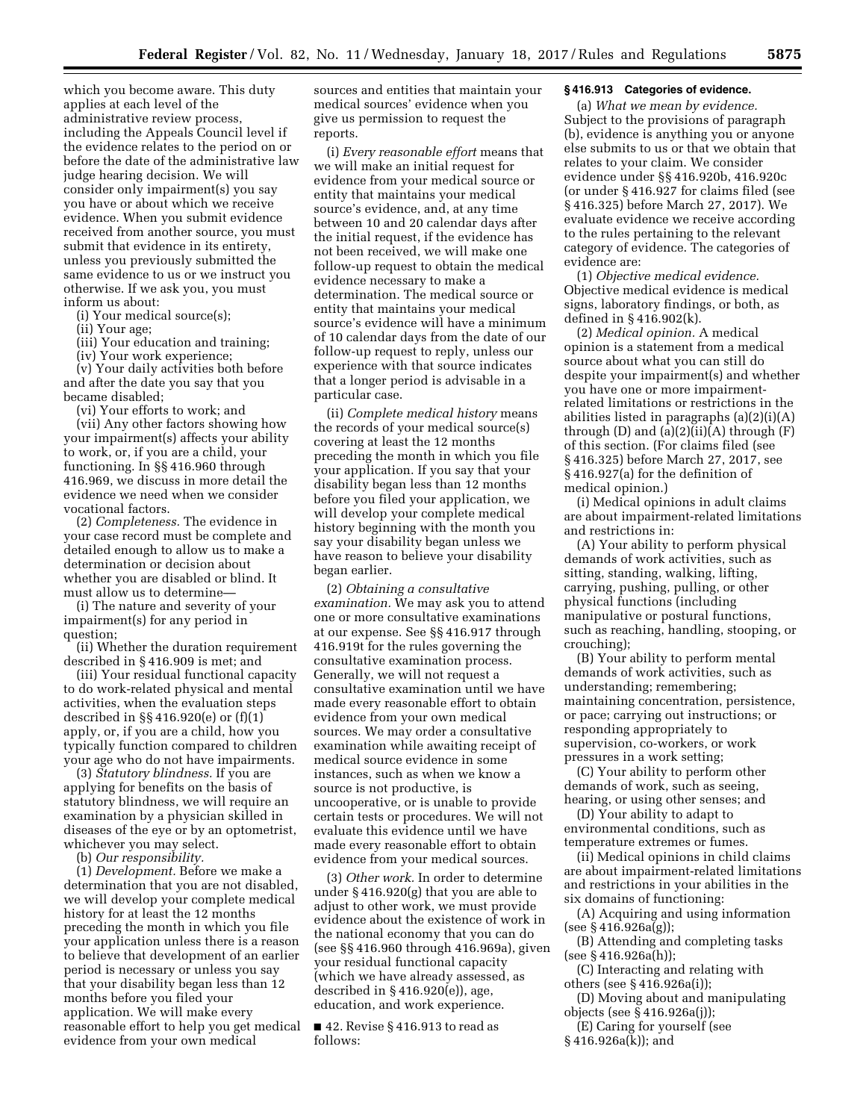which you become aware. This duty applies at each level of the administrative review process, including the Appeals Council level if the evidence relates to the period on or before the date of the administrative law judge hearing decision. We will consider only impairment(s) you say you have or about which we receive evidence. When you submit evidence received from another source, you must submit that evidence in its entirety, unless you previously submitted the same evidence to us or we instruct you otherwise. If we ask you, you must inform us about:

(i) Your medical source(s);

(ii) Your age;

(iii) Your education and training;

(iv) Your work experience; (v) Your daily activities both before and after the date you say that you

became disabled; (vi) Your efforts to work; and

(vii) Any other factors showing how your impairment(s) affects your ability to work, or, if you are a child, your functioning. In §§ 416.960 through 416.969, we discuss in more detail the evidence we need when we consider vocational factors.

(2) *Completeness.* The evidence in your case record must be complete and detailed enough to allow us to make a determination or decision about whether you are disabled or blind. It must allow us to determine—

(i) The nature and severity of your impairment(s) for any period in question;

(ii) Whether the duration requirement described in § 416.909 is met; and

(iii) Your residual functional capacity to do work-related physical and mental activities, when the evaluation steps described in §§ 416.920(e) or (f)(1) apply, or, if you are a child, how you typically function compared to children your age who do not have impairments.

(3) *Statutory blindness.* If you are applying for benefits on the basis of statutory blindness, we will require an examination by a physician skilled in diseases of the eye or by an optometrist, whichever you may select.

(b) *Our responsibility.* 

(1) *Development.* Before we make a determination that you are not disabled, we will develop your complete medical history for at least the 12 months preceding the month in which you file your application unless there is a reason to believe that development of an earlier period is necessary or unless you say that your disability began less than 12 months before you filed your application. We will make every reasonable effort to help you get medical evidence from your own medical

sources and entities that maintain your medical sources' evidence when you give us permission to request the reports.

(i) *Every reasonable effort* means that we will make an initial request for evidence from your medical source or entity that maintains your medical source's evidence, and, at any time between 10 and 20 calendar days after the initial request, if the evidence has not been received, we will make one follow-up request to obtain the medical evidence necessary to make a determination. The medical source or entity that maintains your medical source's evidence will have a minimum of 10 calendar days from the date of our follow-up request to reply, unless our experience with that source indicates that a longer period is advisable in a particular case.

(ii) *Complete medical history* means the records of your medical source(s) covering at least the 12 months preceding the month in which you file your application. If you say that your disability began less than 12 months before you filed your application, we will develop your complete medical history beginning with the month you say your disability began unless we have reason to believe your disability began earlier.

(2) *Obtaining a consultative examination.* We may ask you to attend one or more consultative examinations at our expense. See §§ 416.917 through 416.919t for the rules governing the consultative examination process. Generally, we will not request a consultative examination until we have made every reasonable effort to obtain evidence from your own medical sources. We may order a consultative examination while awaiting receipt of medical source evidence in some instances, such as when we know a source is not productive, is uncooperative, or is unable to provide certain tests or procedures. We will not evaluate this evidence until we have made every reasonable effort to obtain evidence from your medical sources.

(3) *Other work.* In order to determine under § 416.920(g) that you are able to adjust to other work, we must provide evidence about the existence of work in the national economy that you can do (see §§ 416.960 through 416.969a), given your residual functional capacity (which we have already assessed, as described in § 416.920(e)), age, education, and work experience.

■ 42. Revise § 416.913 to read as follows:

# **§ 416.913 Categories of evidence.**

(a) *What we mean by evidence.*  Subject to the provisions of paragraph (b), evidence is anything you or anyone else submits to us or that we obtain that relates to your claim. We consider evidence under §§ 416.920b, 416.920c (or under § 416.927 for claims filed (see § 416.325) before March 27, 2017). We evaluate evidence we receive according to the rules pertaining to the relevant category of evidence. The categories of evidence are:

(1) *Objective medical evidence.*  Objective medical evidence is medical signs, laboratory findings, or both, as defined in § 416.902(k).

(2) *Medical opinion.* A medical opinion is a statement from a medical source about what you can still do despite your impairment(s) and whether you have one or more impairmentrelated limitations or restrictions in the abilities listed in paragraphs (a)(2)(i)(A) through  $(D)$  and  $(a)(2)(ii)(A)$  through  $(F)$ of this section. (For claims filed (see § 416.325) before March 27, 2017, see § 416.927(a) for the definition of medical opinion.)

(i) Medical opinions in adult claims are about impairment-related limitations and restrictions in:

(A) Your ability to perform physical demands of work activities, such as sitting, standing, walking, lifting, carrying, pushing, pulling, or other physical functions (including manipulative or postural functions, such as reaching, handling, stooping, or crouching);

(B) Your ability to perform mental demands of work activities, such as understanding; remembering; maintaining concentration, persistence, or pace; carrying out instructions; or responding appropriately to supervision, co-workers, or work pressures in a work setting;

(C) Your ability to perform other demands of work, such as seeing, hearing, or using other senses; and

(D) Your ability to adapt to environmental conditions, such as temperature extremes or fumes.

(ii) Medical opinions in child claims are about impairment-related limitations and restrictions in your abilities in the six domains of functioning:

(A) Acquiring and using information (see § 416.926a(g));

(B) Attending and completing tasks (see § 416.926a(h));

(C) Interacting and relating with others (see § 416.926a(i));

(D) Moving about and manipulating objects (see § 416.926a(j));

(E) Caring for yourself (see

§ 416.926a(k)); and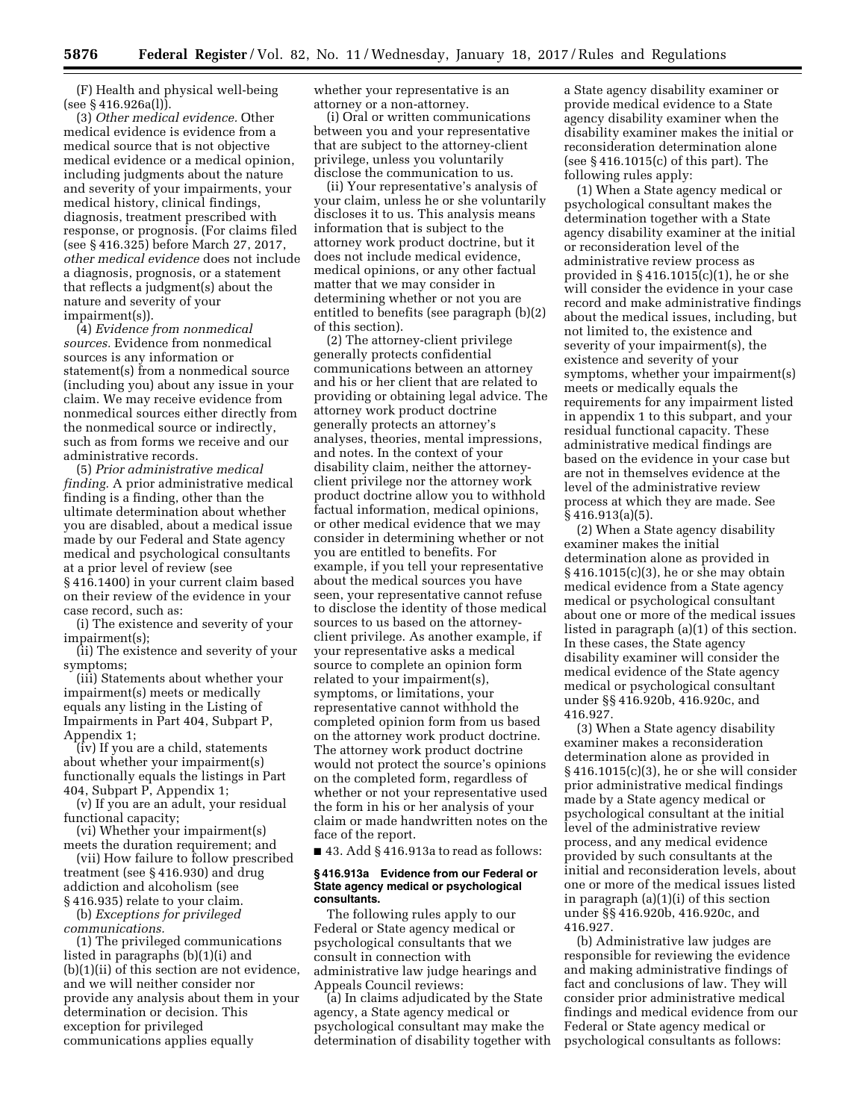(F) Health and physical well-being  $($ see  $§$  416.926a(l)).

(3) *Other medical evidence.* Other medical evidence is evidence from a medical source that is not objective medical evidence or a medical opinion, including judgments about the nature and severity of your impairments, your medical history, clinical findings, diagnosis, treatment prescribed with response, or prognosis. (For claims filed (see § 416.325) before March 27, 2017, *other medical evidence* does not include a diagnosis, prognosis, or a statement that reflects a judgment(s) about the nature and severity of your impairment(s)).

(4) *Evidence from nonmedical sources.* Evidence from nonmedical sources is any information or statement(s) from a nonmedical source (including you) about any issue in your claim. We may receive evidence from nonmedical sources either directly from the nonmedical source or indirectly, such as from forms we receive and our administrative records.

(5) *Prior administrative medical finding.* A prior administrative medical finding is a finding, other than the ultimate determination about whether you are disabled, about a medical issue made by our Federal and State agency medical and psychological consultants at a prior level of review (see § 416.1400) in your current claim based on their review of the evidence in your case record, such as:

(i) The existence and severity of your impairment(s);

(ii) The existence and severity of your symptoms;

(iii) Statements about whether your impairment(s) meets or medically equals any listing in the Listing of Impairments in Part 404, Subpart P, Appendix 1;

(iv) If you are a child, statements about whether your impairment(s) functionally equals the listings in Part 404, Subpart P, Appendix 1;

(v) If you are an adult, your residual functional capacity;

(vi) Whether your impairment(s) meets the duration requirement; and

(vii) How failure to follow prescribed treatment (see § 416.930) and drug addiction and alcoholism (see

§ 416.935) relate to your claim. (b) *Exceptions for privileged* 

*communications.* 

(1) The privileged communications listed in paragraphs (b)(1)(i) and (b)(1)(ii) of this section are not evidence, and we will neither consider nor provide any analysis about them in your determination or decision. This exception for privileged communications applies equally

whether your representative is an attorney or a non-attorney.

(i) Oral or written communications between you and your representative that are subject to the attorney-client privilege, unless you voluntarily disclose the communication to us.

(ii) Your representative's analysis of your claim, unless he or she voluntarily discloses it to us. This analysis means information that is subject to the attorney work product doctrine, but it does not include medical evidence, medical opinions, or any other factual matter that we may consider in determining whether or not you are entitled to benefits (see paragraph (b)(2) of this section).

(2) The attorney-client privilege generally protects confidential communications between an attorney and his or her client that are related to providing or obtaining legal advice. The attorney work product doctrine generally protects an attorney's analyses, theories, mental impressions, and notes. In the context of your disability claim, neither the attorneyclient privilege nor the attorney work product doctrine allow you to withhold factual information, medical opinions, or other medical evidence that we may consider in determining whether or not you are entitled to benefits. For example, if you tell your representative about the medical sources you have seen, your representative cannot refuse to disclose the identity of those medical sources to us based on the attorneyclient privilege. As another example, if your representative asks a medical source to complete an opinion form related to your impairment(s), symptoms, or limitations, your representative cannot withhold the completed opinion form from us based on the attorney work product doctrine. The attorney work product doctrine would not protect the source's opinions on the completed form, regardless of whether or not your representative used the form in his or her analysis of your claim or made handwritten notes on the face of the report.

 $\blacksquare$  43. Add § 416.913a to read as follows:

#### **§ 416.913a Evidence from our Federal or State agency medical or psychological consultants.**

The following rules apply to our Federal or State agency medical or psychological consultants that we consult in connection with administrative law judge hearings and Appeals Council reviews:

(a) In claims adjudicated by the State agency, a State agency medical or psychological consultant may make the determination of disability together with a State agency disability examiner or provide medical evidence to a State agency disability examiner when the disability examiner makes the initial or reconsideration determination alone (see § 416.1015(c) of this part). The following rules apply:

(1) When a State agency medical or psychological consultant makes the determination together with a State agency disability examiner at the initial or reconsideration level of the administrative review process as provided in § 416.1015(c)(1), he or she will consider the evidence in your case record and make administrative findings about the medical issues, including, but not limited to, the existence and severity of your impairment(s), the existence and severity of your symptoms, whether your impairment(s) meets or medically equals the requirements for any impairment listed in appendix 1 to this subpart, and your residual functional capacity. These administrative medical findings are based on the evidence in your case but are not in themselves evidence at the level of the administrative review process at which they are made. See § 416.913(a)(5).

(2) When a State agency disability examiner makes the initial determination alone as provided in § 416.1015(c)(3), he or she may obtain medical evidence from a State agency medical or psychological consultant about one or more of the medical issues listed in paragraph (a)(1) of this section. In these cases, the State agency disability examiner will consider the medical evidence of the State agency medical or psychological consultant under §§ 416.920b, 416.920c, and 416.927.

(3) When a State agency disability examiner makes a reconsideration determination alone as provided in § 416.1015(c)(3), he or she will consider prior administrative medical findings made by a State agency medical or psychological consultant at the initial level of the administrative review process, and any medical evidence provided by such consultants at the initial and reconsideration levels, about one or more of the medical issues listed in paragraph (a)(1)(i) of this section under §§ 416.920b, 416.920c, and 416.927.

(b) Administrative law judges are responsible for reviewing the evidence and making administrative findings of fact and conclusions of law. They will consider prior administrative medical findings and medical evidence from our Federal or State agency medical or psychological consultants as follows: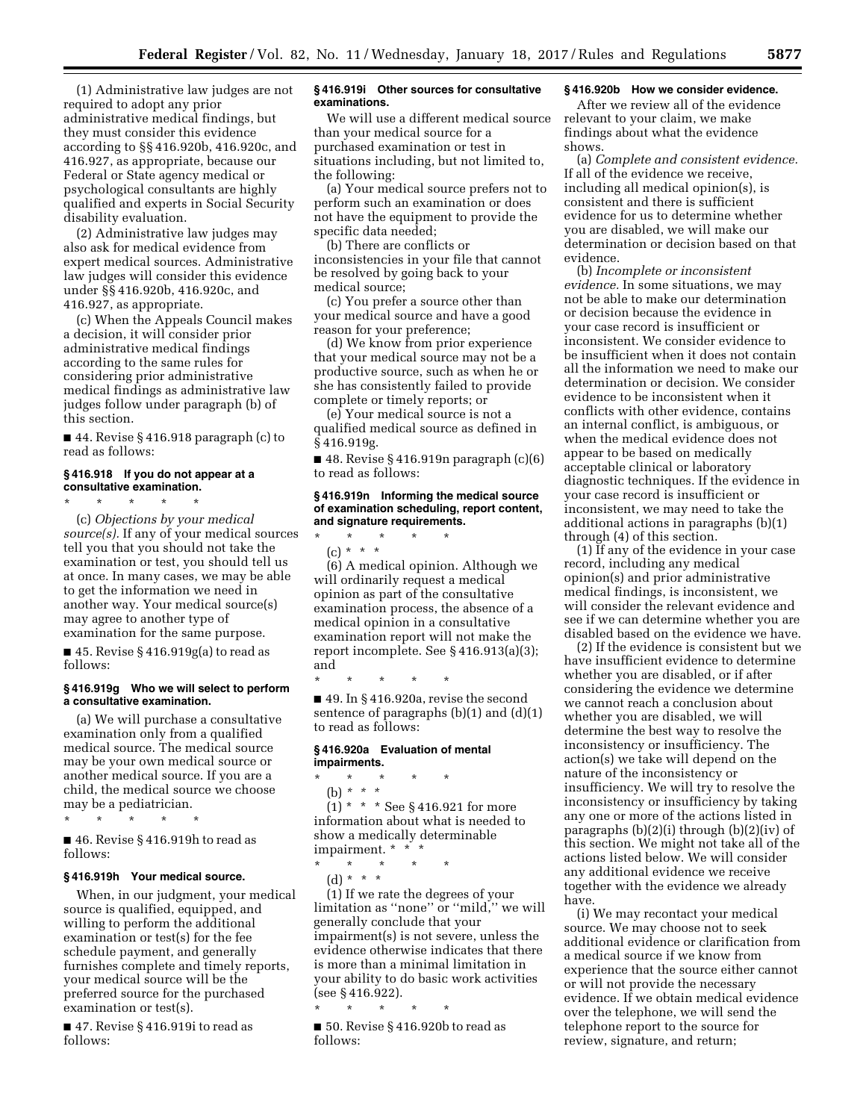(1) Administrative law judges are not required to adopt any prior administrative medical findings, but they must consider this evidence according to §§ 416.920b, 416.920c, and 416.927, as appropriate, because our Federal or State agency medical or psychological consultants are highly qualified and experts in Social Security disability evaluation.

(2) Administrative law judges may also ask for medical evidence from expert medical sources. Administrative law judges will consider this evidence under §§ 416.920b, 416.920c, and 416.927, as appropriate.

(c) When the Appeals Council makes a decision, it will consider prior administrative medical findings according to the same rules for considering prior administrative medical findings as administrative law judges follow under paragraph (b) of this section.

■ 44. Revise § 416.918 paragraph (c) to read as follows:

### **§ 416.918 If you do not appear at a consultative examination.**

\* \* \* \* \*

(c) *Objections by your medical source(s).* If any of your medical sources tell you that you should not take the examination or test, you should tell us at once. In many cases, we may be able to get the information we need in another way. Your medical source(s) may agree to another type of examination for the same purpose.

■ 45. Revise § 416.919g(a) to read as follows:

### **§ 416.919g Who we will select to perform a consultative examination.**

(a) We will purchase a consultative examination only from a qualified medical source. The medical source may be your own medical source or another medical source. If you are a child, the medical source we choose may be a pediatrician.

\* \* \* \* \*

■ 46. Revise § 416.919h to read as follows:

### **§ 416.919h Your medical source.**

When, in our judgment, your medical source is qualified, equipped, and willing to perform the additional examination or test(s) for the fee schedule payment, and generally furnishes complete and timely reports, your medical source will be the preferred source for the purchased examination or test(s).

 $\blacksquare$  47. Revise § 416.919i to read as follows:

### **§ 416.919i Other sources for consultative examinations.**

We will use a different medical source than your medical source for a purchased examination or test in situations including, but not limited to, the following:

(a) Your medical source prefers not to perform such an examination or does not have the equipment to provide the specific data needed;

(b) There are conflicts or inconsistencies in your file that cannot be resolved by going back to your medical source;

(c) You prefer a source other than your medical source and have a good reason for your preference;

(d) We know from prior experience that your medical source may not be a productive source, such as when he or she has consistently failed to provide complete or timely reports; or

(e) Your medical source is not a qualified medical source as defined in § 416.919g.

■ 48. Revise § 416.919n paragraph  $(c)(6)$ to read as follows:

### **§ 416.919n Informing the medical source of examination scheduling, report content, and signature requirements.**

- \* \* \* \* \*
	- (c) \* \* \*

(6) A medical opinion. Although we will ordinarily request a medical opinion as part of the consultative examination process, the absence of a medical opinion in a consultative examination report will not make the report incomplete. See § 416.913(a)(3); and

■ 49. In § 416.920a, revise the second sentence of paragraphs  $(b)(1)$  and  $(d)(1)$ to read as follows:

#### **§ 416.920a Evaluation of mental impairments.**

\* \* \* \* \*

- \* \* \* \* \*
- (b) *\* \* \**

(1) \* \* \* See § 416.921 for more information about what is needed to show a medically determinable impairment. \* \* \*

\* \* \* \* \* (d) \* \* \*

\* \* \* \* \*

(1) If we rate the degrees of your limitation as ''none'' or ''mild,'' we will generally conclude that your impairment(s) is not severe, unless the evidence otherwise indicates that there is more than a minimal limitation in your ability to do basic work activities (see § 416.922).

■ 50. Revise § 416.920b to read as follows:

# **§ 416.920b How we consider evidence.**

After we review all of the evidence relevant to your claim, we make findings about what the evidence shows.

(a) *Complete and consistent evidence.*  If all of the evidence we receive, including all medical opinion(s), is consistent and there is sufficient evidence for us to determine whether you are disabled, we will make our determination or decision based on that evidence.

(b) *Incomplete or inconsistent evidence.* In some situations, we may not be able to make our determination or decision because the evidence in your case record is insufficient or inconsistent. We consider evidence to be insufficient when it does not contain all the information we need to make our determination or decision. We consider evidence to be inconsistent when it conflicts with other evidence, contains an internal conflict, is ambiguous, or when the medical evidence does not appear to be based on medically acceptable clinical or laboratory diagnostic techniques. If the evidence in your case record is insufficient or inconsistent, we may need to take the additional actions in paragraphs (b)(1) through (4) of this section.

(1) If any of the evidence in your case record, including any medical opinion(s) and prior administrative medical findings, is inconsistent, we will consider the relevant evidence and see if we can determine whether you are disabled based on the evidence we have.

(2) If the evidence is consistent but we have insufficient evidence to determine whether you are disabled, or if after considering the evidence we determine we cannot reach a conclusion about whether you are disabled, we will determine the best way to resolve the inconsistency or insufficiency. The action(s) we take will depend on the nature of the inconsistency or insufficiency. We will try to resolve the inconsistency or insufficiency by taking any one or more of the actions listed in paragraphs (b)(2)(i) through (b)(2)(iv) of this section. We might not take all of the actions listed below. We will consider any additional evidence we receive together with the evidence we already have.

(i) We may recontact your medical source. We may choose not to seek additional evidence or clarification from a medical source if we know from experience that the source either cannot or will not provide the necessary evidence. If we obtain medical evidence over the telephone, we will send the telephone report to the source for review, signature, and return;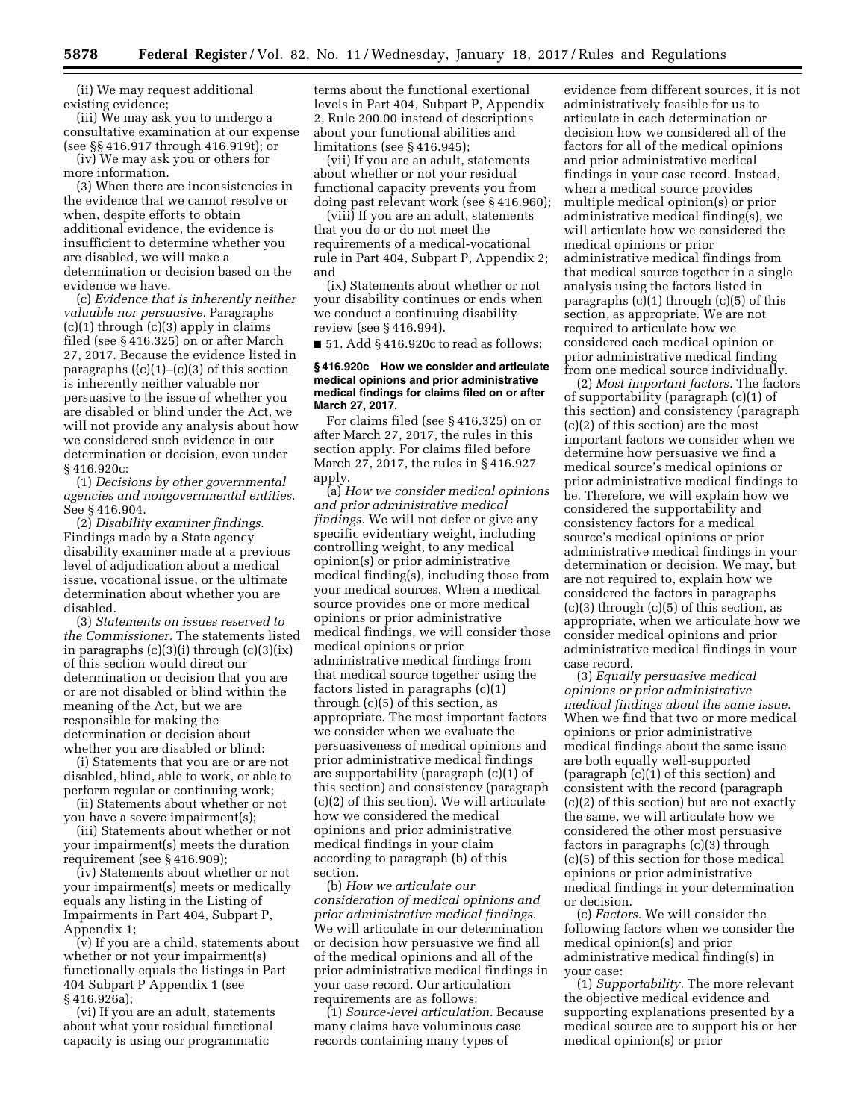(ii) We may request additional existing evidence;

(iii) We may ask you to undergo a consultative examination at our expense (see §§ 416.917 through 416.919t); or

(iv) We may ask you or others for more information.

(3) When there are inconsistencies in the evidence that we cannot resolve or when, despite efforts to obtain additional evidence, the evidence is insufficient to determine whether you are disabled, we will make a determination or decision based on the evidence we have.

(c) *Evidence that is inherently neither valuable nor persuasive.* Paragraphs (c)(1) through (c)(3) apply in claims filed (see § 416.325) on or after March 27, 2017. Because the evidence listed in paragraphs  $((c)(1)–(c)(3)$  of this section is inherently neither valuable nor persuasive to the issue of whether you are disabled or blind under the Act, we will not provide any analysis about how we considered such evidence in our determination or decision, even under § 416.920c:

(1) *Decisions by other governmental agencies and nongovernmental entities.*  See § 416.904.

(2) *Disability examiner findings.*  Findings made by a State agency disability examiner made at a previous level of adjudication about a medical issue, vocational issue, or the ultimate determination about whether you are disabled.

(3) *Statements on issues reserved to the Commissioner.* The statements listed in paragraphs (c)(3)(i) through (c)(3)(ix) of this section would direct our determination or decision that you are or are not disabled or blind within the meaning of the Act, but we are responsible for making the determination or decision about whether you are disabled or blind:

(i) Statements that you are or are not disabled, blind, able to work, or able to perform regular or continuing work;

(ii) Statements about whether or not you have a severe impairment(s);

(iii) Statements about whether or not your impairment(s) meets the duration requirement (see § 416.909);

(iv) Statements about whether or not your impairment(s) meets or medically equals any listing in the Listing of Impairments in Part 404, Subpart P, Appendix 1;

(v) If you are a child, statements about whether or not your impairment(s) functionally equals the listings in Part 404 Subpart P Appendix 1 (see § 416.926a);

(vi) If you are an adult, statements about what your residual functional capacity is using our programmatic

terms about the functional exertional levels in Part 404, Subpart P, Appendix 2, Rule 200.00 instead of descriptions about your functional abilities and limitations (see § 416.945);

(vii) If you are an adult, statements about whether or not your residual functional capacity prevents you from doing past relevant work (see § 416.960);

(viii) If you are an adult, statements that you do or do not meet the requirements of a medical-vocational rule in Part 404, Subpart P, Appendix 2; and

(ix) Statements about whether or not your disability continues or ends when we conduct a continuing disability review (see § 416.994).

■ 51. Add § 416.920c to read as follows:

#### **§ 416.920c How we consider and articulate medical opinions and prior administrative medical findings for claims filed on or after March 27, 2017.**

For claims filed (see § 416.325) on or after March 27, 2017, the rules in this section apply. For claims filed before March 27, 2017, the rules in § 416.927 apply.

(a) *How we consider medical opinions and prior administrative medical findings.* We will not defer or give any specific evidentiary weight, including controlling weight, to any medical opinion(s) or prior administrative medical finding(s), including those from your medical sources. When a medical source provides one or more medical opinions or prior administrative medical findings, we will consider those medical opinions or prior administrative medical findings from that medical source together using the factors listed in paragraphs (c)(1) through (c)(5) of this section, as appropriate. The most important factors we consider when we evaluate the persuasiveness of medical opinions and prior administrative medical findings are supportability (paragraph (c)(1) of this section) and consistency (paragraph (c)(2) of this section). We will articulate how we considered the medical opinions and prior administrative medical findings in your claim according to paragraph (b) of this section.

(b) *How we articulate our consideration of medical opinions and prior administrative medical findings.*  We will articulate in our determination or decision how persuasive we find all of the medical opinions and all of the prior administrative medical findings in your case record. Our articulation requirements are as follows:

(1) *Source-level articulation.* Because many claims have voluminous case records containing many types of

evidence from different sources, it is not administratively feasible for us to articulate in each determination or decision how we considered all of the factors for all of the medical opinions and prior administrative medical findings in your case record. Instead, when a medical source provides multiple medical opinion(s) or prior administrative medical finding(s), we will articulate how we considered the medical opinions or prior administrative medical findings from that medical source together in a single analysis using the factors listed in paragraphs  $(c)(1)$  through  $(c)(5)$  of this section, as appropriate. We are not required to articulate how we considered each medical opinion or prior administrative medical finding from one medical source individually.

(2) *Most important factors.* The factors of supportability (paragraph (c)(1) of this section) and consistency (paragraph (c)(2) of this section) are the most important factors we consider when we determine how persuasive we find a medical source's medical opinions or prior administrative medical findings to be. Therefore, we will explain how we considered the supportability and consistency factors for a medical source's medical opinions or prior administrative medical findings in your determination or decision. We may, but are not required to, explain how we considered the factors in paragraphs  $(c)(3)$  through  $(c)(5)$  of this section, as appropriate, when we articulate how we consider medical opinions and prior administrative medical findings in your case record.

(3) *Equally persuasive medical opinions or prior administrative medical findings about the same issue.*  When we find that two or more medical opinions or prior administrative medical findings about the same issue are both equally well-supported (paragraph (c)(1) of this section) and consistent with the record (paragraph (c)(2) of this section) but are not exactly the same, we will articulate how we considered the other most persuasive factors in paragraphs (c)(3) through (c)(5) of this section for those medical opinions or prior administrative medical findings in your determination or decision.

(c) *Factors.* We will consider the following factors when we consider the medical opinion(s) and prior administrative medical finding(s) in your case:

(1) *Supportability.* The more relevant the objective medical evidence and supporting explanations presented by a medical source are to support his or her medical opinion(s) or prior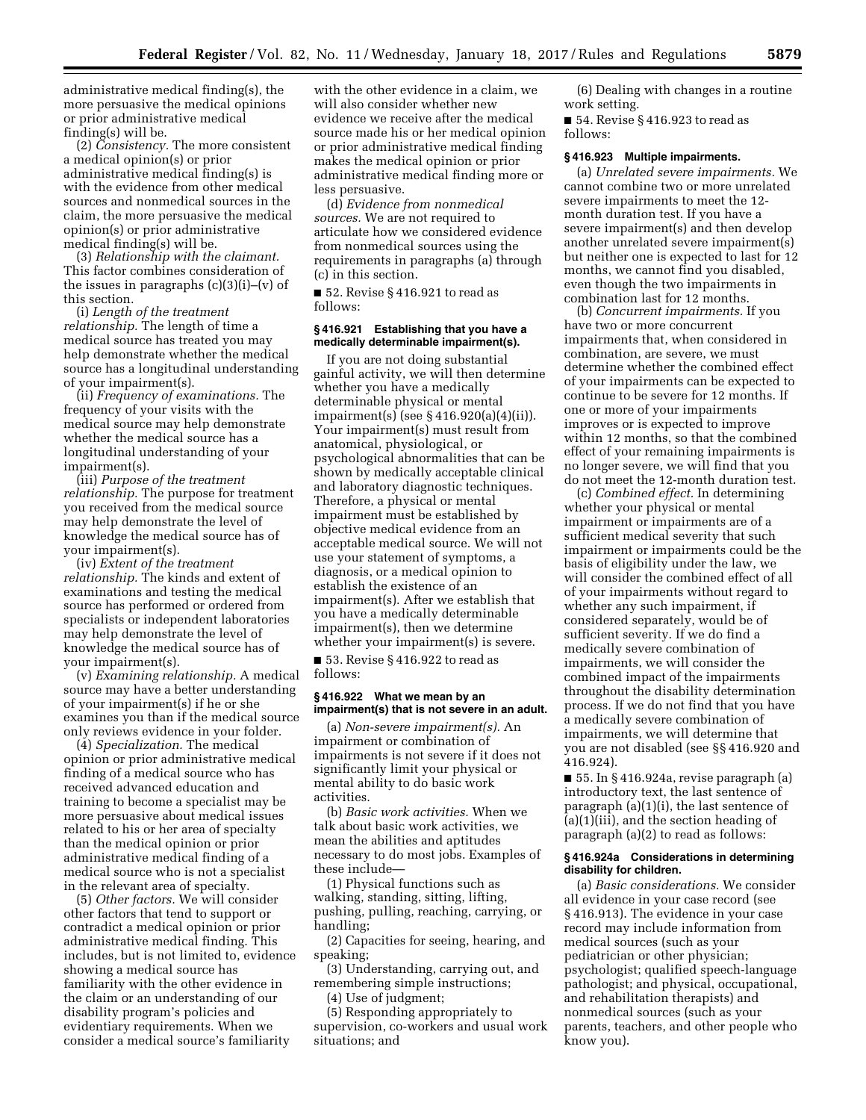administrative medical finding(s), the more persuasive the medical opinions or prior administrative medical finding(s) will be.

(2) *Consistency.* The more consistent a medical opinion(s) or prior administrative medical finding(s) is with the evidence from other medical sources and nonmedical sources in the claim, the more persuasive the medical opinion(s) or prior administrative medical finding(s) will be.

(3) *Relationship with the claimant.*  This factor combines consideration of the issues in paragraphs  $(c)(3)(i)$ – $(v)$  of this section.

(i) *Length of the treatment relationship.* The length of time a medical source has treated you may help demonstrate whether the medical source has a longitudinal understanding of your impairment(s).

(ii) *Frequency of examinations.* The frequency of your visits with the medical source may help demonstrate whether the medical source has a longitudinal understanding of your impairment(s).

(iii) *Purpose of the treatment relationship.* The purpose for treatment you received from the medical source may help demonstrate the level of knowledge the medical source has of your impairment(s).

(iv) *Extent of the treatment relationship.* The kinds and extent of examinations and testing the medical source has performed or ordered from specialists or independent laboratories may help demonstrate the level of knowledge the medical source has of your impairment(s).

(v) *Examining relationship.* A medical source may have a better understanding of your impairment(s) if he or she examines you than if the medical source only reviews evidence in your folder.

(4) *Specialization.* The medical opinion or prior administrative medical finding of a medical source who has received advanced education and training to become a specialist may be more persuasive about medical issues related to his or her area of specialty than the medical opinion or prior administrative medical finding of a medical source who is not a specialist in the relevant area of specialty.

(5) *Other factors.* We will consider other factors that tend to support or contradict a medical opinion or prior administrative medical finding. This includes, but is not limited to, evidence showing a medical source has familiarity with the other evidence in the claim or an understanding of our disability program's policies and evidentiary requirements. When we consider a medical source's familiarity

with the other evidence in a claim, we will also consider whether new evidence we receive after the medical source made his or her medical opinion or prior administrative medical finding makes the medical opinion or prior administrative medical finding more or less persuasive.

(d) *Evidence from nonmedical sources.* We are not required to articulate how we considered evidence from nonmedical sources using the requirements in paragraphs (a) through (c) in this section.

■ 52. Revise § 416.921 to read as follows:

#### **§ 416.921 Establishing that you have a medically determinable impairment(s).**

If you are not doing substantial gainful activity, we will then determine whether you have a medically determinable physical or mental impairment(s) (see § 416.920(a)(4)(ii)). Your impairment(s) must result from anatomical, physiological, or psychological abnormalities that can be shown by medically acceptable clinical and laboratory diagnostic techniques. Therefore, a physical or mental impairment must be established by objective medical evidence from an acceptable medical source. We will not use your statement of symptoms, a diagnosis, or a medical opinion to establish the existence of an impairment(s). After we establish that you have a medically determinable impairment(s), then we determine whether your impairment(s) is severe.

■ 53. Revise § 416.922 to read as follows:

### **§ 416.922 What we mean by an impairment(s) that is not severe in an adult.**

(a) *Non-severe impairment(s).* An impairment or combination of impairments is not severe if it does not significantly limit your physical or mental ability to do basic work activities.

(b) *Basic work activities.* When we talk about basic work activities, we mean the abilities and aptitudes necessary to do most jobs. Examples of these include—

(1) Physical functions such as walking, standing, sitting, lifting, pushing, pulling, reaching, carrying, or handling;

(2) Capacities for seeing, hearing, and speaking;

(3) Understanding, carrying out, and remembering simple instructions;

(4) Use of judgment;

(5) Responding appropriately to supervision, co-workers and usual work situations; and

(6) Dealing with changes in a routine work setting.

■ 54. Revise § 416.923 to read as follows:

#### **§ 416.923 Multiple impairments.**

(a) *Unrelated severe impairments.* We cannot combine two or more unrelated severe impairments to meet the 12 month duration test. If you have a severe impairment(s) and then develop another unrelated severe impairment(s) but neither one is expected to last for 12 months, we cannot find you disabled, even though the two impairments in combination last for 12 months.

(b) *Concurrent impairments.* If you have two or more concurrent impairments that, when considered in combination, are severe, we must determine whether the combined effect of your impairments can be expected to continue to be severe for 12 months. If one or more of your impairments improves or is expected to improve within 12 months, so that the combined effect of your remaining impairments is no longer severe, we will find that you do not meet the 12-month duration test.

(c) *Combined effect.* In determining whether your physical or mental impairment or impairments are of a sufficient medical severity that such impairment or impairments could be the basis of eligibility under the law, we will consider the combined effect of all of your impairments without regard to whether any such impairment, if considered separately, would be of sufficient severity. If we do find a medically severe combination of impairments, we will consider the combined impact of the impairments throughout the disability determination process. If we do not find that you have a medically severe combination of impairments, we will determine that you are not disabled (see §§ 416.920 and 416.924).

■ 55. In § 416.924a, revise paragraph (a) introductory text, the last sentence of paragraph (a)(1)(i), the last sentence of (a)(1)(iii), and the section heading of paragraph (a)(2) to read as follows:

### **§ 416.924a Considerations in determining disability for children.**

(a) *Basic considerations.* We consider all evidence in your case record (see § 416.913). The evidence in your case record may include information from medical sources (such as your pediatrician or other physician; psychologist; qualified speech-language pathologist; and physical, occupational, and rehabilitation therapists) and nonmedical sources (such as your parents, teachers, and other people who know you).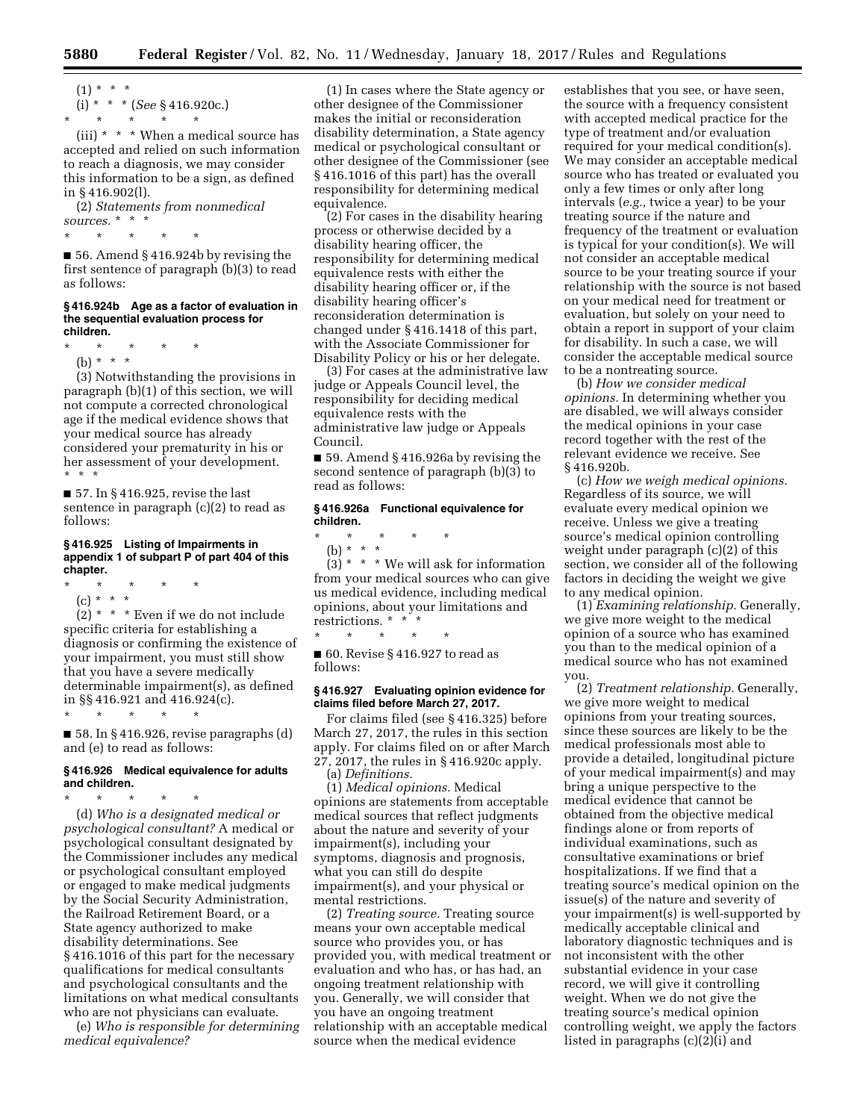$(1) * * * *$ (i) \* \* \* (*See* § 416.920c.) \* \* \* \* \*

(iii)  $*$   $*$   $*$  When a medical source has accepted and relied on such information to reach a diagnosis, we may consider this information to be a sign, as defined in § 416.902(l).

(2) *Statements from nonmedical sources.* \* \* \*

\* \* \* \* \*

■ 56. Amend § 416.924b by revising the first sentence of paragraph (b)(3) to read as follows:

#### **§ 416.924b Age as a factor of evaluation in the sequential evaluation process for children.**

- \* \* \* \* \*
- (b)  $* * * *$

(3) Notwithstanding the provisions in paragraph (b)(1) of this section, we will not compute a corrected chronological age if the medical evidence shows that your medical source has already considered your prematurity in his or her assessment of your development. \* \* \*

 $\blacksquare$  57. In § 416.925, revise the last sentence in paragraph (c)(2) to read as follows:

### **§ 416.925 Listing of Impairments in appendix 1 of subpart P of part 404 of this chapter.**

- \* \* \* \* \*
- (c) \* \* \*

 $(2)$  \* \* \* Even if we do not include specific criteria for establishing a diagnosis or confirming the existence of your impairment, you must still show that you have a severe medically determinable impairment(s), as defined in §§ 416.921 and 416.924(c). \* \* \* \* \*

 $\blacksquare$  58. In § 416.926, revise paragraphs (d) and (e) to read as follows:

### **§ 416.926 Medical equivalence for adults and children.**

\* \* \* \* \* (d) *Who is a designated medical or psychological consultant?* A medical or psychological consultant designated by the Commissioner includes any medical or psychological consultant employed or engaged to make medical judgments by the Social Security Administration, the Railroad Retirement Board, or a State agency authorized to make disability determinations. See § 416.1016 of this part for the necessary qualifications for medical consultants and psychological consultants and the limitations on what medical consultants who are not physicians can evaluate.

(e) *Who is responsible for determining medical equivalence?* 

(1) In cases where the State agency or other designee of the Commissioner makes the initial or reconsideration disability determination, a State agency medical or psychological consultant or other designee of the Commissioner (see § 416.1016 of this part) has the overall responsibility for determining medical equivalence.

(2) For cases in the disability hearing process or otherwise decided by a disability hearing officer, the responsibility for determining medical equivalence rests with either the disability hearing officer or, if the disability hearing officer's reconsideration determination is changed under § 416.1418 of this part, with the Associate Commissioner for Disability Policy or his or her delegate.

(3) For cases at the administrative law judge or Appeals Council level, the responsibility for deciding medical equivalence rests with the administrative law judge or Appeals Council.

■ 59. Amend § 416.926a by revising the second sentence of paragraph (b)(3) to read as follows:

### **§ 416.926a Functional equivalence for children.**

\* \* \* \* \* (b) \* \* \*

 $(3)$  \* \* \* We will ask for information from your medical sources who can give us medical evidence, including medical opinions, about your limitations and restrictions. \* \* \*

\* \* \* \* \*  $\blacksquare$  60. Revise § 416.927 to read as follows:

### **§ 416.927 Evaluating opinion evidence for claims filed before March 27, 2017.**

For claims filed (see § 416.325) before March 27, 2017, the rules in this section apply. For claims filed on or after March 27, 2017, the rules in § 416.920c apply. (a) *Definitions.* 

(1) *Medical opinions.* Medical opinions are statements from acceptable medical sources that reflect judgments about the nature and severity of your impairment(s), including your symptoms, diagnosis and prognosis, what you can still do despite impairment(s), and your physical or mental restrictions.

(2) *Treating source.* Treating source means your own acceptable medical source who provides you, or has provided you, with medical treatment or evaluation and who has, or has had, an ongoing treatment relationship with you. Generally, we will consider that you have an ongoing treatment relationship with an acceptable medical source when the medical evidence

establishes that you see, or have seen, the source with a frequency consistent with accepted medical practice for the type of treatment and/or evaluation required for your medical condition(s). We may consider an acceptable medical source who has treated or evaluated you only a few times or only after long intervals (*e.g.,* twice a year) to be your treating source if the nature and frequency of the treatment or evaluation is typical for your condition(s). We will not consider an acceptable medical source to be your treating source if your relationship with the source is not based on your medical need for treatment or evaluation, but solely on your need to obtain a report in support of your claim for disability. In such a case, we will consider the acceptable medical source to be a nontreating source.

(b) *How we consider medical opinions.* In determining whether you are disabled, we will always consider the medical opinions in your case record together with the rest of the relevant evidence we receive. See § 416.920b.

(c) *How we weigh medical opinions.*  Regardless of its source, we will evaluate every medical opinion we receive. Unless we give a treating source's medical opinion controlling weight under paragraph (c)(2) of this section, we consider all of the following factors in deciding the weight we give to any medical opinion.

(1) *Examining relationship.* Generally, we give more weight to the medical opinion of a source who has examined you than to the medical opinion of a medical source who has not examined you.

(2) *Treatment relationship.* Generally, we give more weight to medical opinions from your treating sources, since these sources are likely to be the medical professionals most able to provide a detailed, longitudinal picture of your medical impairment(s) and may bring a unique perspective to the medical evidence that cannot be obtained from the objective medical findings alone or from reports of individual examinations, such as consultative examinations or brief hospitalizations. If we find that a treating source's medical opinion on the issue(s) of the nature and severity of your impairment(s) is well-supported by medically acceptable clinical and laboratory diagnostic techniques and is not inconsistent with the other substantial evidence in your case record, we will give it controlling weight. When we do not give the treating source's medical opinion controlling weight, we apply the factors listed in paragraphs (c)(2)(i) and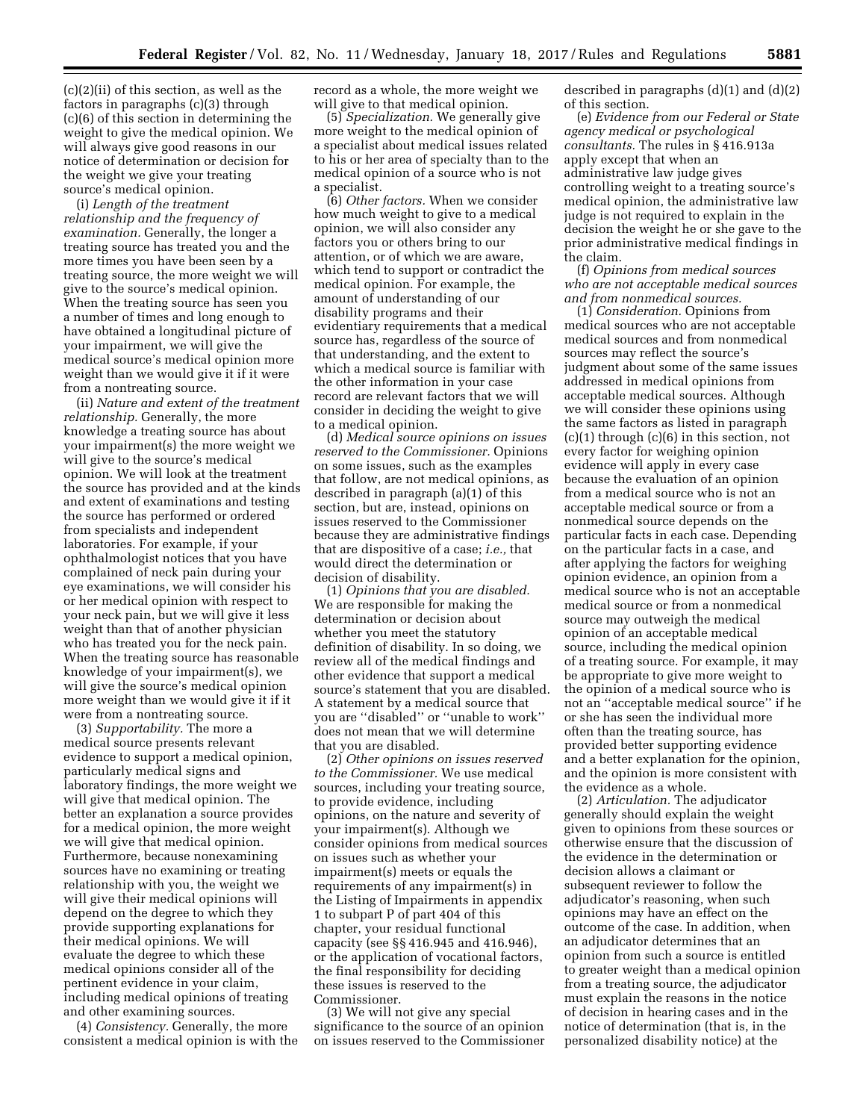(c)(2)(ii) of this section, as well as the factors in paragraphs (c)(3) through (c)(6) of this section in determining the weight to give the medical opinion. We will always give good reasons in our notice of determination or decision for the weight we give your treating source's medical opinion.

(i) *Length of the treatment relationship and the frequency of examination.* Generally, the longer a treating source has treated you and the more times you have been seen by a treating source, the more weight we will give to the source's medical opinion. When the treating source has seen you a number of times and long enough to have obtained a longitudinal picture of your impairment, we will give the medical source's medical opinion more weight than we would give it if it were from a nontreating source.

(ii) *Nature and extent of the treatment relationship.* Generally, the more knowledge a treating source has about your impairment(s) the more weight we will give to the source's medical opinion. We will look at the treatment the source has provided and at the kinds and extent of examinations and testing the source has performed or ordered from specialists and independent laboratories. For example, if your ophthalmologist notices that you have complained of neck pain during your eye examinations, we will consider his or her medical opinion with respect to your neck pain, but we will give it less weight than that of another physician who has treated you for the neck pain. When the treating source has reasonable knowledge of your impairment(s), we will give the source's medical opinion more weight than we would give it if it were from a nontreating source.

(3) *Supportability.* The more a medical source presents relevant evidence to support a medical opinion, particularly medical signs and laboratory findings, the more weight we will give that medical opinion. The better an explanation a source provides for a medical opinion, the more weight we will give that medical opinion. Furthermore, because nonexamining sources have no examining or treating relationship with you, the weight we will give their medical opinions will depend on the degree to which they provide supporting explanations for their medical opinions. We will evaluate the degree to which these medical opinions consider all of the pertinent evidence in your claim, including medical opinions of treating and other examining sources.

(4) *Consistency.* Generally, the more consistent a medical opinion is with the record as a whole, the more weight we will give to that medical opinion.

(5) *Specialization.* We generally give more weight to the medical opinion of a specialist about medical issues related to his or her area of specialty than to the medical opinion of a source who is not a specialist.

(6) *Other factors.* When we consider how much weight to give to a medical opinion, we will also consider any factors you or others bring to our attention, or of which we are aware, which tend to support or contradict the medical opinion. For example, the amount of understanding of our disability programs and their evidentiary requirements that a medical source has, regardless of the source of that understanding, and the extent to which a medical source is familiar with the other information in your case record are relevant factors that we will consider in deciding the weight to give to a medical opinion.

(d) *Medical source opinions on issues reserved to the Commissioner.* Opinions on some issues, such as the examples that follow, are not medical opinions, as described in paragraph (a)(1) of this section, but are, instead, opinions on issues reserved to the Commissioner because they are administrative findings that are dispositive of a case; *i.e.,* that would direct the determination or decision of disability.

(1) *Opinions that you are disabled.*  We are responsible for making the determination or decision about whether you meet the statutory definition of disability. In so doing, we review all of the medical findings and other evidence that support a medical source's statement that you are disabled. A statement by a medical source that you are ''disabled'' or ''unable to work'' does not mean that we will determine that you are disabled.

(2) *Other opinions on issues reserved to the Commissioner.* We use medical sources, including your treating source, to provide evidence, including opinions, on the nature and severity of your impairment(s). Although we consider opinions from medical sources on issues such as whether your impairment(s) meets or equals the requirements of any impairment(s) in the Listing of Impairments in appendix 1 to subpart P of part 404 of this chapter, your residual functional capacity (see §§ 416.945 and 416.946), or the application of vocational factors, the final responsibility for deciding these issues is reserved to the Commissioner.

(3) We will not give any special significance to the source of an opinion on issues reserved to the Commissioner described in paragraphs (d)(1) and (d)(2) of this section.

(e) *Evidence from our Federal or State agency medical or psychological consultants.* The rules in § 416.913a apply except that when an administrative law judge gives controlling weight to a treating source's medical opinion, the administrative law judge is not required to explain in the decision the weight he or she gave to the prior administrative medical findings in the claim.

(f) *Opinions from medical sources who are not acceptable medical sources and from nonmedical sources.* 

(1) *Consideration.* Opinions from medical sources who are not acceptable medical sources and from nonmedical sources may reflect the source's judgment about some of the same issues addressed in medical opinions from acceptable medical sources. Although we will consider these opinions using the same factors as listed in paragraph  $(c)(1)$  through  $(c)(6)$  in this section, not every factor for weighing opinion evidence will apply in every case because the evaluation of an opinion from a medical source who is not an acceptable medical source or from a nonmedical source depends on the particular facts in each case. Depending on the particular facts in a case, and after applying the factors for weighing opinion evidence, an opinion from a medical source who is not an acceptable medical source or from a nonmedical source may outweigh the medical opinion of an acceptable medical source, including the medical opinion of a treating source. For example, it may be appropriate to give more weight to the opinion of a medical source who is not an ''acceptable medical source'' if he or she has seen the individual more often than the treating source, has provided better supporting evidence and a better explanation for the opinion, and the opinion is more consistent with the evidence as a whole.

(2) *Articulation.* The adjudicator generally should explain the weight given to opinions from these sources or otherwise ensure that the discussion of the evidence in the determination or decision allows a claimant or subsequent reviewer to follow the adjudicator's reasoning, when such opinions may have an effect on the outcome of the case. In addition, when an adjudicator determines that an opinion from such a source is entitled to greater weight than a medical opinion from a treating source, the adjudicator must explain the reasons in the notice of decision in hearing cases and in the notice of determination (that is, in the personalized disability notice) at the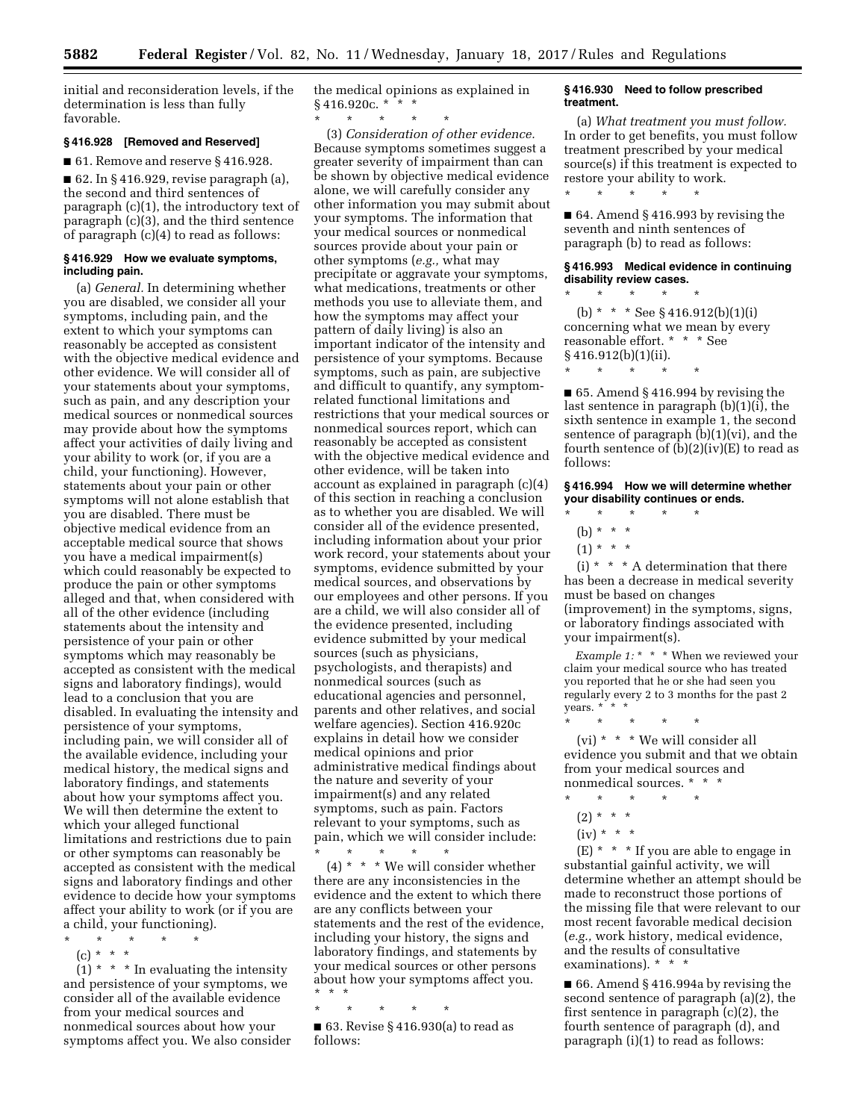initial and reconsideration levels, if the determination is less than fully favorable.

### **§ 416.928 [Removed and Reserved]**

■ 61. Remove and reserve § 416.928.

 $\blacksquare$  62. In § 416.929, revise paragraph (a), the second and third sentences of paragraph (c)(1), the introductory text of paragraph (c)(3), and the third sentence of paragraph (c)(4) to read as follows:

### **§ 416.929 How we evaluate symptoms, including pain.**

(a) *General.* In determining whether you are disabled, we consider all your symptoms, including pain, and the extent to which your symptoms can reasonably be accepted as consistent with the objective medical evidence and other evidence. We will consider all of your statements about your symptoms, such as pain, and any description your medical sources or nonmedical sources may provide about how the symptoms affect your activities of daily living and your ability to work (or, if you are a child, your functioning). However, statements about your pain or other symptoms will not alone establish that you are disabled. There must be objective medical evidence from an acceptable medical source that shows you have a medical impairment(s) which could reasonably be expected to produce the pain or other symptoms alleged and that, when considered with all of the other evidence (including statements about the intensity and persistence of your pain or other symptoms which may reasonably be accepted as consistent with the medical signs and laboratory findings), would lead to a conclusion that you are disabled. In evaluating the intensity and persistence of your symptoms, including pain, we will consider all of the available evidence, including your medical history, the medical signs and laboratory findings, and statements about how your symptoms affect you. We will then determine the extent to which your alleged functional limitations and restrictions due to pain or other symptoms can reasonably be accepted as consistent with the medical signs and laboratory findings and other evidence to decide how your symptoms affect your ability to work (or if you are a child, your functioning).

- \* \* \* \* \*
- (c) \* \* \*

 $(1)$  \* \* \* In evaluating the intensity and persistence of your symptoms, we consider all of the available evidence from your medical sources and nonmedical sources about how your symptoms affect you. We also consider the medical opinions as explained in  $§$ 416.920c. \* \* \*

\* \* \* \* \*

(3) *Consideration of other evidence.*  Because symptoms sometimes suggest a greater severity of impairment than can be shown by objective medical evidence alone, we will carefully consider any other information you may submit about your symptoms. The information that your medical sources or nonmedical sources provide about your pain or other symptoms (*e.g.,* what may precipitate or aggravate your symptoms, what medications, treatments or other methods you use to alleviate them, and how the symptoms may affect your pattern of daily living) is also an important indicator of the intensity and persistence of your symptoms. Because symptoms, such as pain, are subjective and difficult to quantify, any symptomrelated functional limitations and restrictions that your medical sources or nonmedical sources report, which can reasonably be accepted as consistent with the objective medical evidence and other evidence, will be taken into account as explained in paragraph (c)(4) of this section in reaching a conclusion as to whether you are disabled. We will consider all of the evidence presented, including information about your prior work record, your statements about your symptoms, evidence submitted by your medical sources, and observations by our employees and other persons. If you are a child, we will also consider all of the evidence presented, including evidence submitted by your medical sources (such as physicians, psychologists, and therapists) and nonmedical sources (such as educational agencies and personnel, parents and other relatives, and social welfare agencies). Section 416.920c explains in detail how we consider medical opinions and prior administrative medical findings about the nature and severity of your impairment(s) and any related symptoms, such as pain. Factors relevant to your symptoms, such as pain, which we will consider include: \* \* \* \* \*

(4) \* \* \* We will consider whether there are any inconsistencies in the evidence and the extent to which there are any conflicts between your statements and the rest of the evidence, including your history, the signs and laboratory findings, and statements by your medical sources or other persons about how your symptoms affect you. \* \* \*

\* \* \* \* \*

 $\blacksquare$  63. Revise § 416.930(a) to read as follows:

### **§ 416.930 Need to follow prescribed treatment.**

(a) *What treatment you must follow.*  In order to get benefits, you must follow treatment prescribed by your medical source(s) if this treatment is expected to restore your ability to work.

■ 64. Amend § 416.993 by revising the seventh and ninth sentences of paragraph (b) to read as follows:

\* \* \* \* \*

\* \* \* \* \*

#### **§ 416.993 Medical evidence in continuing disability review cases.**

\* \* \* \* \* (b) \* \* \* See § 416.912(b)(1)(i) concerning what we mean by every reasonable effort. \* \* \* See § 416.912(b)(1)(ii).

 $\blacksquare$  65. Amend § 416.994 by revising the last sentence in paragraph (b)(1)(i), the sixth sentence in example 1, the second sentence of paragraph (b)(1)(vi), and the fourth sentence of  $(b)(2)(iv)(E)$  to read as follows:

## **§ 416.994 How we will determine whether your disability continues or ends.**

- \* \* \* \* \*
	- (b) \* \* \*
	- $(1) * * * *$

(i) \* \* \* A determination that there has been a decrease in medical severity must be based on changes (improvement) in the symptoms, signs, or laboratory findings associated with your impairment(s).

*Example 1:* \* \* \* When we reviewed your claim your medical source who has treated you reported that he or she had seen you regularly every 2 to 3 months for the past 2 years. \* \*

\* \* \* \* \* (vi) \* \* \* We will consider all evidence you submit and that we obtain from your medical sources and nonmedical sources. \* \* \*

- \* \* \* \* \*
	- $(2) * * * *$
	- $(iv) * * * *$

(E) \* \* \* If you are able to engage in substantial gainful activity, we will determine whether an attempt should be made to reconstruct those portions of the missing file that were relevant to our most recent favorable medical decision (*e.g.,* work history, medical evidence, and the results of consultative examinations). \* \* \*

■ 66. Amend § 416.994a by revising the second sentence of paragraph (a)(2), the first sentence in paragraph (c)(2), the fourth sentence of paragraph (d), and paragraph (i)(1) to read as follows: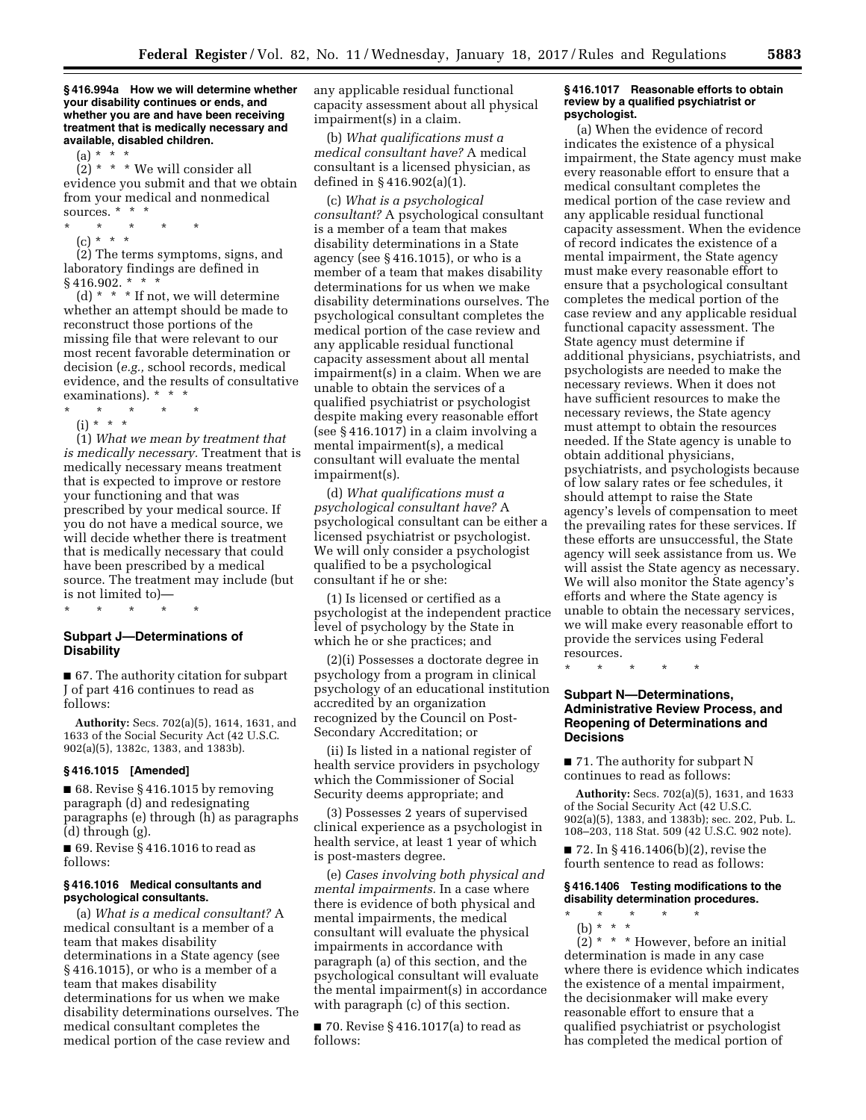**§ 416.994a How we will determine whether your disability continues or ends, and whether you are and have been receiving treatment that is medically necessary and available, disabled children.** 

 $(a) * * * *$  $(2)$  \* \* \* We will consider all evidence you submit and that we obtain from your medical and nonmedical

- sources. \* \* \* \* \* \* \* \*
	- (c) \* \* \*

(2) The terms symptoms, signs, and laboratory findings are defined in  $§$ 416.902. \* \* \*

(d) \* \* \* If not, we will determine whether an attempt should be made to reconstruct those portions of the missing file that were relevant to our most recent favorable determination or decision (*e.g.,* school records, medical evidence, and the results of consultative examinations). \* \* \*

- \* \* \* \* \*
	- (i) \* \* \*

(1) *What we mean by treatment that is medically necessary.* Treatment that is medically necessary means treatment that is expected to improve or restore your functioning and that was prescribed by your medical source. If you do not have a medical source, we will decide whether there is treatment that is medically necessary that could have been prescribed by a medical source. The treatment may include (but is not limited to)—

\* \* \* \* \*

# **Subpart J—Determinations of Disability**

■ 67. The authority citation for subpart J of part 416 continues to read as follows:

**Authority:** Secs. 702(a)(5), 1614, 1631, and 1633 of the Social Security Act (42 U.S.C. 902(a)(5), 1382c, 1383, and 1383b).

#### **§ 416.1015 [Amended]**

 $\blacksquare$  68. Revise § 416.1015 by removing paragraph (d) and redesignating paragraphs (e) through (h) as paragraphs (d) through (g).

■ 69. Revise § 416.1016 to read as follows:

## **§ 416.1016 Medical consultants and psychological consultants.**

(a) *What is a medical consultant?* A medical consultant is a member of a team that makes disability determinations in a State agency (see § 416.1015), or who is a member of a team that makes disability determinations for us when we make disability determinations ourselves. The medical consultant completes the medical portion of the case review and

any applicable residual functional capacity assessment about all physical impairment(s) in a claim.

(b) *What qualifications must a medical consultant have?* A medical consultant is a licensed physician, as defined in § 416.902(a)(1).

(c) *What is a psychological consultant?* A psychological consultant is a member of a team that makes disability determinations in a State agency (see § 416.1015), or who is a member of a team that makes disability determinations for us when we make disability determinations ourselves. The psychological consultant completes the medical portion of the case review and any applicable residual functional capacity assessment about all mental impairment(s) in a claim. When we are unable to obtain the services of a qualified psychiatrist or psychologist despite making every reasonable effort (see § 416.1017) in a claim involving a mental impairment(s), a medical consultant will evaluate the mental impairment(s).

(d) *What qualifications must a psychological consultant have?* A psychological consultant can be either a licensed psychiatrist or psychologist. We will only consider a psychologist qualified to be a psychological consultant if he or she:

(1) Is licensed or certified as a psychologist at the independent practice level of psychology by the State in which he or she practices; and

(2)(i) Possesses a doctorate degree in psychology from a program in clinical psychology of an educational institution accredited by an organization recognized by the Council on Post-Secondary Accreditation; or

(ii) Is listed in a national register of health service providers in psychology which the Commissioner of Social Security deems appropriate; and

(3) Possesses 2 years of supervised clinical experience as a psychologist in health service, at least 1 year of which is post-masters degree.

(e) *Cases involving both physical and mental impairments.* In a case where there is evidence of both physical and mental impairments, the medical consultant will evaluate the physical impairments in accordance with paragraph (a) of this section, and the psychological consultant will evaluate the mental impairment(s) in accordance with paragraph (c) of this section.

■ 70. Revise § 416.1017(a) to read as follows:

### **§ 416.1017 Reasonable efforts to obtain review by a qualified psychiatrist or psychologist.**

(a) When the evidence of record indicates the existence of a physical impairment, the State agency must make every reasonable effort to ensure that a medical consultant completes the medical portion of the case review and any applicable residual functional capacity assessment. When the evidence of record indicates the existence of a mental impairment, the State agency must make every reasonable effort to ensure that a psychological consultant completes the medical portion of the case review and any applicable residual functional capacity assessment. The State agency must determine if additional physicians, psychiatrists, and psychologists are needed to make the necessary reviews. When it does not have sufficient resources to make the necessary reviews, the State agency must attempt to obtain the resources needed. If the State agency is unable to obtain additional physicians, psychiatrists, and psychologists because of low salary rates or fee schedules, it should attempt to raise the State agency's levels of compensation to meet the prevailing rates for these services. If these efforts are unsuccessful, the State agency will seek assistance from us. We will assist the State agency as necessary. We will also monitor the State agency's efforts and where the State agency is unable to obtain the necessary services, we will make every reasonable effort to provide the services using Federal resources.

\* \* \* \* \*

## **Subpart N—Determinations, Administrative Review Process, and Reopening of Determinations and Decisions**

■ 71. The authority for subpart N continues to read as follows:

**Authority:** Secs. 702(a)(5), 1631, and 1633 of the Social Security Act (42 U.S.C. 902(a)(5), 1383, and 1383b); sec. 202, Pub. L. 108–203, 118 Stat. 509 (42 U.S.C. 902 note).

■ 72. In § 416.1406(b)(2), revise the fourth sentence to read as follows:

# **§ 416.1406 Testing modifications to the disability determination procedures.**

\* \* \* \* \* (b) \* \* \*

 $(2) * * *$  However, before an initial determination is made in any case where there is evidence which indicates the existence of a mental impairment, the decisionmaker will make every reasonable effort to ensure that a qualified psychiatrist or psychologist has completed the medical portion of